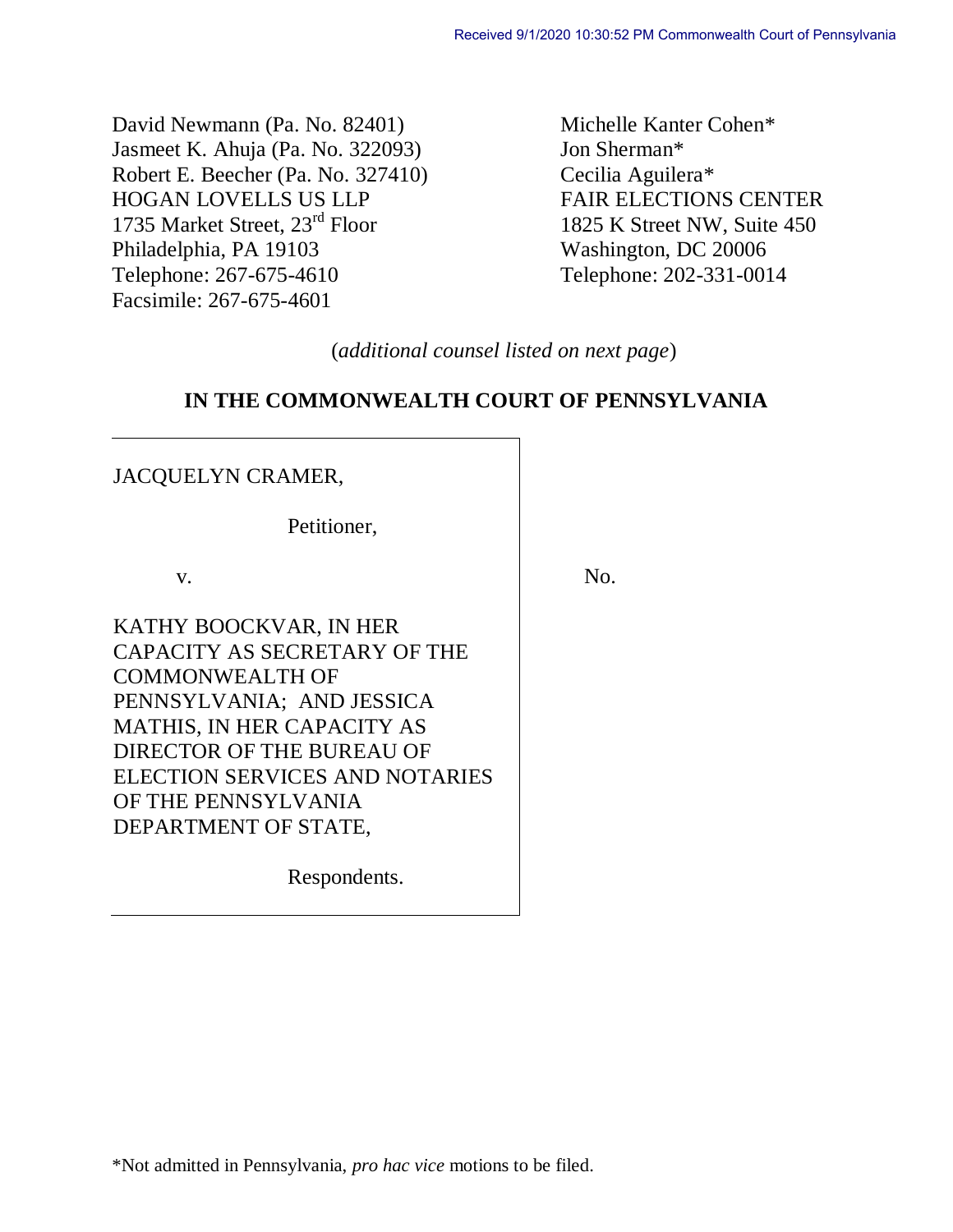David Newmann (Pa. No. 82401) Michelle Kanter Cohen\* Jasmeet K. Ahuja (Pa. No. 322093) Jon Sherman\* Robert E. Beecher (Pa. No. 327410) Cecilia Aguilera\* HOGAN LOVELLS US LLP FAIR ELECTIONS CENTER 1735 Market Street,  $23^{\text{rd}}$  Floor 1825 K Street NW, Suite 450 Philadelphia, PA 19103 Washington, DC 20006 Telephone: 267-675-4610 Telephone: 202-331-0014 Facsimile: 267-675-4601

(*additional counsel listed on next page*)

## **IN THE COMMONWEALTH COURT OF PENNSYLVANIA**

## JACQUELYN CRAMER,

Petitioner,

v.

KATHY BOOCKVAR, IN HER CAPACITY AS SECRETARY OF THE COMMONWEALTH OF PENNSYLVANIA; AND JESSICA MATHIS, IN HER CAPACITY AS DIRECTOR OF THE BUREAU OF ELECTION SERVICES AND NOTARIES OF THE PENNSYLVANIA DEPARTMENT OF STATE,

Respondents.

No.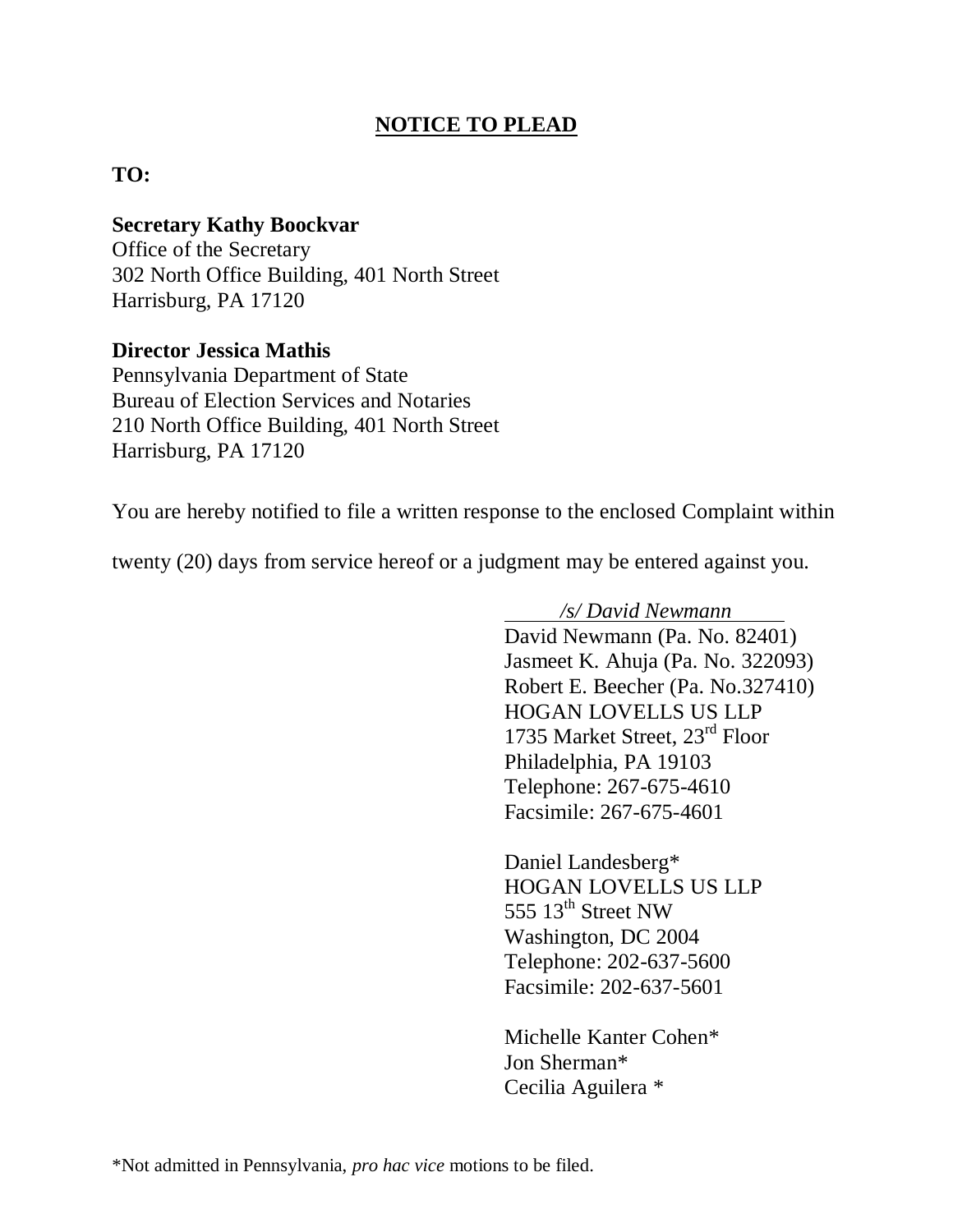# **NOTICE TO PLEAD**

## **TO:**

## **Secretary Kathy Boockvar**

Office of the Secretary 302 North Office Building, 401 North Street Harrisburg, PA 17120

## **Director Jessica Mathis**

Pennsylvania Department of State Bureau of Election Services and Notaries 210 North Office Building, 401 North Street Harrisburg, PA 17120

You are hereby notified to file a written response to the enclosed Complaint within

twenty (20) days from service hereof or a judgment may be entered against you.

### */s/ David Newmann*

David Newmann (Pa. No. 82401) Jasmeet K. Ahuja (Pa. No. 322093) Robert E. Beecher (Pa. No.327410) HOGAN LOVELLS US LLP 1735 Market Street, 23rd Floor Philadelphia, PA 19103 Telephone: 267-675-4610 Facsimile: 267-675-4601

Daniel Landesberg\* HOGAN LOVELLS US LLP 555 13<sup>th</sup> Street NW Washington, DC 2004 Telephone: 202-637-5600 Facsimile: 202-637-5601

Michelle Kanter Cohen\* Jon Sherman\* Cecilia Aguilera \*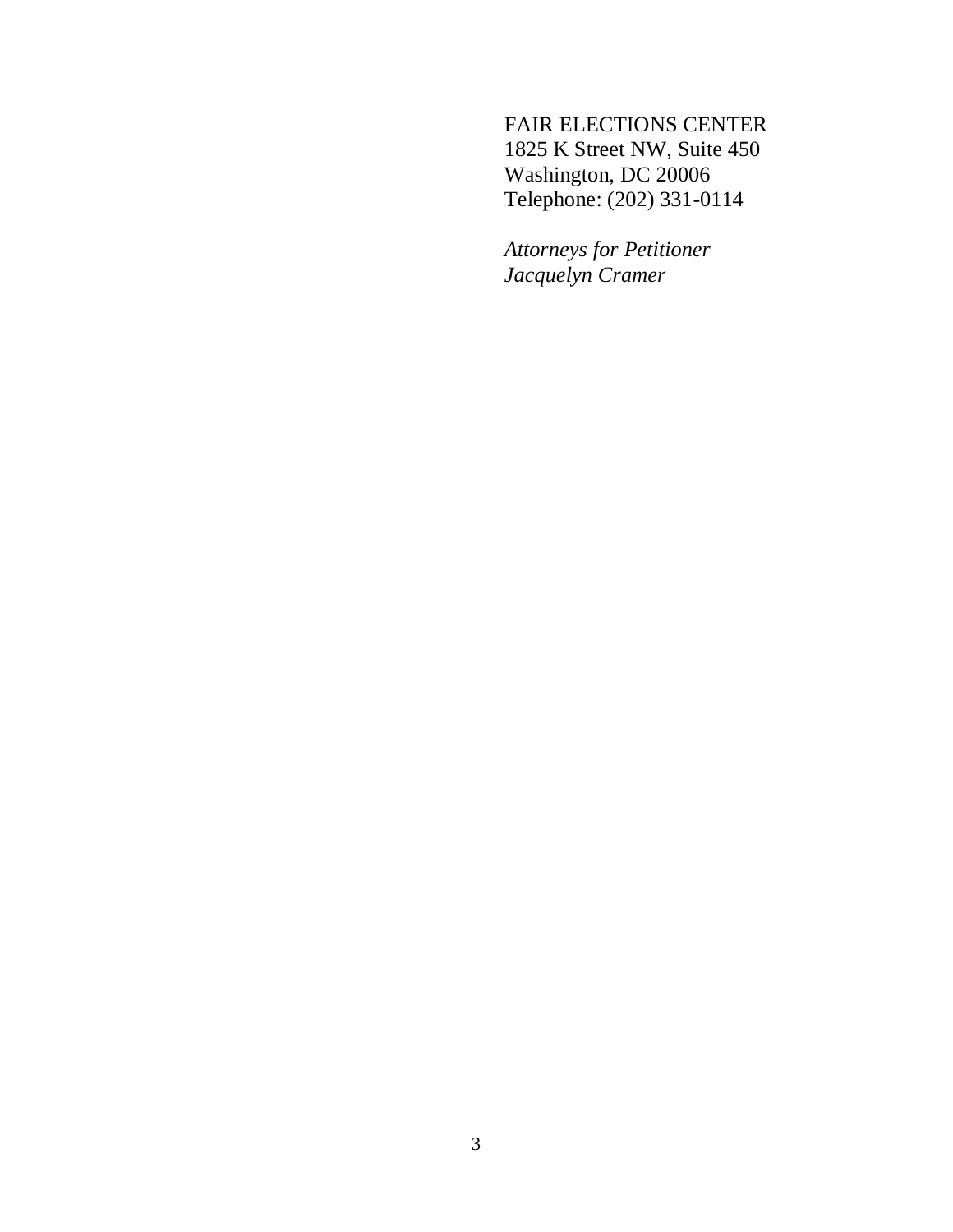# FAIR ELECTIONS CENTER 1825 K Street NW, Suite 450 Washington, DC 20006 Telephone: (202) 331-0114

*Attorneys for Petitioner Jacquelyn Cramer*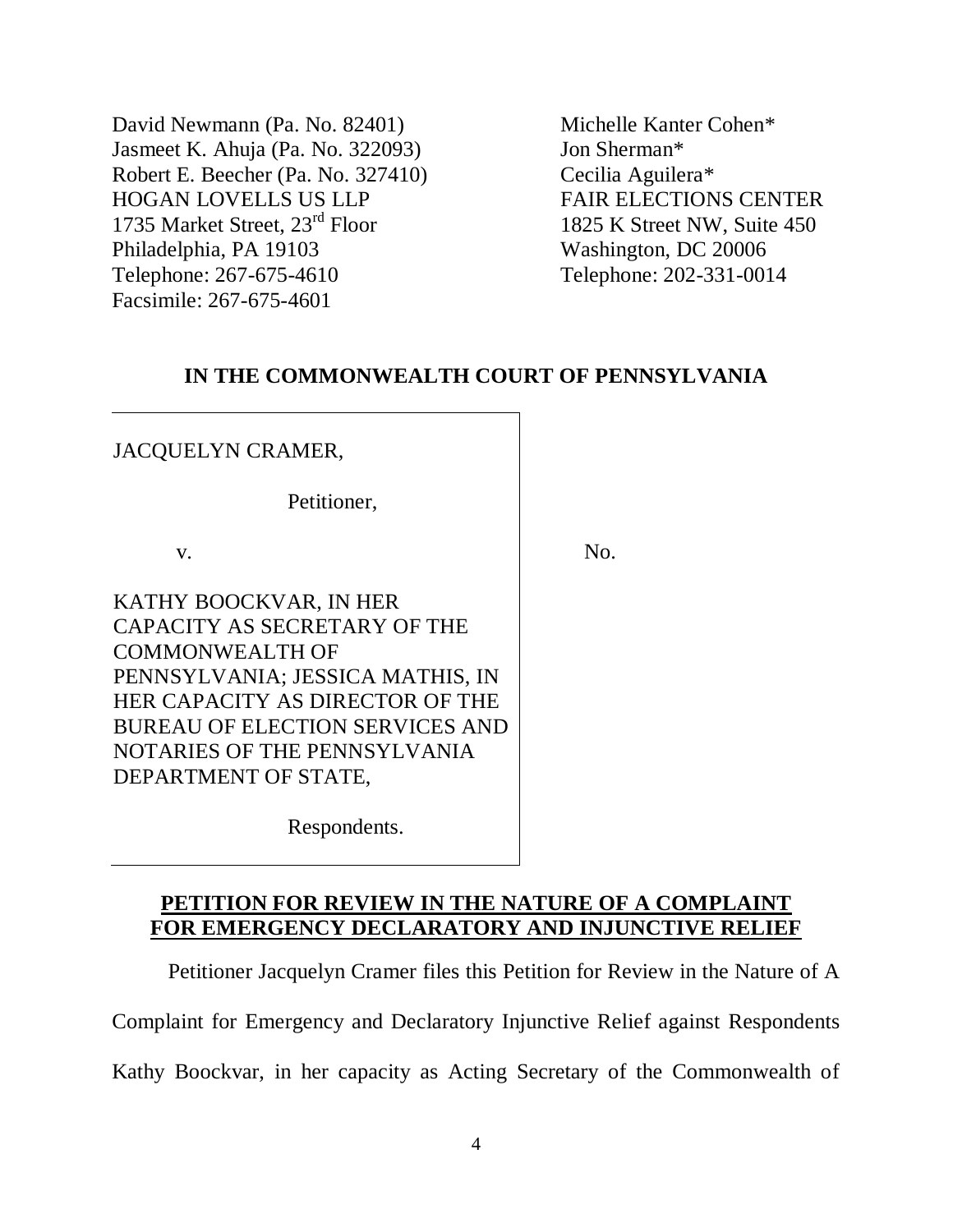David Newmann (Pa. No. 82401) Michelle Kanter Cohen\* Jasmeet K. Ahuja (Pa. No. 322093) Jon Sherman\* Robert E. Beecher (Pa. No. 327410) Cecilia Aguilera\* HOGAN LOVELLS US LLP FAIR ELECTIONS CENTER 1735 Market Street,  $23^{\text{rd}}$  Floor 1825 K Street NW, Suite 450 Philadelphia, PA 19103 Washington, DC 20006 Telephone: 267-675-4610 Telephone: 202-331-0014 Facsimile: 267-675-4601

## **IN THE COMMONWEALTH COURT OF PENNSYLVANIA**

## JACQUELYN CRAMER,

Petitioner,

v.

KATHY BOOCKVAR, IN HER CAPACITY AS SECRETARY OF THE COMMONWEALTH OF PENNSYLVANIA; JESSICA MATHIS, IN HER CAPACITY AS DIRECTOR OF THE BUREAU OF ELECTION SERVICES AND NOTARIES OF THE PENNSYLVANIA DEPARTMENT OF STATE,

Respondents.

**PETITION FOR REVIEW IN THE NATURE OF A COMPLAINT FOR EMERGENCY DECLARATORY AND INJUNCTIVE RELIEF**

Petitioner Jacquelyn Cramer files this Petition for Review in the Nature of A Complaint for Emergency and Declaratory Injunctive Relief against Respondents Kathy Boockvar, in her capacity as Acting Secretary of the Commonwealth of

No.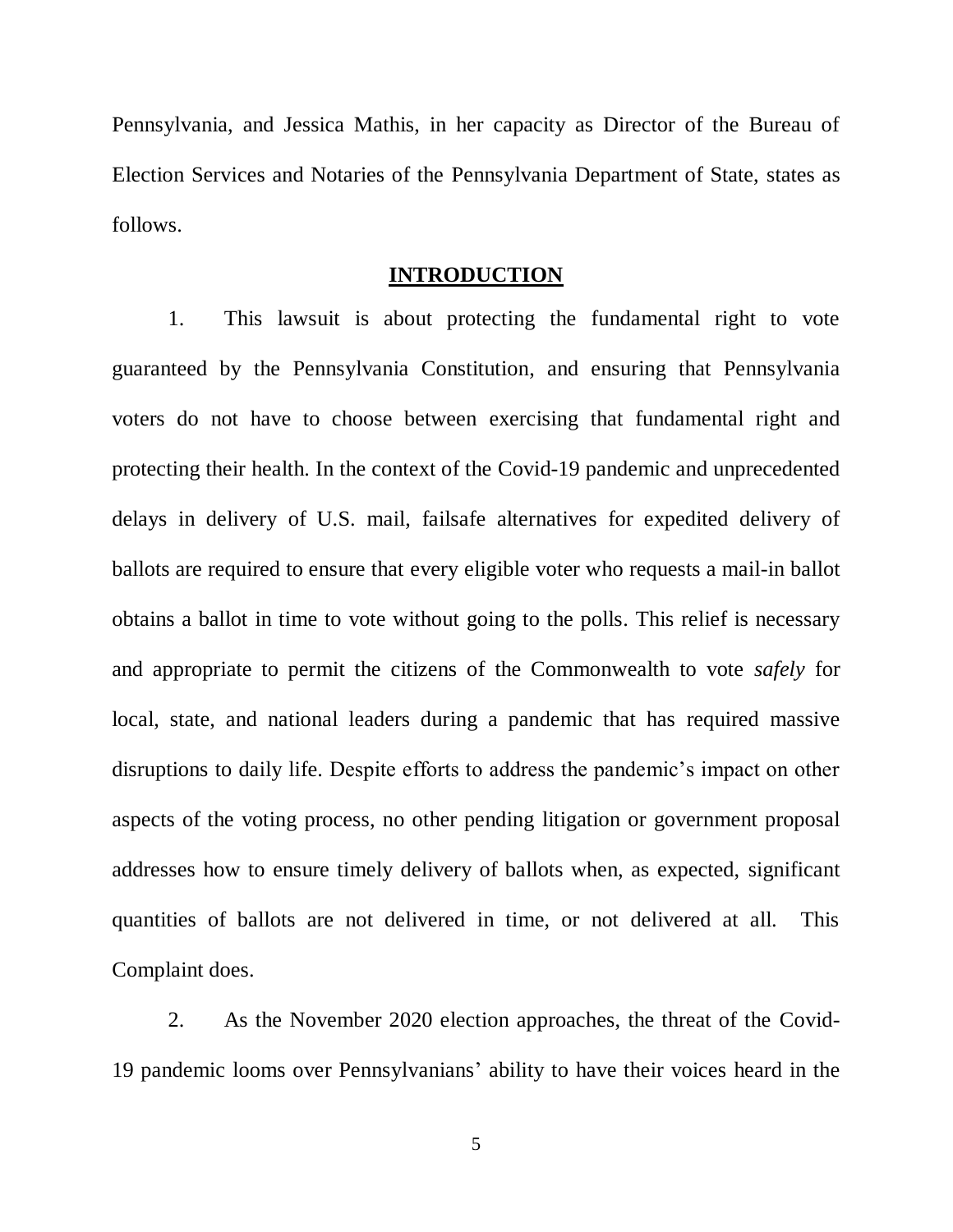Pennsylvania, and Jessica Mathis, in her capacity as Director of the Bureau of Election Services and Notaries of the Pennsylvania Department of State, states as follows.

## **INTRODUCTION**

1. This lawsuit is about protecting the fundamental right to vote guaranteed by the Pennsylvania Constitution, and ensuring that Pennsylvania voters do not have to choose between exercising that fundamental right and protecting their health. In the context of the Covid-19 pandemic and unprecedented delays in delivery of U.S. mail, failsafe alternatives for expedited delivery of ballots are required to ensure that every eligible voter who requests a mail-in ballot obtains a ballot in time to vote without going to the polls. This relief is necessary and appropriate to permit the citizens of the Commonwealth to vote *safely* for local, state, and national leaders during a pandemic that has required massive disruptions to daily life. Despite efforts to address the pandemic's impact on other aspects of the voting process, no other pending litigation or government proposal addresses how to ensure timely delivery of ballots when, as expected, significant quantities of ballots are not delivered in time, or not delivered at all. This Complaint does.

2. As the November 2020 election approaches, the threat of the Covid-19 pandemic looms over Pennsylvanians' ability to have their voices heard in the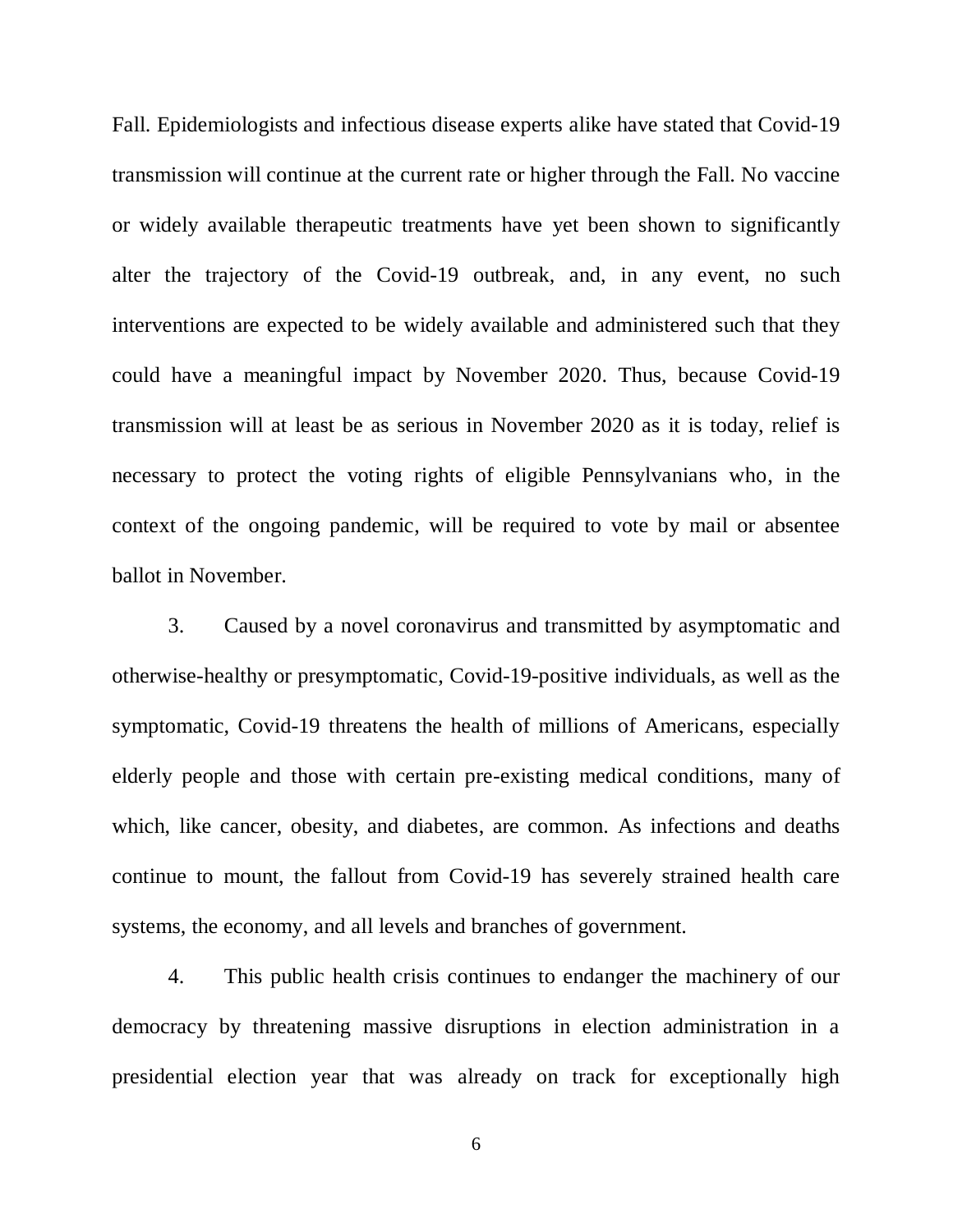Fall. Epidemiologists and infectious disease experts alike have stated that Covid-19 transmission will continue at the current rate or higher through the Fall. No vaccine or widely available therapeutic treatments have yet been shown to significantly alter the trajectory of the Covid-19 outbreak, and, in any event, no such interventions are expected to be widely available and administered such that they could have a meaningful impact by November 2020. Thus, because Covid-19 transmission will at least be as serious in November 2020 as it is today, relief is necessary to protect the voting rights of eligible Pennsylvanians who, in the context of the ongoing pandemic, will be required to vote by mail or absentee ballot in November.

3. Caused by a novel coronavirus and transmitted by asymptomatic and otherwise-healthy or presymptomatic, Covid-19-positive individuals, as well as the symptomatic, Covid-19 threatens the health of millions of Americans, especially elderly people and those with certain pre-existing medical conditions, many of which, like cancer, obesity, and diabetes, are common. As infections and deaths continue to mount, the fallout from Covid-19 has severely strained health care systems, the economy, and all levels and branches of government.

4. This public health crisis continues to endanger the machinery of our democracy by threatening massive disruptions in election administration in a presidential election year that was already on track for exceptionally high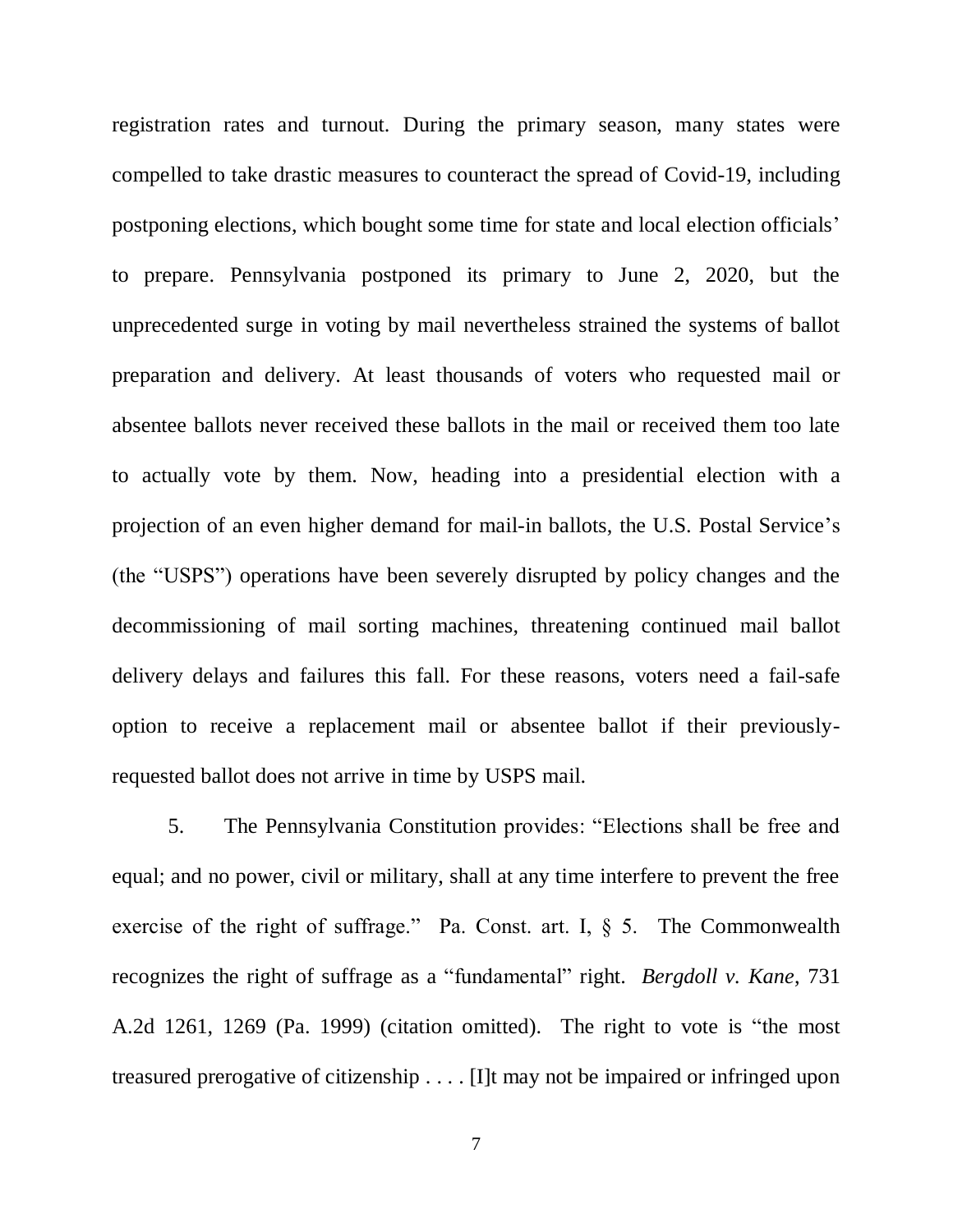registration rates and turnout. During the primary season, many states were compelled to take drastic measures to counteract the spread of Covid-19, including postponing elections, which bought some time for state and local election officials' to prepare. Pennsylvania postponed its primary to June 2, 2020, but the unprecedented surge in voting by mail nevertheless strained the systems of ballot preparation and delivery. At least thousands of voters who requested mail or absentee ballots never received these ballots in the mail or received them too late to actually vote by them. Now, heading into a presidential election with a projection of an even higher demand for mail-in ballots, the U.S. Postal Service's (the "USPS") operations have been severely disrupted by policy changes and the decommissioning of mail sorting machines, threatening continued mail ballot delivery delays and failures this fall. For these reasons, voters need a fail-safe option to receive a replacement mail or absentee ballot if their previouslyrequested ballot does not arrive in time by USPS mail.

5. The Pennsylvania Constitution provides: "Elections shall be free and equal; and no power, civil or military, shall at any time interfere to prevent the free exercise of the right of suffrage." Pa. Const. art. I, § 5. The Commonwealth recognizes the right of suffrage as a "fundamental" right. *Bergdoll v. Kane*, 731 A.2d 1261, 1269 (Pa. 1999) (citation omitted). The right to vote is "the most treasured prerogative of citizenship . . . . [I]t may not be impaired or infringed upon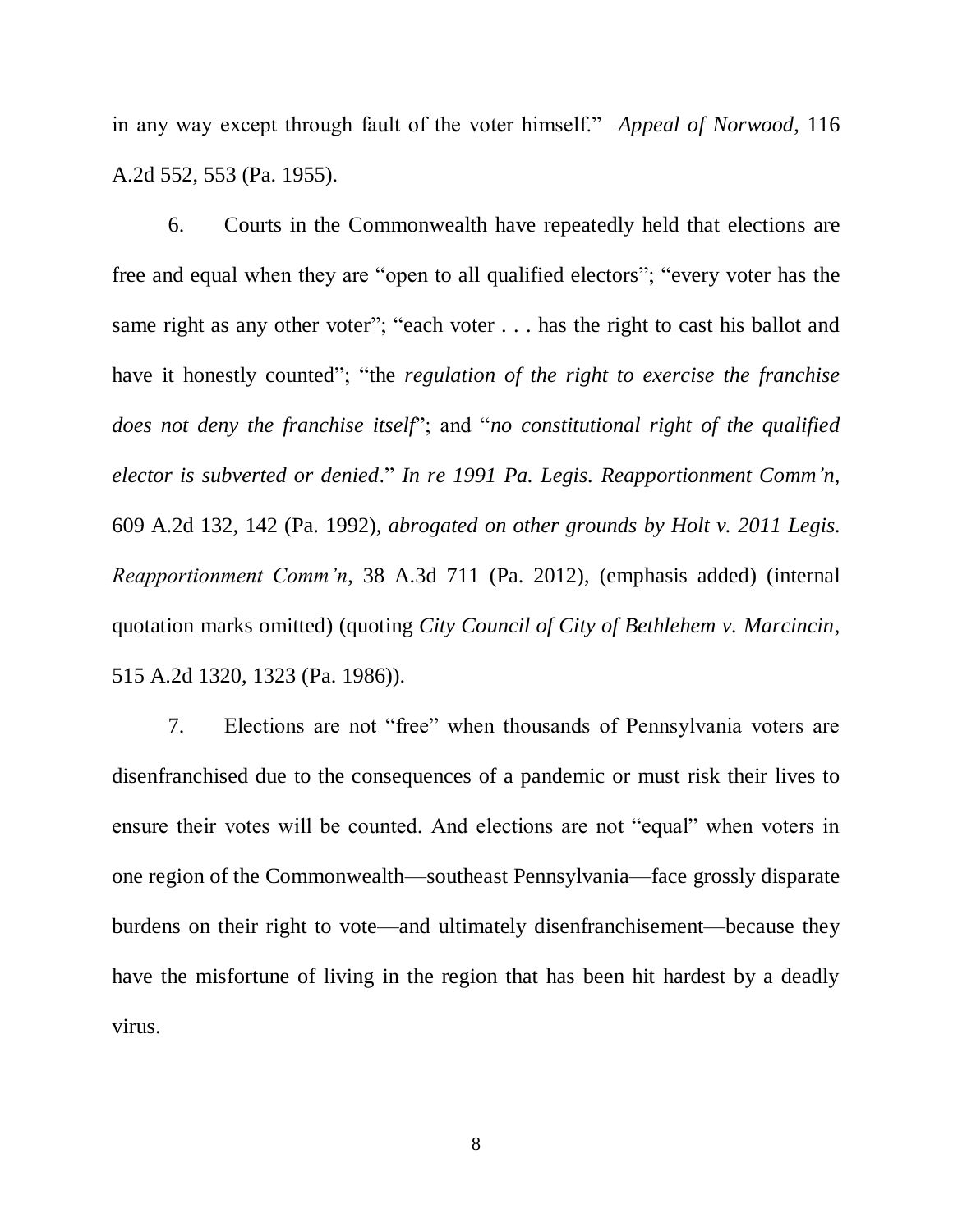in any way except through fault of the voter himself." *Appeal of Norwood*, 116 A.2d 552, 553 (Pa. 1955).

6. Courts in the Commonwealth have repeatedly held that elections are free and equal when they are "open to all qualified electors"; "every voter has the same right as any other voter"; "each voter . . . has the right to cast his ballot and have it honestly counted"; "the *regulation of the right to exercise the franchise does not deny the franchise itself*"; and "*no constitutional right of the qualified elector is subverted or denied*." *In re 1991 Pa. Legis. Reapportionment Comm'n*, 609 A.2d 132, 142 (Pa. 1992), *abrogated on other grounds by Holt v. 2011 Legis. Reapportionment Comm'n*, 38 A.3d 711 (Pa. 2012), (emphasis added) (internal quotation marks omitted) (quoting *City Council of City of Bethlehem v. Marcincin*, 515 A.2d 1320, 1323 (Pa. 1986)).

7. Elections are not "free" when thousands of Pennsylvania voters are disenfranchised due to the consequences of a pandemic or must risk their lives to ensure their votes will be counted. And elections are not "equal" when voters in one region of the Commonwealth—southeast Pennsylvania—face grossly disparate burdens on their right to vote—and ultimately disenfranchisement—because they have the misfortune of living in the region that has been hit hardest by a deadly virus.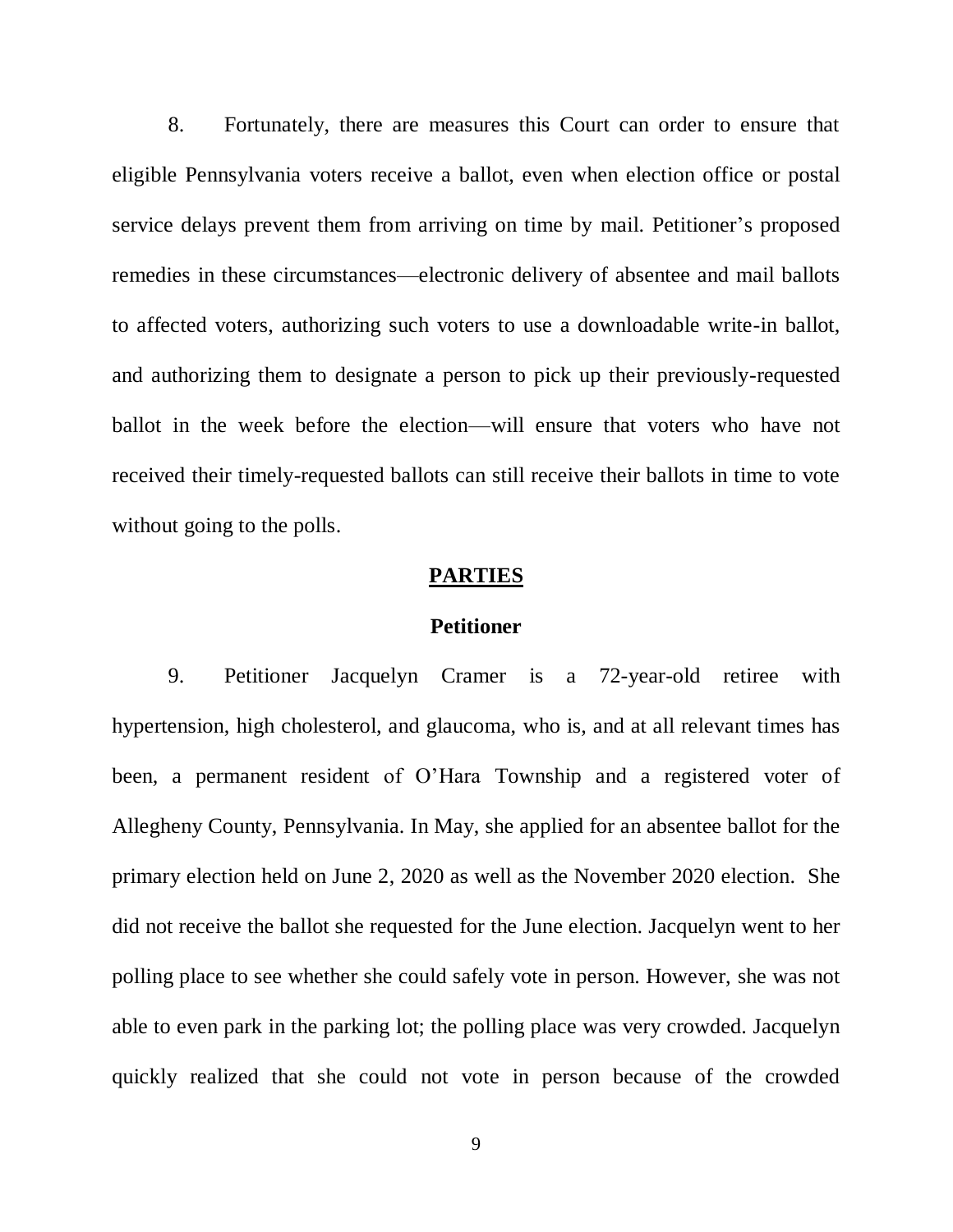8. Fortunately, there are measures this Court can order to ensure that eligible Pennsylvania voters receive a ballot, even when election office or postal service delays prevent them from arriving on time by mail. Petitioner's proposed remedies in these circumstances—electronic delivery of absentee and mail ballots to affected voters, authorizing such voters to use a downloadable write-in ballot, and authorizing them to designate a person to pick up their previously-requested ballot in the week before the election—will ensure that voters who have not received their timely-requested ballots can still receive their ballots in time to vote without going to the polls.

#### **PARTIES**

### **Petitioner**

9. Petitioner Jacquelyn Cramer is a 72-year-old retiree with hypertension, high cholesterol, and glaucoma, who is, and at all relevant times has been, a permanent resident of O'Hara Township and a registered voter of Allegheny County, Pennsylvania. In May, she applied for an absentee ballot for the primary election held on June 2, 2020 as well as the November 2020 election. She did not receive the ballot she requested for the June election. Jacquelyn went to her polling place to see whether she could safely vote in person. However, she was not able to even park in the parking lot; the polling place was very crowded. Jacquelyn quickly realized that she could not vote in person because of the crowded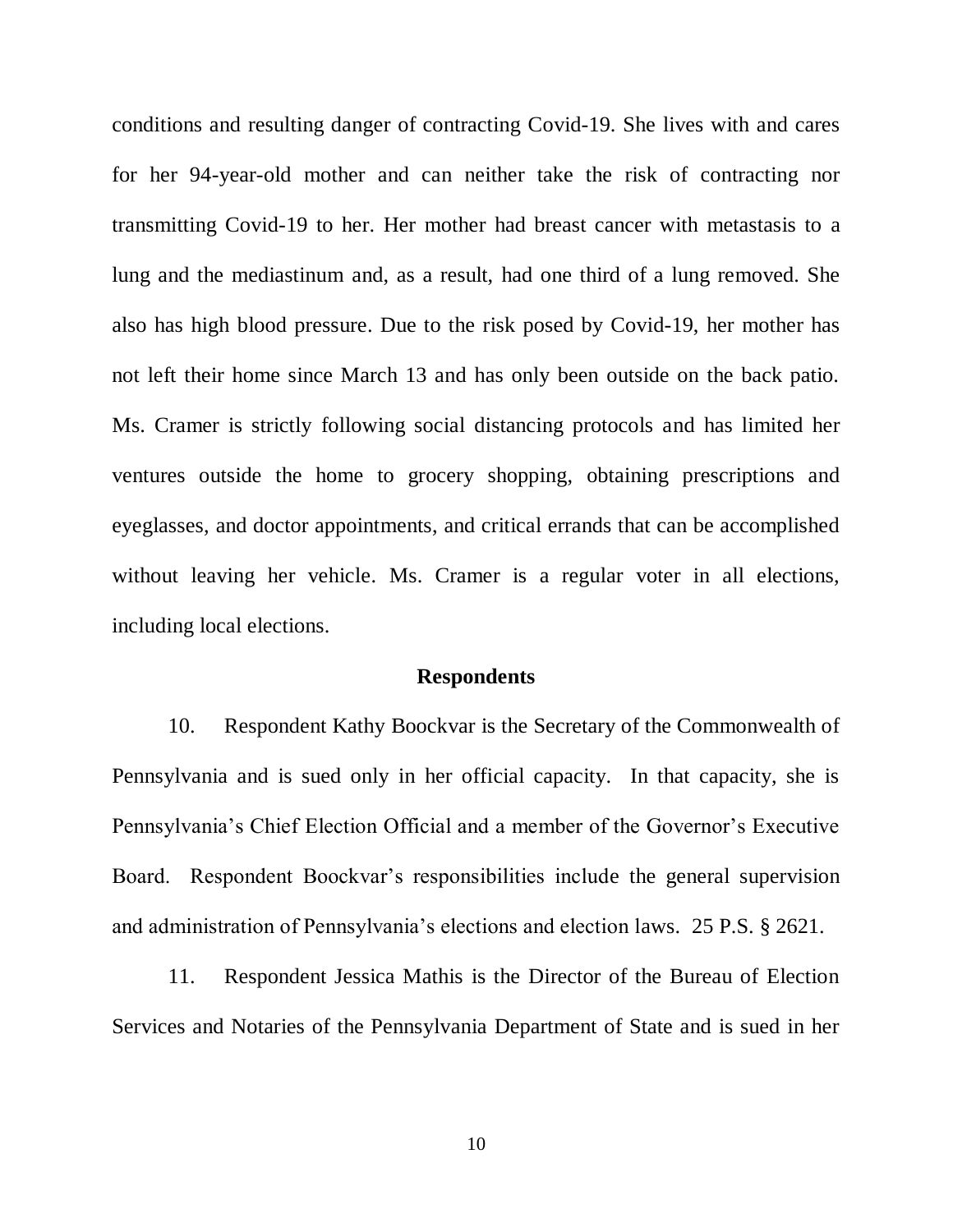conditions and resulting danger of contracting Covid-19. She lives with and cares for her 94-year-old mother and can neither take the risk of contracting nor transmitting Covid-19 to her. Her mother had breast cancer with metastasis to a lung and the mediastinum and, as a result, had one third of a lung removed. She also has high blood pressure. Due to the risk posed by Covid-19, her mother has not left their home since March 13 and has only been outside on the back patio. Ms. Cramer is strictly following social distancing protocols and has limited her ventures outside the home to grocery shopping, obtaining prescriptions and eyeglasses, and doctor appointments, and critical errands that can be accomplished without leaving her vehicle. Ms. Cramer is a regular voter in all elections, including local elections.

#### **Respondents**

10. Respondent Kathy Boockvar is the Secretary of the Commonwealth of Pennsylvania and is sued only in her official capacity. In that capacity, she is Pennsylvania's Chief Election Official and a member of the Governor's Executive Board. Respondent Boockvar's responsibilities include the general supervision and administration of Pennsylvania's elections and election laws. 25 P.S. § 2621.

11. Respondent Jessica Mathis is the Director of the Bureau of Election Services and Notaries of the Pennsylvania Department of State and is sued in her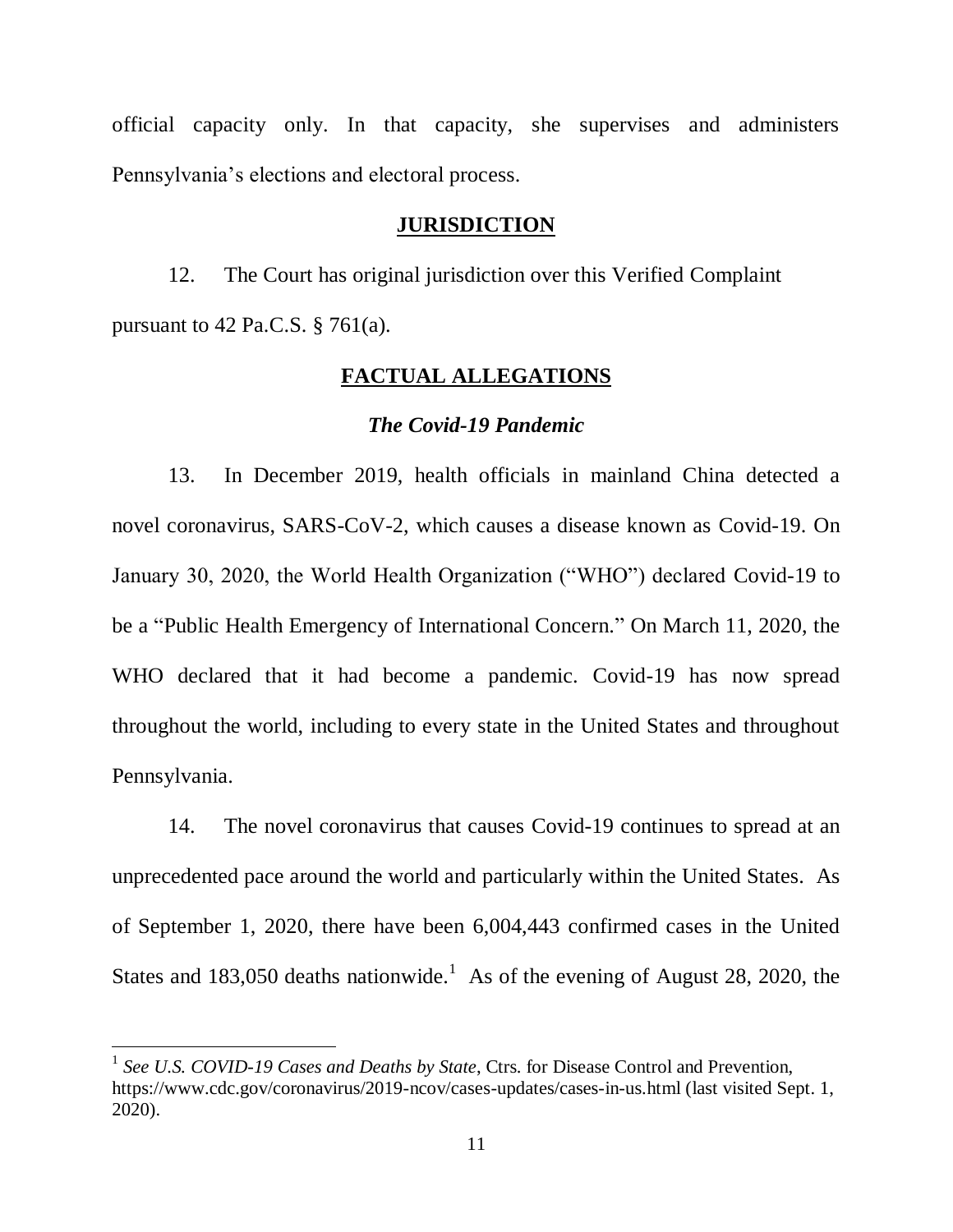official capacity only. In that capacity, she supervises and administers Pennsylvania's elections and electoral process.

### **JURISDICTION**

12. The Court has original jurisdiction over this Verified Complaint pursuant to 42 Pa.C.S.  $\S$  761(a).

#### **FACTUAL ALLEGATIONS**

### *The Covid-19 Pandemic*

13. In December 2019, health officials in mainland China detected a novel coronavirus, SARS-CoV-2, which causes a disease known as Covid-19. On January 30, 2020, the World Health Organization ("WHO") declared Covid-19 to be a "Public Health Emergency of International Concern." On March 11, 2020, the WHO declared that it had become a pandemic. Covid-19 has now spread throughout the world, including to every state in the United States and throughout Pennsylvania.

14. The novel coronavirus that causes Covid-19 continues to spread at an unprecedented pace around the world and particularly within the United States. As of September 1, 2020, there have been 6,004,443 confirmed cases in the United States and 183,050 deaths nationwide.<sup>1</sup> As of the evening of August 28, 2020, the

<sup>&</sup>lt;sup>1</sup> See U.S. COVID-19 Cases and Deaths by State, Ctrs. for Disease Control and Prevention, https://www.cdc.gov/coronavirus/2019-ncov/cases-updates/cases-in-us.html (last visited Sept. 1, 2020).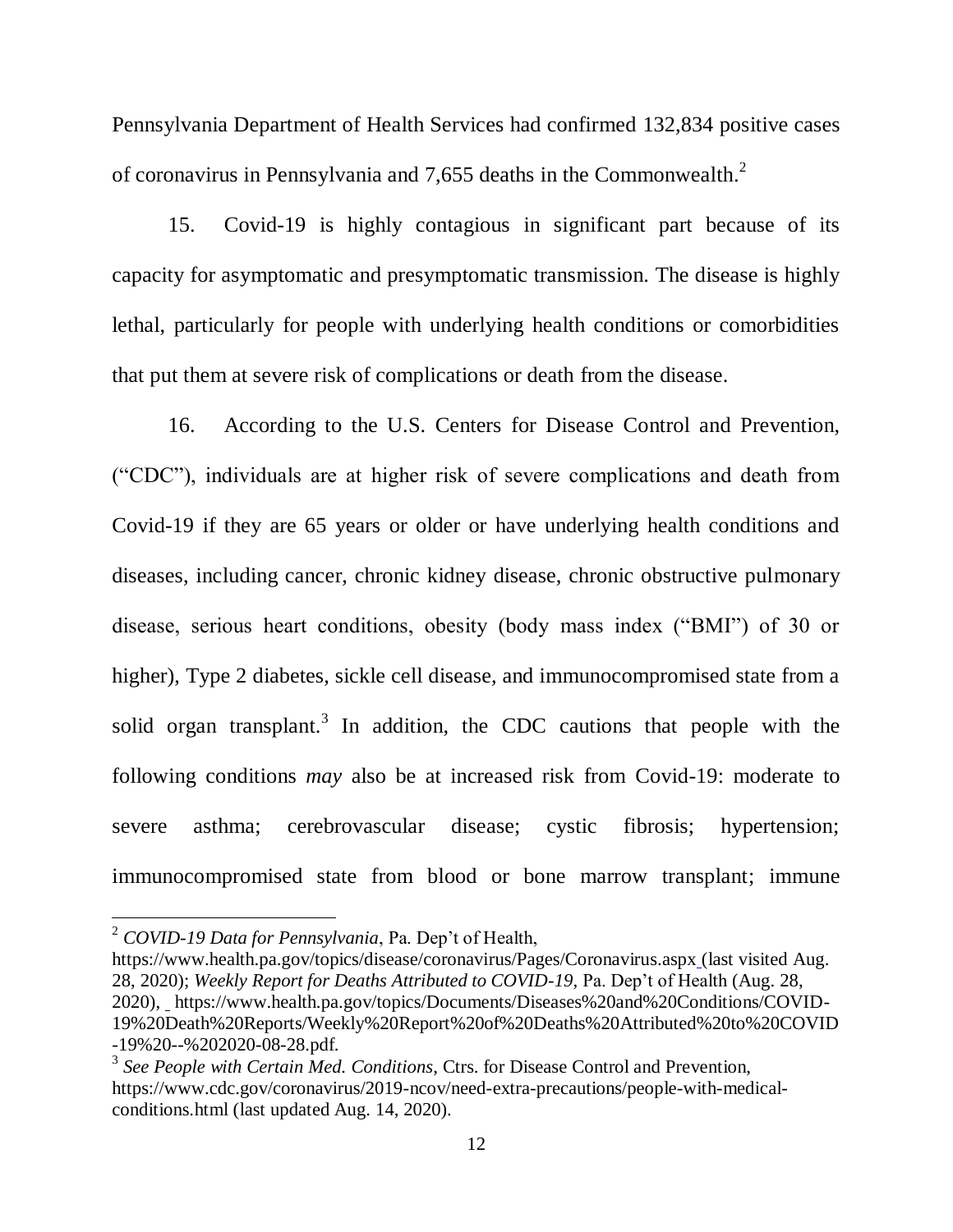Pennsylvania Department of Health Services had confirmed 132,834 positive cases of coronavirus in Pennsylvania and 7,655 deaths in the Commonwealth. $^2$ 

15. Covid-19 is highly contagious in significant part because of its capacity for asymptomatic and presymptomatic transmission. The disease is highly lethal, particularly for people with underlying health conditions or comorbidities that put them at severe risk of complications or death from the disease.

16. According to the U.S. Centers for Disease Control and Prevention, ("CDC"), individuals are at higher risk of severe complications and death from Covid-19 if they are 65 years or older or have underlying health conditions and diseases, including cancer, chronic kidney disease, chronic obstructive pulmonary disease, serious heart conditions, obesity (body mass index ("BMI") of 30 or higher), Type 2 diabetes, sickle cell disease, and immunocompromised state from a solid organ transplant.<sup>3</sup> In addition, the CDC cautions that people with the following conditions *may* also be at increased risk from Covid-19: moderate to severe asthma; cerebrovascular disease; cystic fibrosis; hypertension; immunocompromised state from blood or bone marrow transplant; immune

<sup>2</sup> *COVID-19 Data for Pennsylvania*, Pa. Dep't of Health,

https://www.health.pa.gov/topics/disease/coronavirus/Pages/Coronavirus.aspx (last visited Aug. 28, 2020); *Weekly Report for Deaths Attributed to COVID-19,* Pa. Dep't of Health (Aug. 28, 2020), https://www.health.pa.gov/topics/Documents/Diseases%20and%20Conditions/COVID-19%20Death%20Reports/Weekly%20Report%20of%20Deaths%20Attributed%20to%20COVID -19%20--%202020-08-28.pdf.

<sup>&</sup>lt;sup>3</sup> See People with Certain Med. Conditions, Ctrs. for Disease Control and Prevention, https://www.cdc.gov/coronavirus/2019-ncov/need-extra-precautions/people-with-medicalconditions.html (last updated Aug. 14, 2020).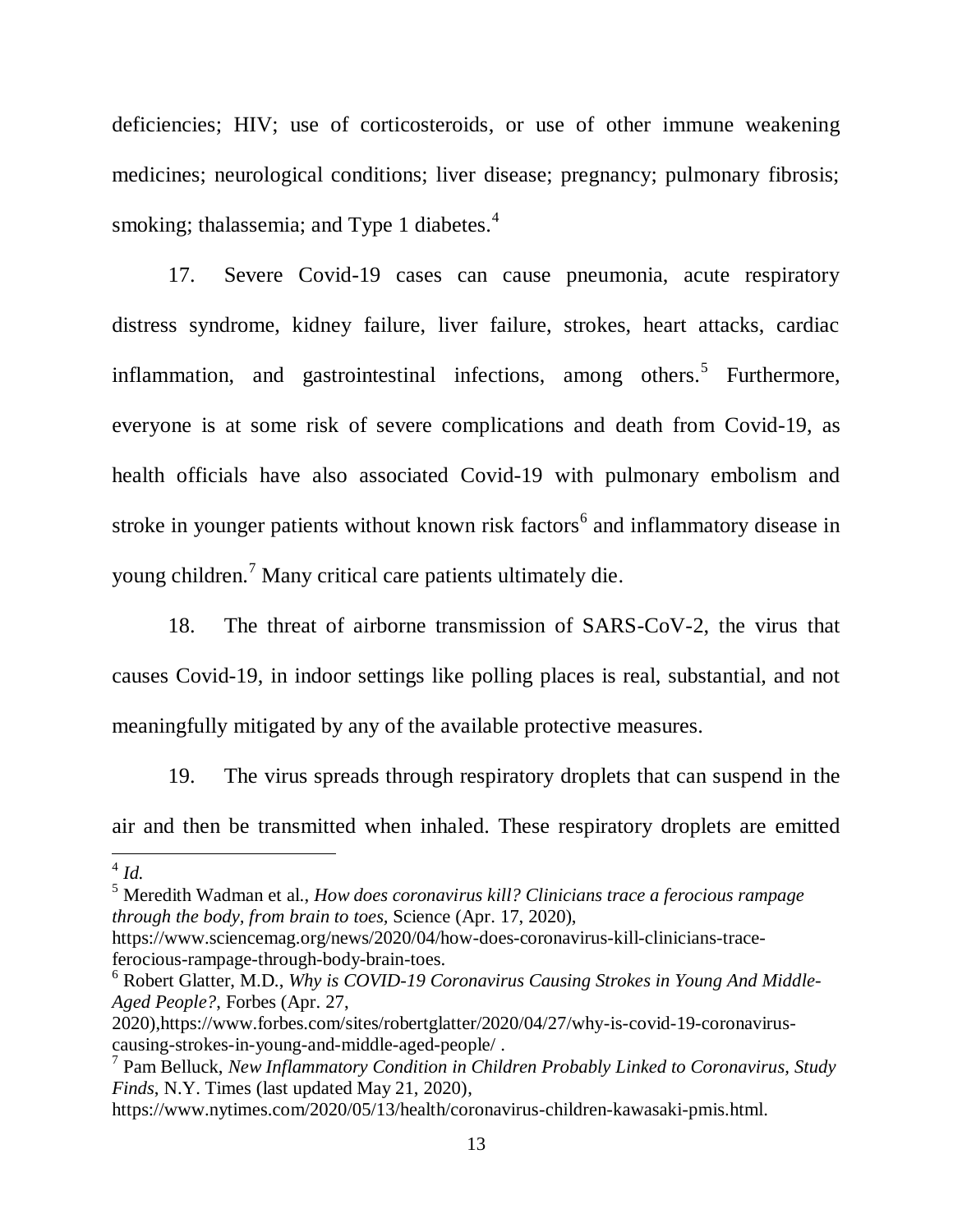deficiencies; HIV; use of corticosteroids, or use of other immune weakening medicines; neurological conditions; liver disease; pregnancy; pulmonary fibrosis; smoking; thalassemia; and Type 1 diabetes.<sup>4</sup>

17. Severe Covid-19 cases can cause pneumonia, acute respiratory distress syndrome, kidney failure, liver failure, strokes, heart attacks, cardiac inflammation, and gastrointestinal infections, among others.<sup>5</sup> Furthermore, everyone is at some risk of severe complications and death from Covid-19, as health officials have also associated Covid-19 with pulmonary embolism and stroke in younger patients without known risk factors<sup>6</sup> and inflammatory disease in young children.<sup>7</sup> Many critical care patients ultimately die.

18. The threat of airborne transmission of SARS-CoV-2, the virus that causes Covid-19, in indoor settings like polling places is real, substantial, and not meaningfully mitigated by any of the available protective measures.

19. The virus spreads through respiratory droplets that can suspend in the air and then be transmitted when inhaled. These respiratory droplets are emitted

 4 *Id.*

<sup>5</sup> Meredith Wadman et al., *How does coronavirus kill? Clinicians trace a ferocious rampage through the body, from brain to toes,* Science (Apr. 17, 2020),

https://www.sciencemag.org/news/2020/04/how-does-coronavirus-kill-clinicians-traceferocious-rampage-through-body-brain-toes.

<sup>6</sup> Robert Glatter, M.D., *Why is COVID-19 Coronavirus Causing Strokes in Young And Middle-Aged People?*, Forbes (Apr. 27,

<sup>2020),</sup>https://www.forbes.com/sites/robertglatter/2020/04/27/why-is-covid-19-coronaviruscausing-strokes-in-young-and-middle-aged-people/ .

<sup>7</sup> Pam Belluck, *New Inflammatory Condition in Children Probably Linked to Coronavirus, Study Finds*, N.Y. Times (last updated May 21, 2020),

[https://www.nytimes.com/2020/05/13/health/coronavirus-children-kawasaki-pmis.html.](https://www.nytimes.com/2020/05/13/health/coronavirus-children-kawasaki-pmis.html)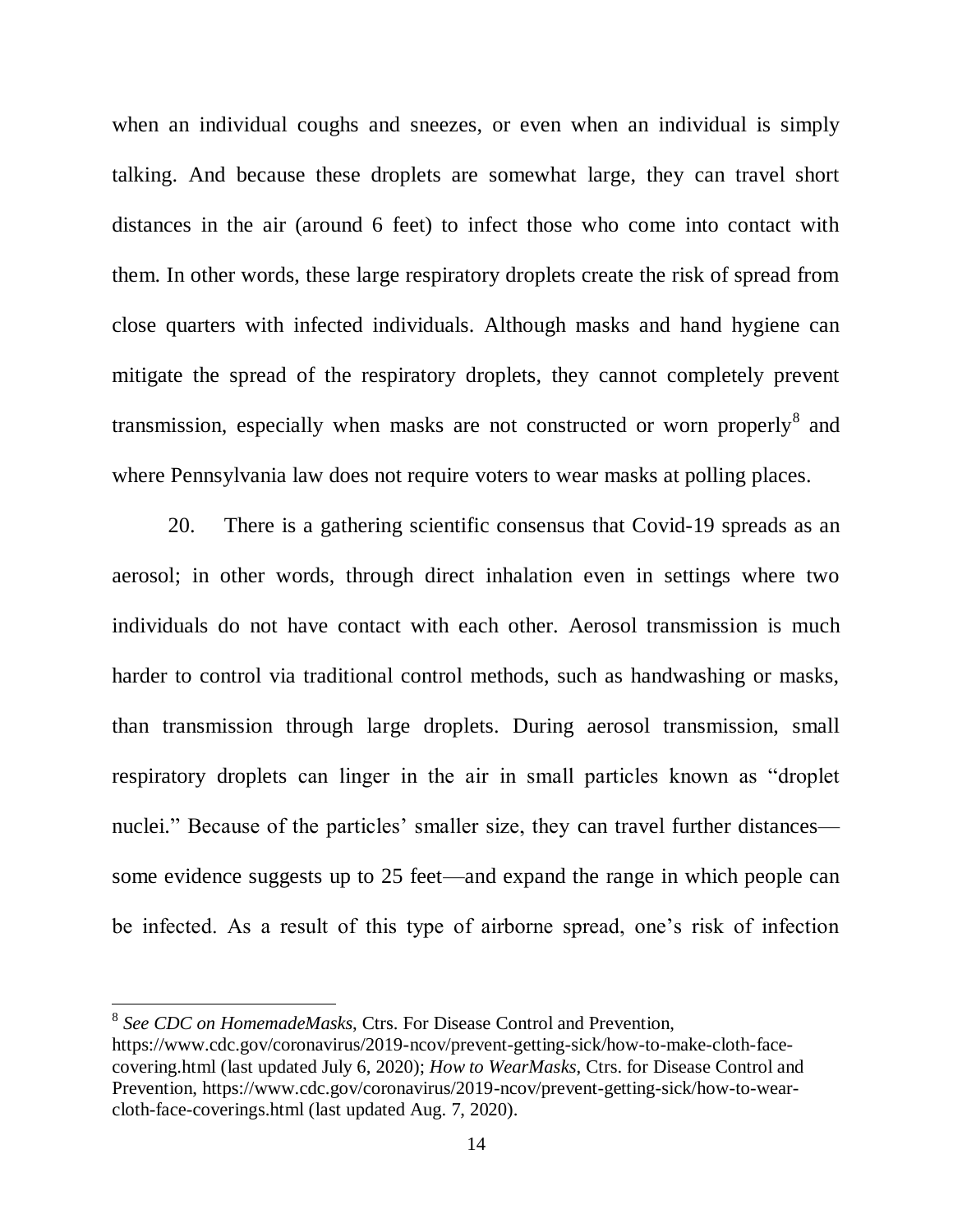when an individual coughs and sneezes, or even when an individual is simply talking. And because these droplets are somewhat large, they can travel short distances in the air (around 6 feet) to infect those who come into contact with them. In other words, these large respiratory droplets create the risk of spread from close quarters with infected individuals. Although masks and hand hygiene can mitigate the spread of the respiratory droplets, they cannot completely prevent transmission, especially when masks are not constructed or worn properly<sup>8</sup> and where Pennsylvania law does not require voters to wear masks at polling places.

20. There is a gathering scientific consensus that Covid-19 spreads as an aerosol; in other words, through direct inhalation even in settings where two individuals do not have contact with each other. Aerosol transmission is much harder to control via traditional control methods, such as handwashing or masks, than transmission through large droplets. During aerosol transmission, small respiratory droplets can linger in the air in small particles known as "droplet nuclei." Because of the particles' smaller size, they can travel further distances some evidence suggests up to 25 feet—and expand the range in which people can be infected. As a result of this type of airborne spread, one's risk of infection

<sup>&</sup>lt;sup>8</sup> See CDC on HomemadeMasks, Ctrs. For Disease Control and Prevention, https://www.cdc.gov/coronavirus/2019-ncov/prevent-getting-sick/how-to-make-cloth-facecovering.html (last updated July 6, 2020); *How to WearMasks*, Ctrs. for Disease Control and Prevention, [https://www.cdc.gov/coronavirus/2019-ncov/prevent-getting-sick/how-to-wear](https://www.cdc.gov/coronavirus/2019-ncov/prevent-getting-sick/how-to-wear-cloth-face-coverings.html)[cloth-face-coverings.html](https://www.cdc.gov/coronavirus/2019-ncov/prevent-getting-sick/how-to-wear-cloth-face-coverings.html) (last updated Aug. 7, 2020).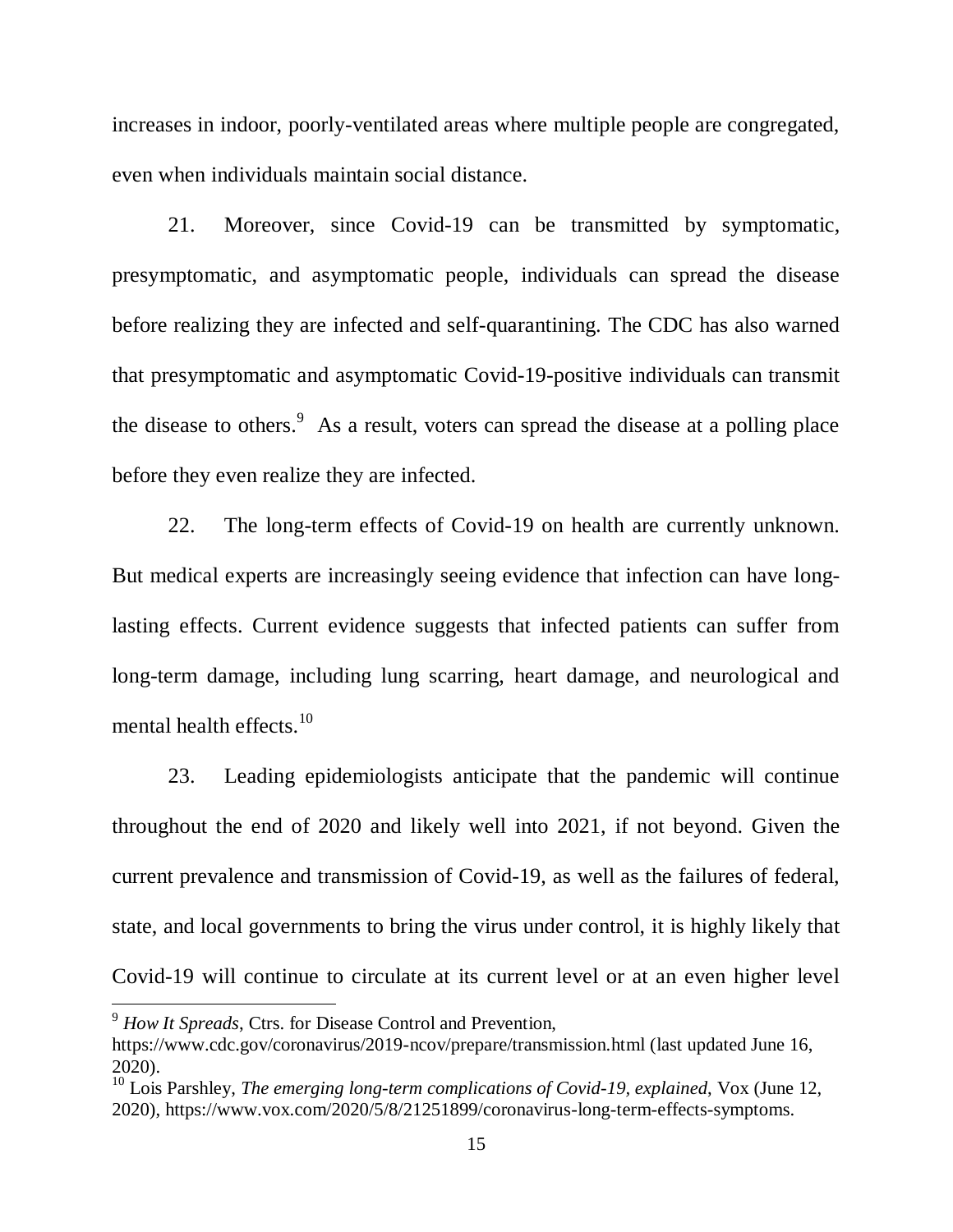increases in indoor, poorly-ventilated areas where multiple people are congregated, even when individuals maintain social distance.

21. Moreover, since Covid-19 can be transmitted by symptomatic, presymptomatic, and asymptomatic people, individuals can spread the disease before realizing they are infected and self-quarantining. The CDC has also warned that presymptomatic and asymptomatic Covid-19-positive individuals can transmit the disease to others. $\frac{9}{8}$  As a result, voters can spread the disease at a polling place before they even realize they are infected.

22. The long-term effects of Covid-19 on health are currently unknown. But medical experts are increasingly seeing evidence that infection can have longlasting effects. Current evidence suggests that infected patients can suffer from long-term damage, including lung scarring, heart damage, and neurological and mental health effects. $10$ 

23. Leading epidemiologists anticipate that the pandemic will continue throughout the end of 2020 and likely well into 2021, if not beyond. Given the current prevalence and transmission of Covid-19, as well as the failures of federal, state, and local governments to bring the virus under control, it is highly likely that Covid-19 will continue to circulate at its current level or at an even higher level

<sup>9</sup> *How It Spreads*, Ctrs. for Disease Control and Prevention,

<https://www.cdc.gov/coronavirus/2019-ncov/prepare/transmission.html> (last updated June 16, 2020).

<sup>10</sup> Lois Parshley, *The emerging long-term complications of Covid-19, explained*, Vox (June 12, 2020), https://www.vox.com/2020/5/8/21251899/coronavirus-long-term-effects-symptoms.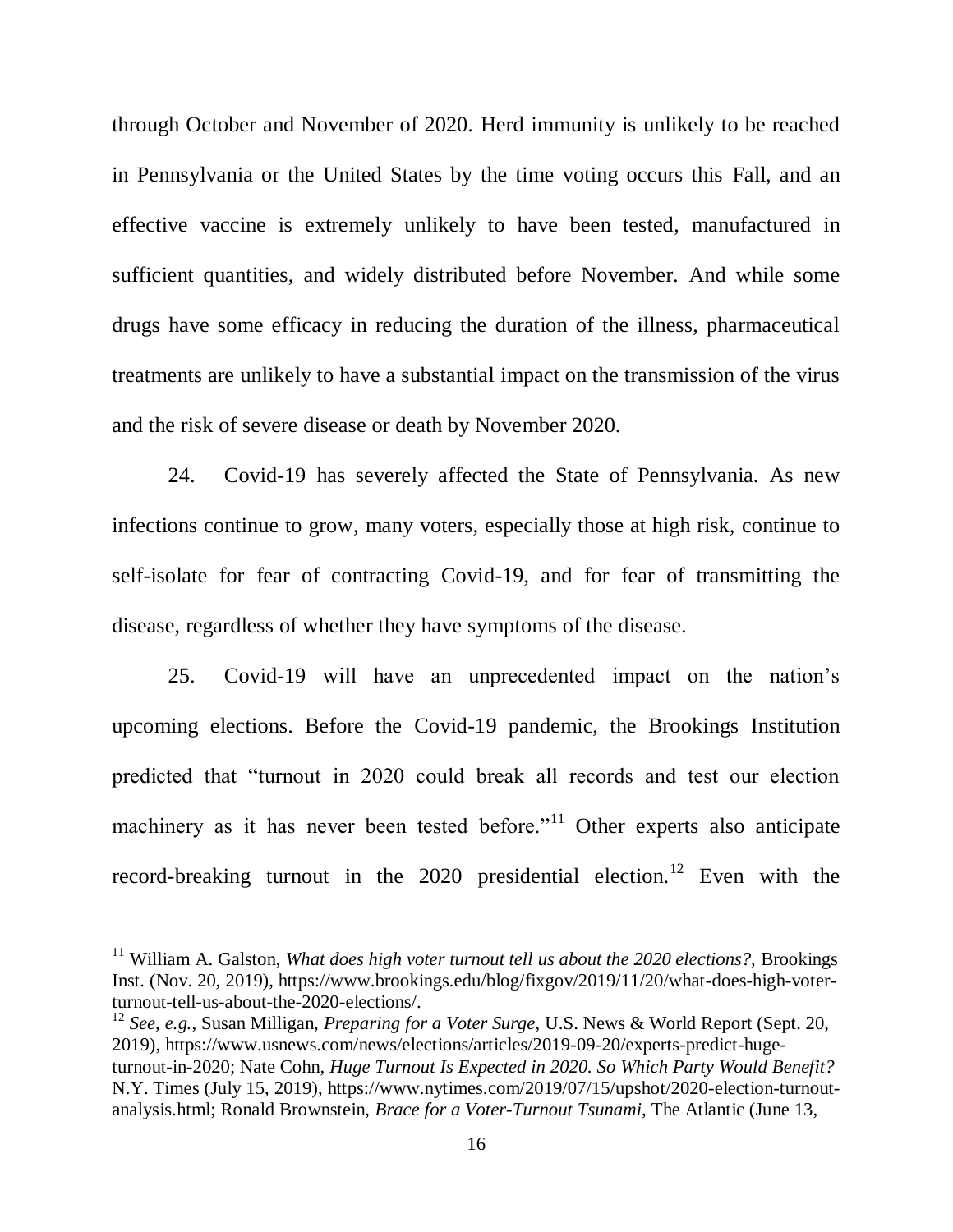through October and November of 2020. Herd immunity is unlikely to be reached in Pennsylvania or the United States by the time voting occurs this Fall, and an effective vaccine is extremely unlikely to have been tested, manufactured in sufficient quantities, and widely distributed before November. And while some drugs have some efficacy in reducing the duration of the illness, pharmaceutical treatments are unlikely to have a substantial impact on the transmission of the virus and the risk of severe disease or death by November 2020.

24. Covid-19 has severely affected the State of Pennsylvania. As new infections continue to grow, many voters, especially those at high risk, continue to self-isolate for fear of contracting Covid-19, and for fear of transmitting the disease, regardless of whether they have symptoms of the disease.

25. Covid-19 will have an unprecedented impact on the nation's upcoming elections. Before the Covid-19 pandemic, the Brookings Institution predicted that "turnout in 2020 could break all records and test our election machinery as it has never been tested before."<sup>11</sup> Other experts also anticipate record-breaking turnout in the  $2020$  presidential election.<sup>12</sup> Even with the

<sup>11</sup> William A. Galston, *What does high voter turnout tell us about the 2020 elections?,* Brookings Inst. (Nov. 20, 2019), https://www.brookings.edu/blog/fixgov/2019/11/20/what-does-high-voterturnout-tell-us-about-the-2020-elections/.

<sup>12</sup> *See, e.g.*, Susan Milligan, *Preparing for a Voter Surge*, U.S. News & World Report (Sept. 20, 2019), https://www.usnews.com/news/elections/articles/2019-09-20/experts-predict-hugeturnout-in-2020; Nate Cohn, *Huge Turnout Is Expected in 2020. So Which Party Would Benefit?*  N.Y. Times (July 15, 2019), https://www.nytimes.com/2019/07/15/upshot/2020-election-turnoutanalysis.html; Ronald Brownstein, *Brace for a Voter-Turnout Tsunami*, The Atlantic (June 13,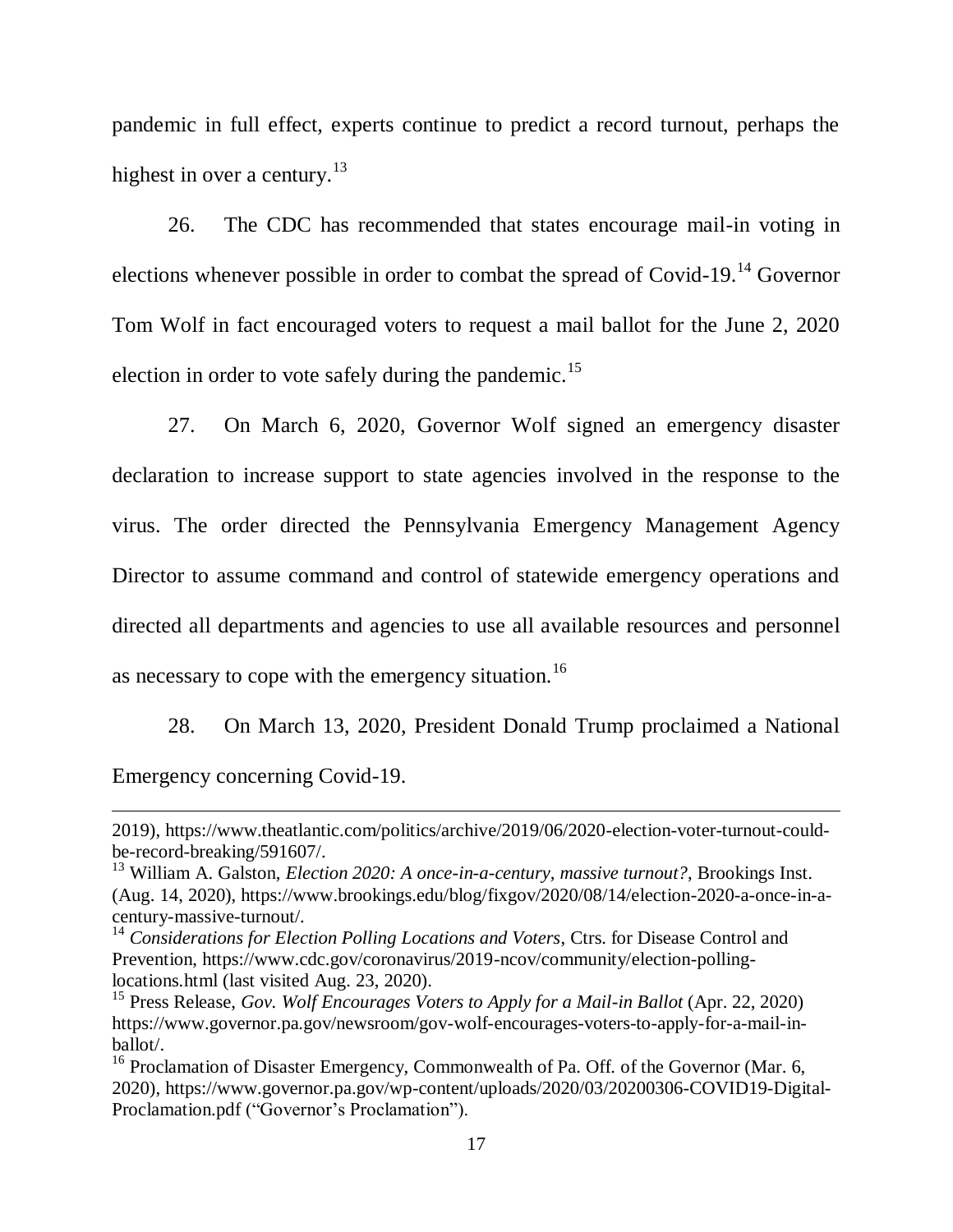pandemic in full effect, experts continue to predict a record turnout, perhaps the highest in over a century.<sup>13</sup>

26. The CDC has recommended that states encourage mail-in voting in elections whenever possible in order to combat the spread of Covid-19.<sup>14</sup> Governor Tom Wolf in fact encouraged voters to request a mail ballot for the June 2, 2020 election in order to vote safely during the pandemic.<sup>15</sup>

27. On March 6, 2020, Governor Wolf signed an emergency disaster declaration to increase support to state agencies involved in the response to the virus. The order directed the Pennsylvania Emergency Management Agency Director to assume command and control of statewide emergency operations and directed all departments and agencies to use all available resources and personnel as necessary to cope with the emergency situation.<sup>16</sup>

28. On March 13, 2020, President Donald Trump proclaimed a National Emergency concerning Covid-19.

<sup>2019),</sup> https://www.theatlantic.com/politics/archive/2019/06/2020-election-voter-turnout-couldbe-record-breaking/591607/.

<sup>13</sup> William A. Galston, *Election 2020: A once-in-a-century, massive turnout?*, Brookings Inst. (Aug. 14, 2020), https://www.brookings.edu/blog/fixgov/2020/08/14/election-2020-a-once-in-acentury-massive-turnout/.

<sup>14</sup> *Considerations for Election Polling Locations and Voters*, Ctrs. for Disease Control and Prevention, [https://www.cdc.gov/coronavirus/2019-ncov/community/election-polling](https://www.cdc.gov/coronavirus/2019-ncov/community/election-polling-locations.html)[locations.html](https://www.cdc.gov/coronavirus/2019-ncov/community/election-polling-locations.html) (last visited Aug. 23, 2020).

<sup>15</sup> Press Release, *Gov. Wolf Encourages Voters to Apply for a Mail-in Ballot* (Apr. 22, 2020) [https://www.governor.pa.gov/newsroom/gov-wolf-encourages-voters-to-apply-for-a-mail-in](https://www.governor.pa.gov/newsroom/gov-wolf-encourages-voters-to-apply-for-a-mail-in-ballot/)[ballot/.](https://www.governor.pa.gov/newsroom/gov-wolf-encourages-voters-to-apply-for-a-mail-in-ballot/)

<sup>&</sup>lt;sup>16</sup> Proclamation of Disaster Emergency, Commonwealth of Pa. Off. of the Governor (Mar. 6, 2020), [https://www.governor.pa.gov/wp-content/uploads/2020/03/20200306-COVID19-Digital-](https://www.governor.pa.gov/wp-content/uploads/2020/03/20200306-COVID19-Digital-Proclamation.pdf)[Proclamation.pdf](https://www.governor.pa.gov/wp-content/uploads/2020/03/20200306-COVID19-Digital-Proclamation.pdf) ("Governor's Proclamation").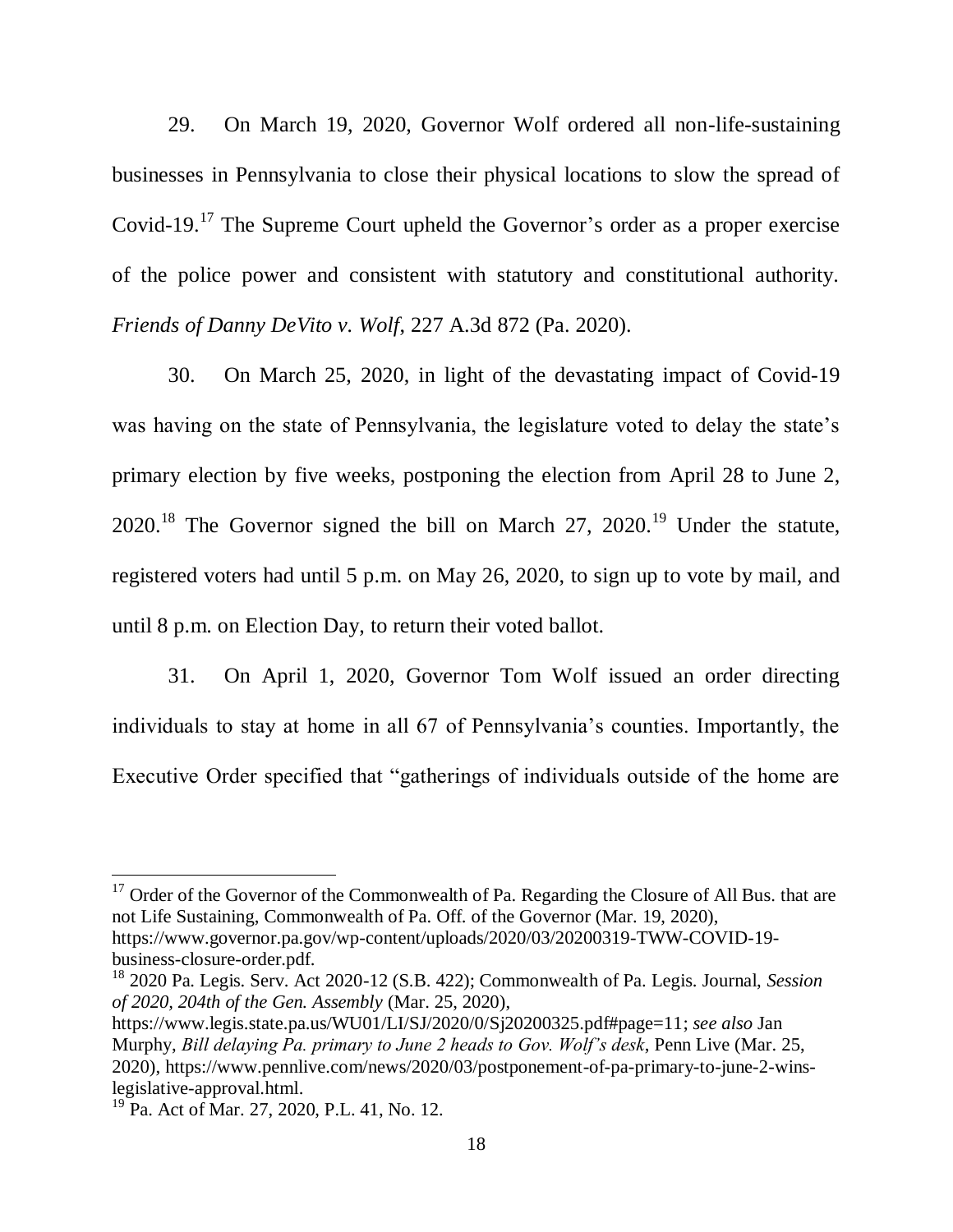29. On March 19, 2020, Governor Wolf ordered all non-life-sustaining businesses in Pennsylvania to close their physical locations to slow the spread of Covid-19.<sup>17</sup> The Supreme Court upheld the Governor's order as a proper exercise of the police power and consistent with statutory and constitutional authority. *Friends of Danny DeVito v. Wolf*, 227 A.3d 872 (Pa. 2020).

30. On March 25, 2020, in light of the devastating impact of Covid-19 was having on the state of Pennsylvania, the legislature voted to delay the state's primary election by five weeks, postponing the election from April 28 to June 2,  $2020$ .<sup>18</sup> The Governor signed the bill on March 27, 2020.<sup>19</sup> Under the statute, registered voters had until 5 p.m. on May 26, 2020, to sign up to vote by mail, and until 8 p.m. on Election Day, to return their voted ballot.

31. On April 1, 2020, Governor Tom Wolf issued an order directing individuals to stay at home in all 67 of Pennsylvania's counties. Importantly, the Executive Order specified that "gatherings of individuals outside of the home are

 $17$  Order of the Governor of the Commonwealth of Pa. Regarding the Closure of All Bus. that are not Life Sustaining, Commonwealth of Pa. Off. of the Governor (Mar. 19, 2020), https://www.governor.pa.gov/wp-content/uploads/2020/03/20200319-TWW-COVID-19 business-closure-order.pdf.

<sup>18</sup> 2020 Pa. Legis. Serv. Act 2020-12 (S.B. 422); Commonwealth of Pa. Legis. Journal, *Session of 2020, 204th of the Gen. Assembly* (Mar. 25, 2020),

https://www.legis.state.pa.us/WU01/LI/SJ/2020/0/Sj20200325.pdf#page=11; *see also* Jan Murphy, *Bill delaying Pa. primary to June 2 heads to Gov. Wolf's desk*, Penn Live (Mar. 25, 2020), https://www.pennlive.com/news/2020/03/postponement-of-pa-primary-to-june-2-winslegislative-approval.html.

<sup>19</sup> Pa. Act of Mar. 27, 2020, P.L. 41, No. 12.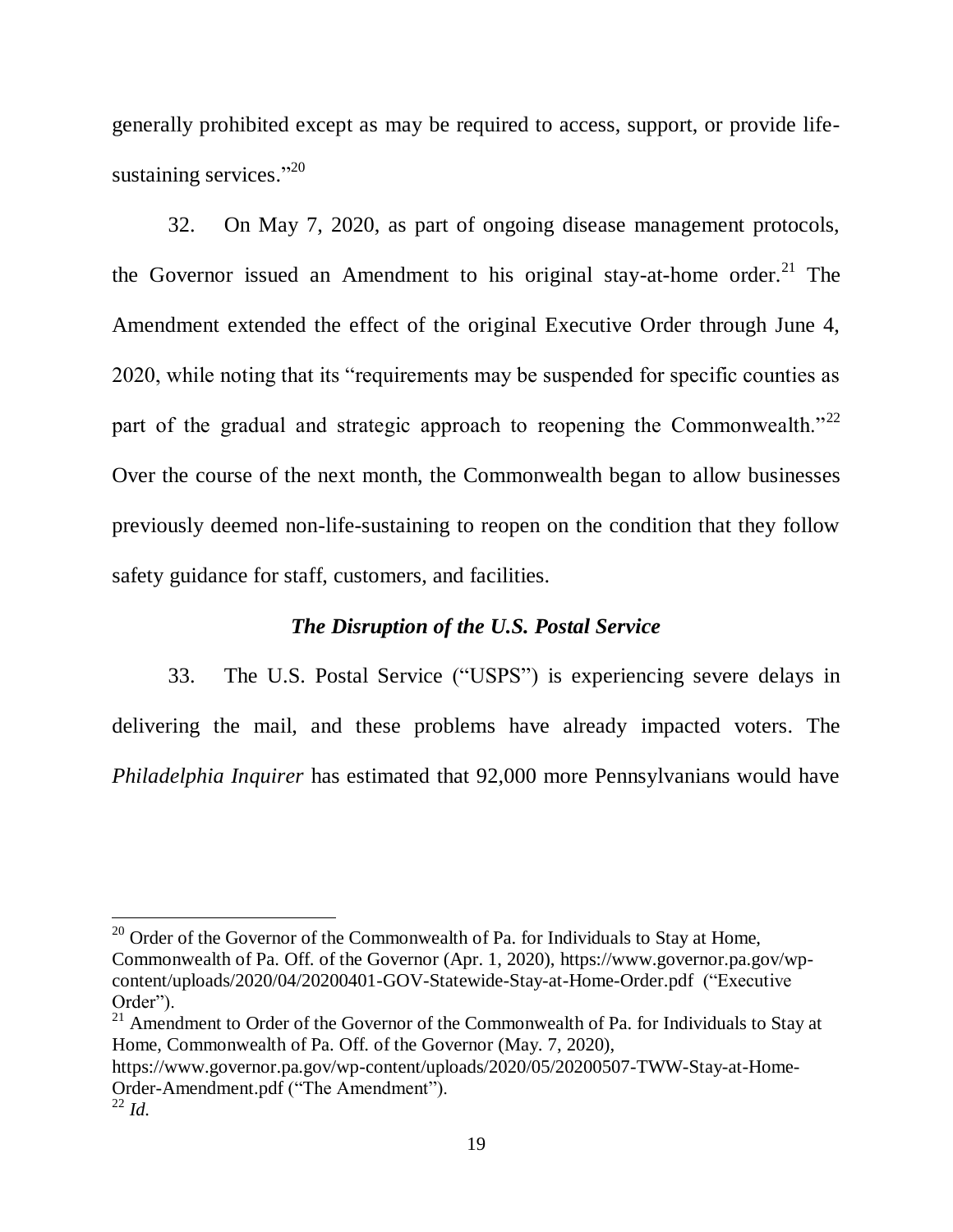generally prohibited except as may be required to access, support, or provide lifesustaining services."<sup>20</sup>

32. On May 7, 2020, as part of ongoing disease management protocols, the Governor issued an Amendment to his original stay-at-home order.<sup>21</sup> The Amendment extended the effect of the original Executive Order through June 4, 2020, while noting that its "requirements may be suspended for specific counties as part of the gradual and strategic approach to reopening the Commonwealth."<sup>22</sup> Over the course of the next month, the Commonwealth began to allow businesses previously deemed non-life-sustaining to reopen on the condition that they follow safety guidance for staff, customers, and facilities.

## *The Disruption of the U.S. Postal Service*

33. The U.S. Postal Service ("USPS") is experiencing severe delays in delivering the mail, and these problems have already impacted voters. The *Philadelphia Inquirer* has estimated that 92,000 more Pennsylvanians would have

 $20$  Order of the Governor of the Commonwealth of Pa. for Individuals to Stay at Home, Commonwealth of Pa. Off. of the Governor (Apr. 1, 2020), https://www.governor.pa.gov/wpcontent/uploads/2020/04/20200401-GOV-Statewide-Stay-at-Home-Order.pdf ("Executive Order").

 $21$  Amendment to Order of the Governor of the Commonwealth of Pa. for Individuals to Stay at Home, Commonwealth of Pa. Off. of the Governor (May. 7, 2020),

https://www.governor.pa.gov/wp-content/uploads/2020/05/20200507-TWW-Stay-at-Home-Order-Amendment.pdf ("The Amendment").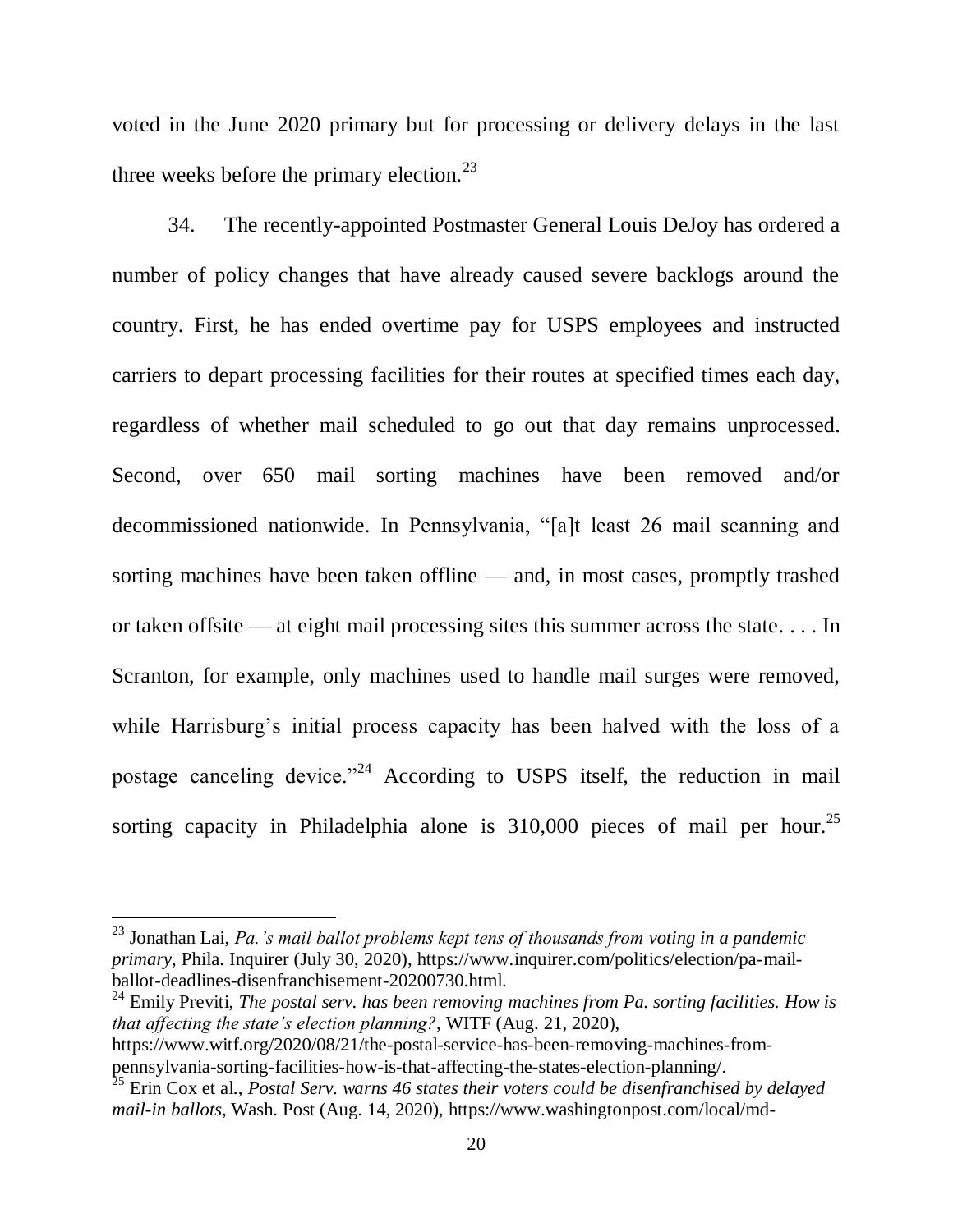voted in the June 2020 primary but for processing or delivery delays in the last three weeks before the primary election.<sup>23</sup>

34. The recently-appointed Postmaster General Louis DeJoy has ordered a number of policy changes that have already caused severe backlogs around the country. First, he has ended overtime pay for USPS employees and instructed carriers to depart processing facilities for their routes at specified times each day, regardless of whether mail scheduled to go out that day remains unprocessed. Second, over 650 mail sorting machines have been removed and/or decommissioned nationwide. In Pennsylvania, "[a]t least 26 mail scanning and sorting machines have been taken offline — and, in most cases, promptly trashed or taken offsite — at eight mail processing sites this summer across the state. . . . In Scranton, for example, only machines used to handle mail surges were removed, while Harrisburg's initial process capacity has been halved with the loss of a postage canceling device."<sup>24</sup> According to USPS itself, the reduction in mail sorting capacity in Philadelphia alone is 310,000 pieces of mail per hour.<sup>25</sup>

 $\overline{a}$ 

<sup>24</sup> Emily Previti, *The postal serv. has been removing machines from Pa. sorting facilities. How is that affecting the state's election planning?*, WITF (Aug. 21, 2020), https://www.witf.org/2020/08/21/the-postal-service-has-been-removing-machines-frompennsylvania-sorting-facilities-how-is-that-affecting-the-states-election-planning/.

<sup>23</sup> Jonathan Lai, *Pa.'s mail ballot problems kept tens of thousands from voting in a pandemic primary*, Phila. Inquirer (July 30, 2020), [https://www.inquirer.com/politics/election/pa-mail](https://www.inquirer.com/politics/election/pa-mail-ballot-deadlines-disenfranchisement-20200730.html)[ballot-deadlines-disenfranchisement-20200730.html.](https://www.inquirer.com/politics/election/pa-mail-ballot-deadlines-disenfranchisement-20200730.html)

<sup>25</sup> Erin Cox et al., *Postal Serv. warns 46 states their voters could be disenfranchised by delayed mail-in ballots*, Wash. Post (Aug. 14, 2020), https://www.washingtonpost.com/local/md-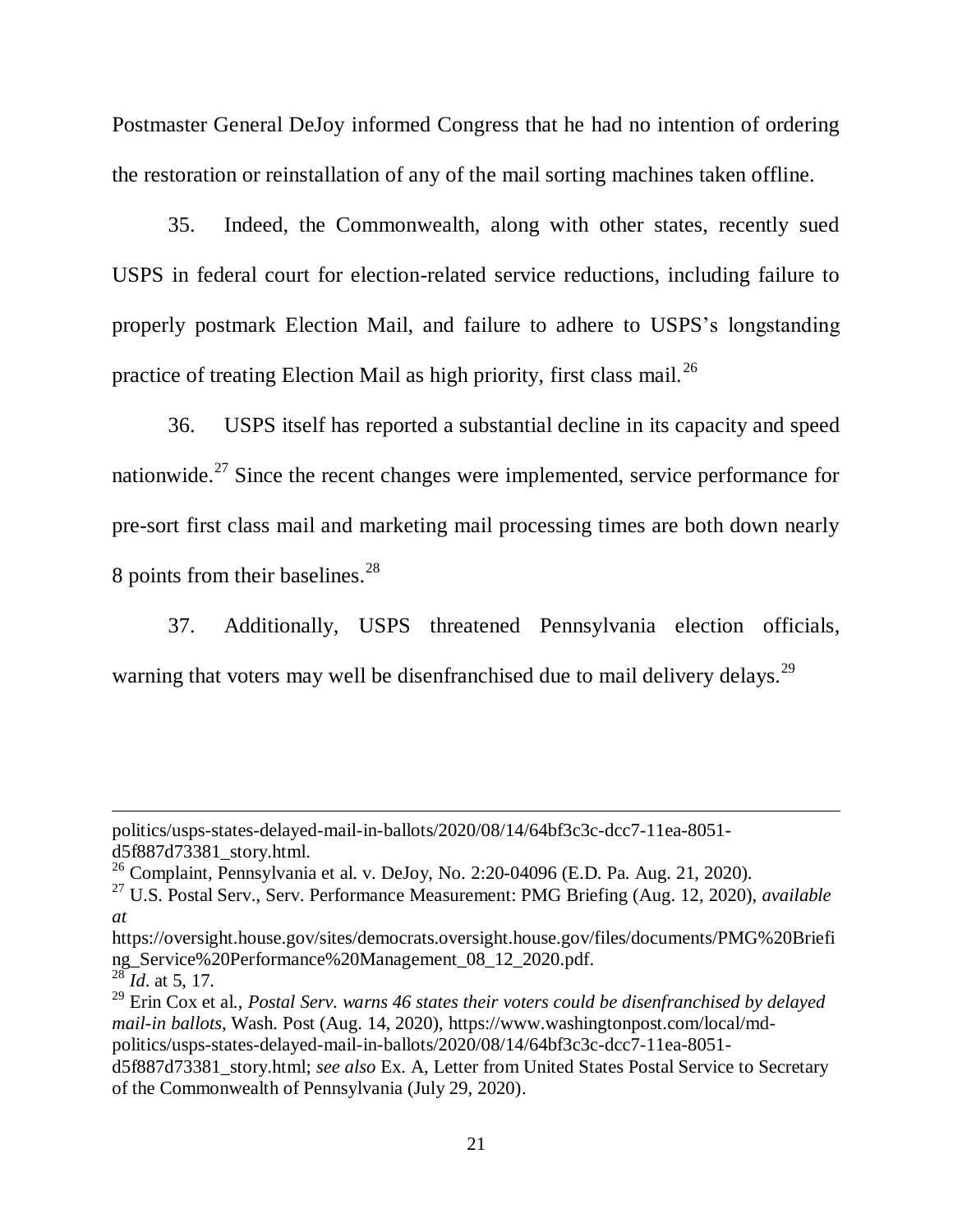Postmaster General DeJoy informed Congress that he had no intention of ordering the restoration or reinstallation of any of the mail sorting machines taken offline.

35. Indeed, the Commonwealth, along with other states, recently sued USPS in federal court for election-related service reductions, including failure to properly postmark Election Mail, and failure to adhere to USPS's longstanding practice of treating Election Mail as high priority, first class mail.<sup>26</sup>

36. USPS itself has reported a substantial decline in its capacity and speed nationwide.<sup>27</sup> Since the recent changes were implemented, service performance for pre-sort first class mail and marketing mail processing times are both down nearly 8 points from their baselines.<sup>28</sup>

37. Additionally, USPS threatened Pennsylvania election officials, warning that voters may well be disenfranchised due to mail delivery delays.<sup>29</sup>

politics/usps-states-delayed-mail-in-ballots/2020/08/14/64bf3c3c-dcc7-11ea-8051 d5f887d73381\_story.html.

<sup>26</sup> Complaint, Pennsylvania et al. v. DeJoy, No. 2:20-04096 (E.D. Pa. Aug. 21, 2020).

<sup>27</sup> U.S. Postal Serv., Serv. Performance Measurement: PMG Briefing (Aug. 12, 2020), *available at* 

https://oversight.house.gov/sites/democrats.oversight.house.gov/files/documents/PMG%20Briefi ng Service%20Performance%20Management\_08\_12\_2020.pdf.

<sup>28</sup> *Id*. at 5, 17.

<sup>29</sup> Erin Cox et al., *Postal Serv. warns 46 states their voters could be disenfranchised by delayed mail-in ballots*, Wash. Post (Aug. 14, 2020), https://www.washingtonpost.com/local/mdpolitics/usps-states-delayed-mail-in-ballots/2020/08/14/64bf3c3c-dcc7-11ea-8051 d5f887d73381\_story.html; *see also* Ex. A, Letter from United States Postal Service to Secretary of the Commonwealth of Pennsylvania (July 29, 2020).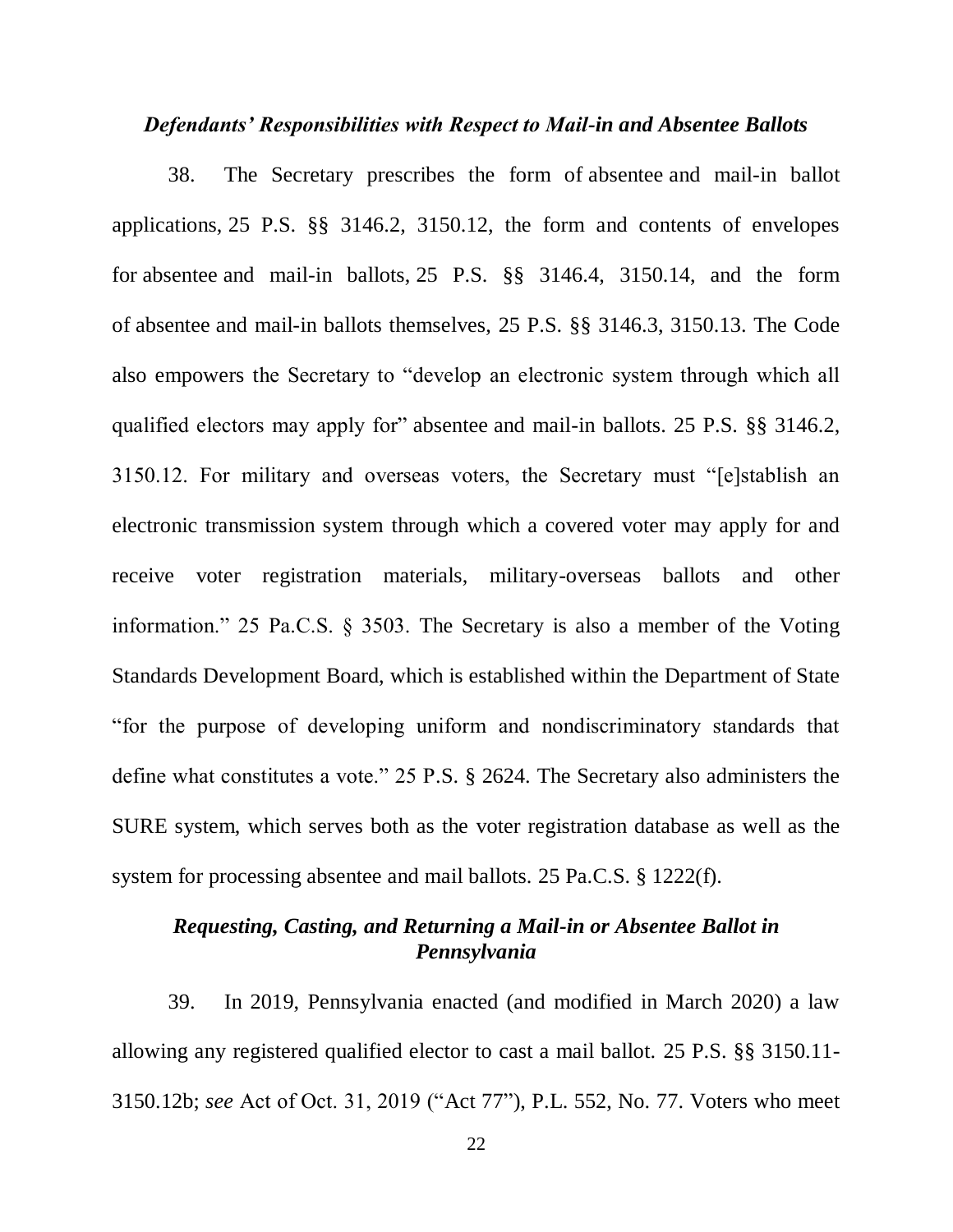#### *Defendants' Responsibilities with Respect to Mail-in and Absentee Ballots*

38. The Secretary prescribes the form of absentee and mail-in ballot applications, 25 P.S. §§ 3146.2, 3150.12, the form and contents of envelopes for absentee and mail-in ballots, 25 P.S. §§ 3146.4, 3150.14, and the form of absentee and mail-in ballots themselves, 25 P.S. §§ 3146.3, 3150.13. The Code also empowers the Secretary to "develop an electronic system through which all qualified electors may apply for" absentee and mail-in ballots. 25 P.S. §§ 3146.2, 3150.12. For military and overseas voters, the Secretary must "[e]stablish an electronic transmission system through which a covered voter may apply for and receive voter registration materials, military-overseas ballots and other information." 25 Pa.C.S. § 3503. The Secretary is also a member of the Voting Standards Development Board, which is established within the Department of State "for the purpose of developing uniform and nondiscriminatory standards that define what constitutes a vote." 25 P.S. § 2624. The Secretary also administers the SURE system, which serves both as the voter registration database as well as the system for processing absentee and mail ballots. 25 Pa.C.S. § 1222(f).

# *Requesting, Casting, and Returning a Mail-in or Absentee Ballot in Pennsylvania*

39. In 2019, Pennsylvania enacted (and modified in March 2020) a law allowing any registered qualified elector to cast a mail ballot. 25 P.S. §§ 3150.11- 3150.12b; *see* Act of Oct. 31, 2019 ("Act 77"), P.L. 552, No. 77. Voters who meet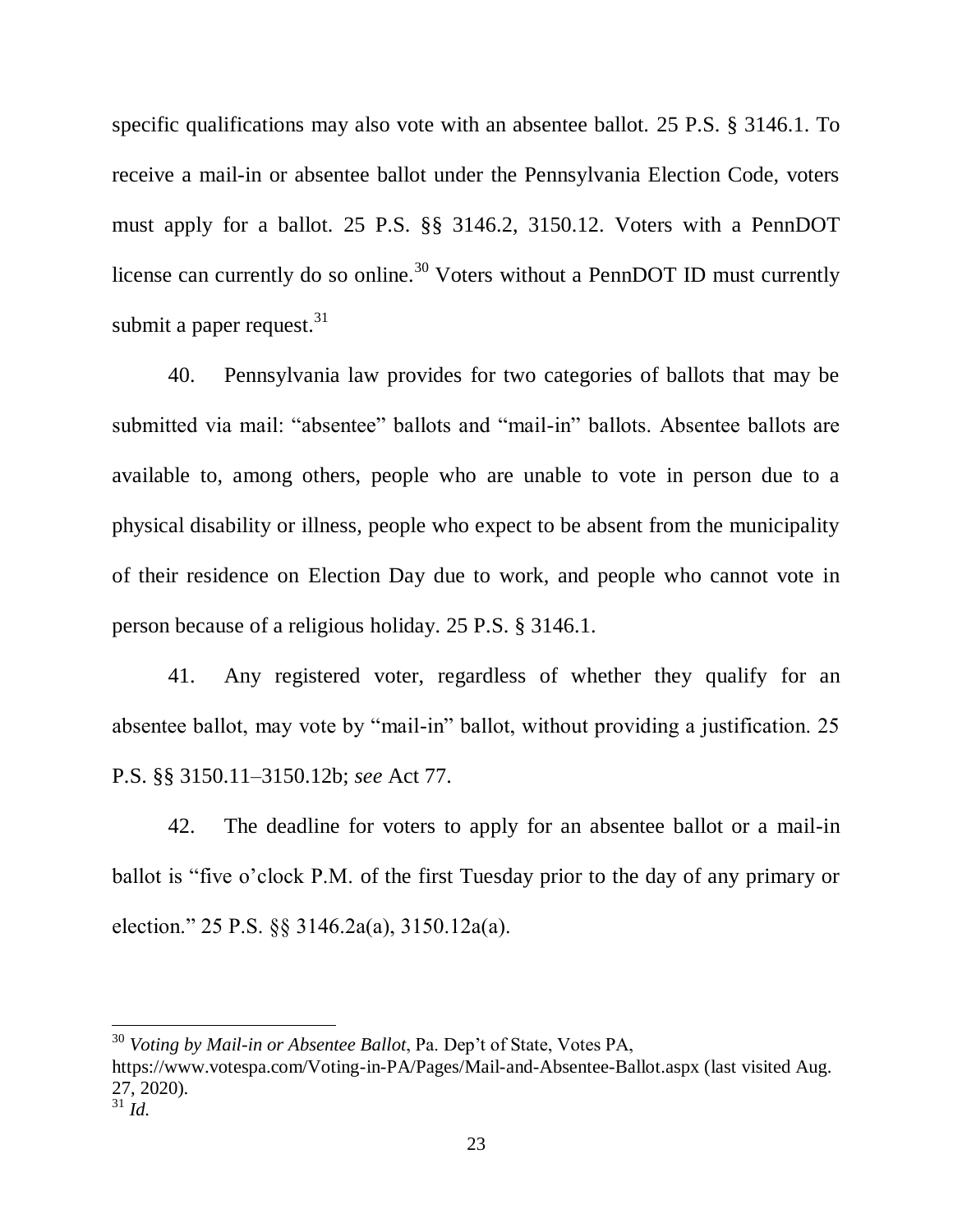specific qualifications may also vote with an absentee ballot. 25 P.S. § 3146.1. To receive a mail-in or absentee ballot under the Pennsylvania Election Code, voters must apply for a ballot. 25 P.S. §§ 3146.2, 3150.12. Voters with a PennDOT license can currently do so online.<sup>30</sup> Voters without a PennDOT ID must currently submit a paper request. $31$ 

40. Pennsylvania law provides for two categories of ballots that may be submitted via mail: "absentee" ballots and "mail-in" ballots. Absentee ballots are available to, among others, people who are unable to vote in person due to a physical disability or illness, people who expect to be absent from the municipality of their residence on Election Day due to work, and people who cannot vote in person because of a religious holiday. 25 P.S. § 3146.1.

41. Any registered voter, regardless of whether they qualify for an absentee ballot, may vote by "mail-in" ballot, without providing a justification. 25 P.S. §§ 3150.11–3150.12b; *see* Act 77.

42. The deadline for voters to apply for an absentee ballot or a mail-in ballot is "five o'clock P.M. of the first Tuesday prior to the day of any primary or election." 25 P.S. §§ 3146.2a(a), 3150.12a(a).

<sup>30</sup> *Voting by Mail-in or Absentee Ballot*, Pa. Dep't of State, Votes PA,

https://www.votespa.com/Voting-in-PA/Pages/Mail-and-Absentee-Ballot.aspx (last visited Aug. 27, 2020).

 $^{31}$  *Id.*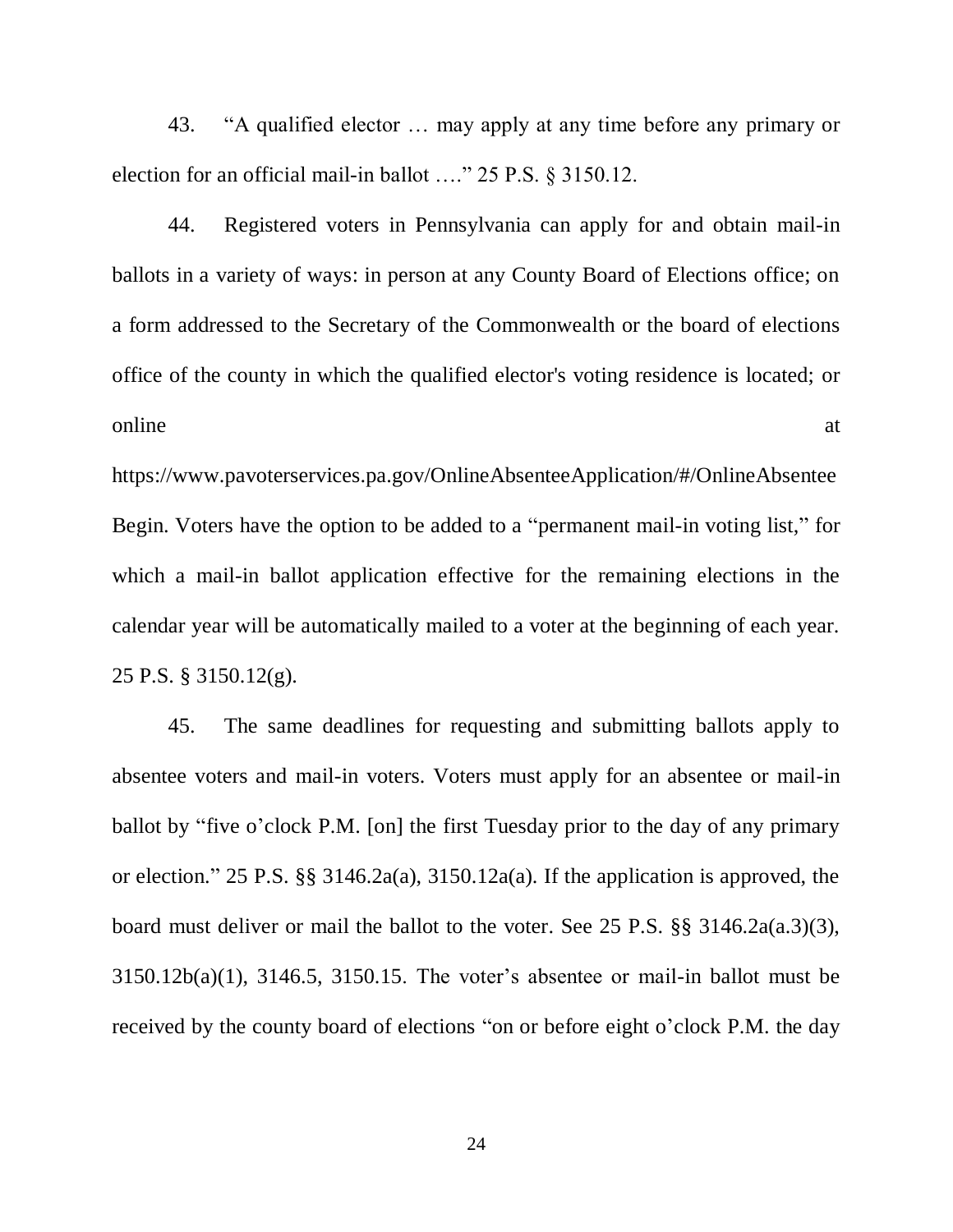43. "A qualified elector … may apply at any time before any primary or election for an official mail-in ballot …." 25 P.S. § 3150.12.

44. Registered voters in Pennsylvania can apply for and obtain mail-in ballots in a variety of ways: in person at any County Board of Elections office; on a form addressed to the Secretary of the Commonwealth or the board of elections office of the county in which the qualified elector's voting residence is located; or online at a set of  $\alpha$  at a set of  $\alpha$  at a set of  $\alpha$  at a set of  $\alpha$  at a set of  $\alpha$  at a set of  $\alpha$  at a set of  $\alpha$  at a set of  $\alpha$  at a set of  $\alpha$  at a set of  $\alpha$  at a set of  $\alpha$  at a set of  $\alpha$  at a set of

[https://www.pavoterservices.pa.gov/OnlineAbsenteeApplication/#/OnlineAbsentee](https://www.pavoterservices.pa.gov/OnlineAbsenteeApplication/#/OnlineAbsenteeBegin) [Begin.](https://www.pavoterservices.pa.gov/OnlineAbsenteeApplication/#/OnlineAbsenteeBegin) Voters have the option to be added to a "permanent mail-in voting list," for which a mail-in ballot application effective for the remaining elections in the calendar year will be automatically mailed to a voter at the beginning of each year. 25 P.S. § 3150.12(g).

45. The same deadlines for requesting and submitting ballots apply to absentee voters and mail-in voters. Voters must apply for an absentee or mail-in ballot by "five o'clock P.M. [on] the first Tuesday prior to the day of any primary or election." 25 P.S. §§ 3146.2a(a), 3150.12a(a). If the application is approved, the board must deliver or mail the ballot to the voter. See 25 P.S. §§ 3146.2a(a.3)(3),  $3150.12b(a)(1)$ ,  $3146.5$ ,  $3150.15$ . The voter's absentee or mail-in ballot must be received by the county board of elections "on or before eight o'clock P.M. the day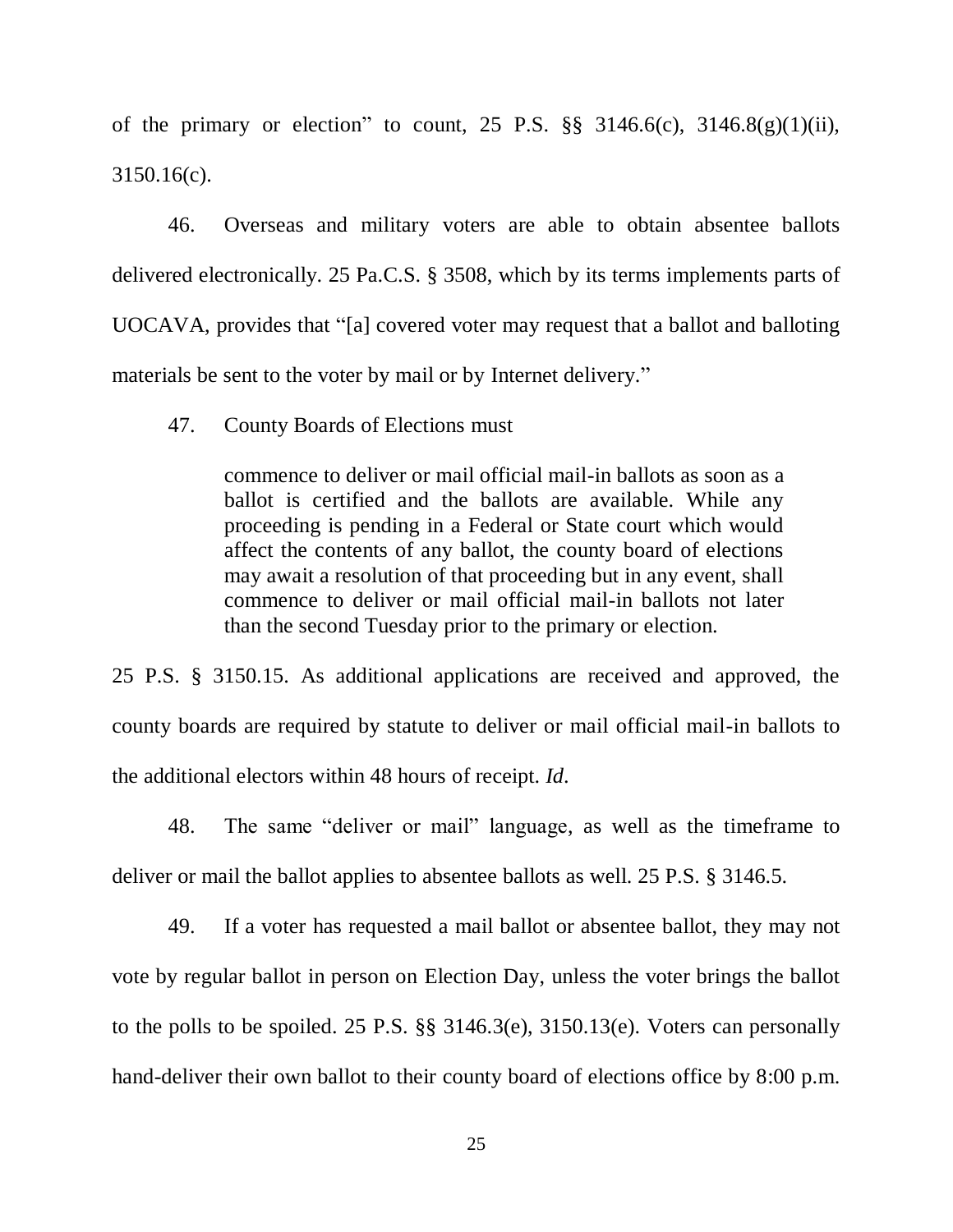of the primary or election" to count,  $25$  P.S.  $\S$   $3146.6(c)$ ,  $3146.8(g)(1)(ii)$ , 3150.16(c).

46. Overseas and military voters are able to obtain absentee ballots delivered electronically. 25 Pa.C.S. § 3508, which by its terms implements parts of UOCAVA, provides that "[a] covered voter may request that a ballot and balloting materials be sent to the voter by mail or by Internet delivery."

47. County Boards of Elections must

commence to deliver or mail official mail-in ballots as soon as a ballot is certified and the ballots are available. While any proceeding is pending in a Federal or State court which would affect the contents of any ballot, the county board of elections may await a resolution of that proceeding but in any event, shall commence to deliver or mail official mail-in ballots not later than the second Tuesday prior to the primary or election.

25 P.S. § 3150.15. As additional applications are received and approved, the county boards are required by statute to deliver or mail official mail-in ballots to the additional electors within 48 hours of receipt. *Id*.

48. The same "deliver or mail" language, as well as the timeframe to deliver or mail the ballot applies to absentee ballots as well. 25 P.S. § 3146.5.

49. If a voter has requested a mail ballot or absentee ballot, they may not vote by regular ballot in person on Election Day, unless the voter brings the ballot to the polls to be spoiled. 25 P.S. §§ 3146.3(e), 3150.13(e). Voters can personally hand-deliver their own ballot to their county board of elections office by 8:00 p.m.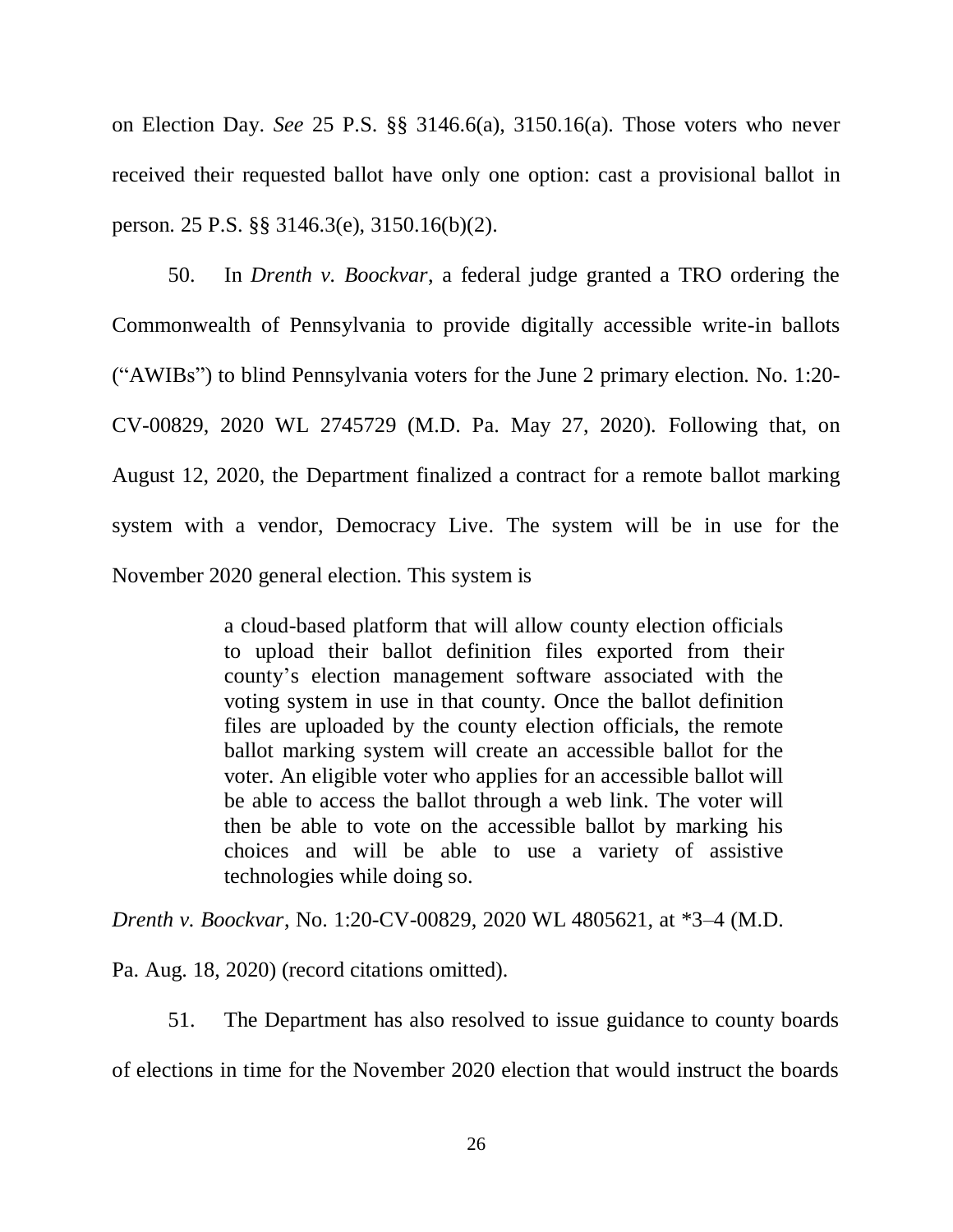on Election Day. *See* 25 P.S. §§ 3146.6(a), 3150.16(a). Those voters who never received their requested ballot have only one option: cast a provisional ballot in person. 25 P.S. §§ 3146.3(e), 3150.16(b)(2).

50. In *Drenth v. Boockvar*, a federal judge granted a TRO ordering the Commonwealth of Pennsylvania to provide digitally accessible write-in ballots ("AWIBs") to blind Pennsylvania voters for the June 2 primary election. No. 1:20- CV-00829, 2020 WL 2745729 (M.D. Pa. May 27, 2020). Following that, on August 12, 2020, the Department finalized a contract for a remote ballot marking system with a vendor, Democracy Live. The system will be in use for the November 2020 general election. This system is

> a cloud-based platform that will allow county election officials to upload their ballot definition files exported from their county's election management software associated with the voting system in use in that county. Once the ballot definition files are uploaded by the county election officials, the remote ballot marking system will create an accessible ballot for the voter. An eligible voter who applies for an accessible ballot will be able to access the ballot through a web link. The voter will then be able to vote on the accessible ballot by marking his choices and will be able to use a variety of assistive technologies while doing so.

*Drenth v. Boockvar*, No. 1:20-CV-00829, 2020 WL 4805621, at \*3–4 (M.D.

Pa. Aug. 18, 2020) (record citations omitted).

51. The Department has also resolved to issue guidance to county boards of elections in time for the November 2020 election that would instruct the boards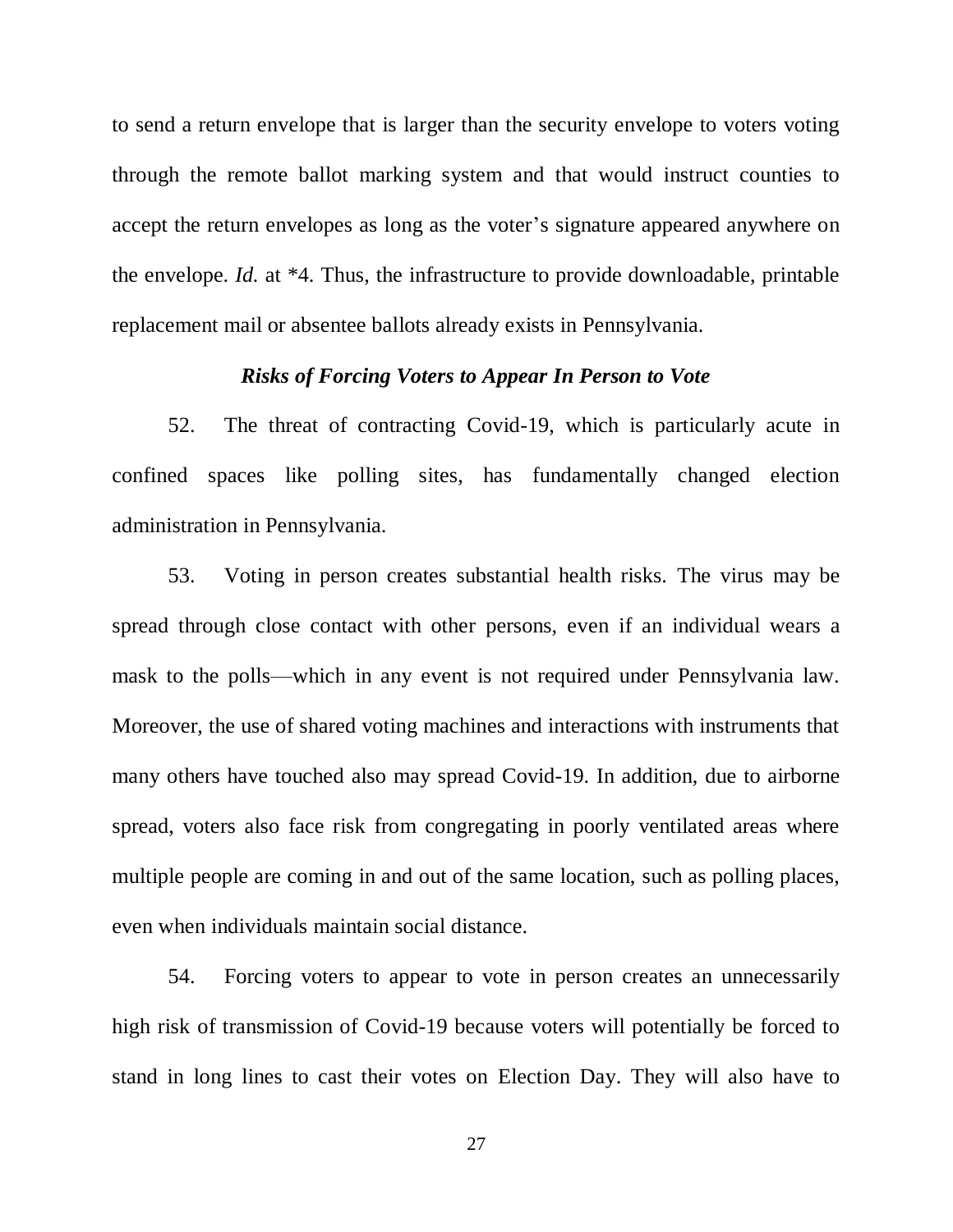to send a return envelope that is larger than the security envelope to voters voting through the remote ballot marking system and that would instruct counties to accept the return envelopes as long as the voter's signature appeared anywhere on the envelope. *Id.* at \*4. Thus, the infrastructure to provide downloadable, printable replacement mail or absentee ballots already exists in Pennsylvania.

## *Risks of Forcing Voters to Appear In Person to Vote*

52. The threat of contracting Covid-19, which is particularly acute in confined spaces like polling sites, has fundamentally changed election administration in Pennsylvania.

53. Voting in person creates substantial health risks. The virus may be spread through close contact with other persons, even if an individual wears a mask to the polls—which in any event is not required under Pennsylvania law. Moreover, the use of shared voting machines and interactions with instruments that many others have touched also may spread Covid-19. In addition, due to airborne spread, voters also face risk from congregating in poorly ventilated areas where multiple people are coming in and out of the same location, such as polling places, even when individuals maintain social distance.

54. Forcing voters to appear to vote in person creates an unnecessarily high risk of transmission of Covid-19 because voters will potentially be forced to stand in long lines to cast their votes on Election Day. They will also have to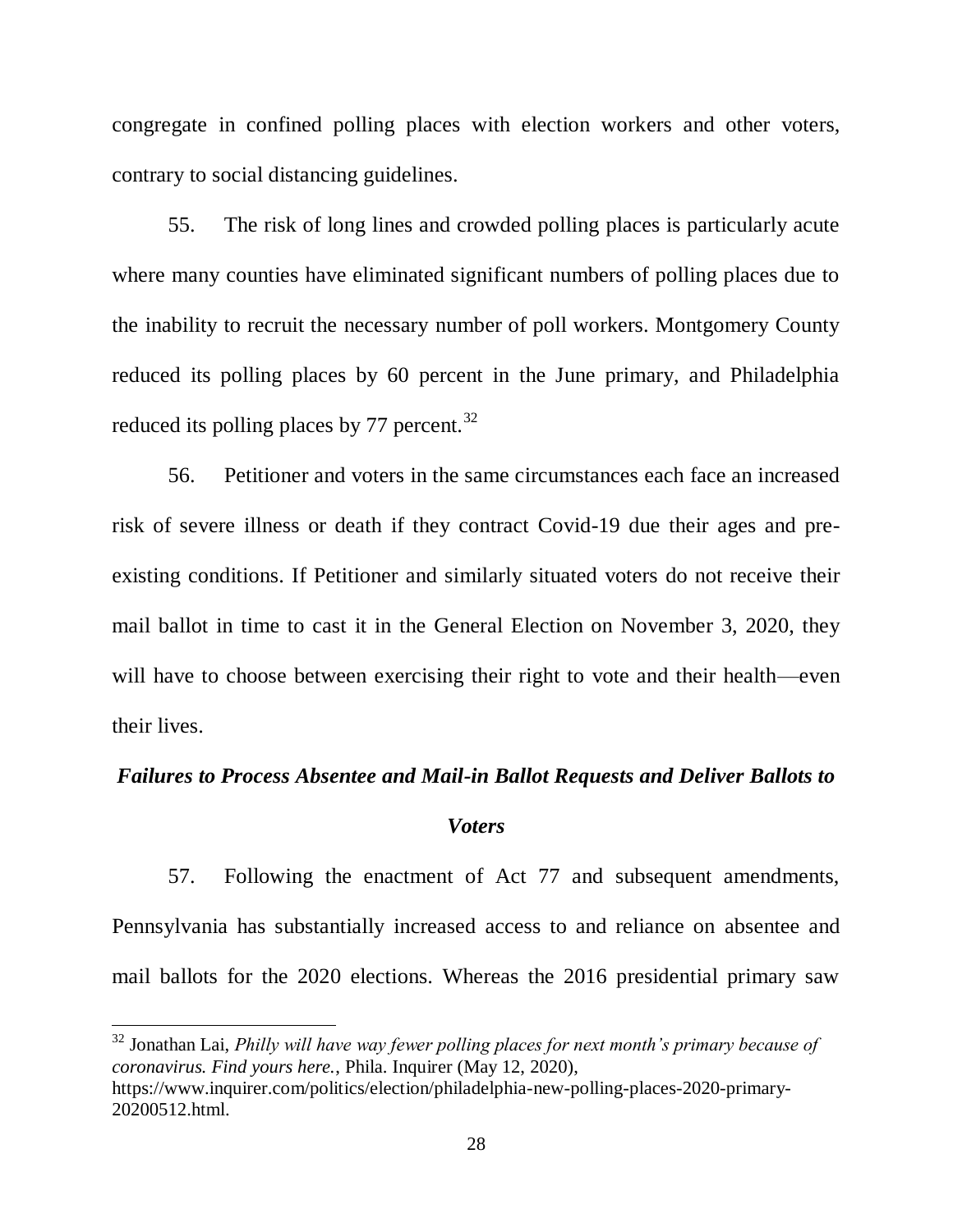congregate in confined polling places with election workers and other voters, contrary to social distancing guidelines.

55. The risk of long lines and crowded polling places is particularly acute where many counties have eliminated significant numbers of polling places due to the inability to recruit the necessary number of poll workers. Montgomery County reduced its polling places by 60 percent in the June primary, and Philadelphia reduced its polling places by 77 percent.<sup>32</sup>

56. Petitioner and voters in the same circumstances each face an increased risk of severe illness or death if they contract Covid-19 due their ages and preexisting conditions. If Petitioner and similarly situated voters do not receive their mail ballot in time to cast it in the General Election on November 3, 2020, they will have to choose between exercising their right to vote and their health—even their lives.

#### *Failures to Process Absentee and Mail-in Ballot Requests and Deliver Ballots to*

#### *Voters*

57. Following the enactment of Act 77 and subsequent amendments, Pennsylvania has substantially increased access to and reliance on absentee and mail ballots for the 2020 elections. Whereas the 2016 presidential primary saw

<sup>32</sup> Jonathan Lai, *Philly will have way fewer polling places for next month's primary because of coronavirus. Find yours here.*, Phila. Inquirer (May 12, 2020), [https://www.inquirer.com/politics/election/philadelphia-new-polling-places-2020-primary-](https://www.inquirer.com/politics/election/philadelphia-new-polling-places-2020-primary-20200512.html)[20200512.html.](https://www.inquirer.com/politics/election/philadelphia-new-polling-places-2020-primary-20200512.html)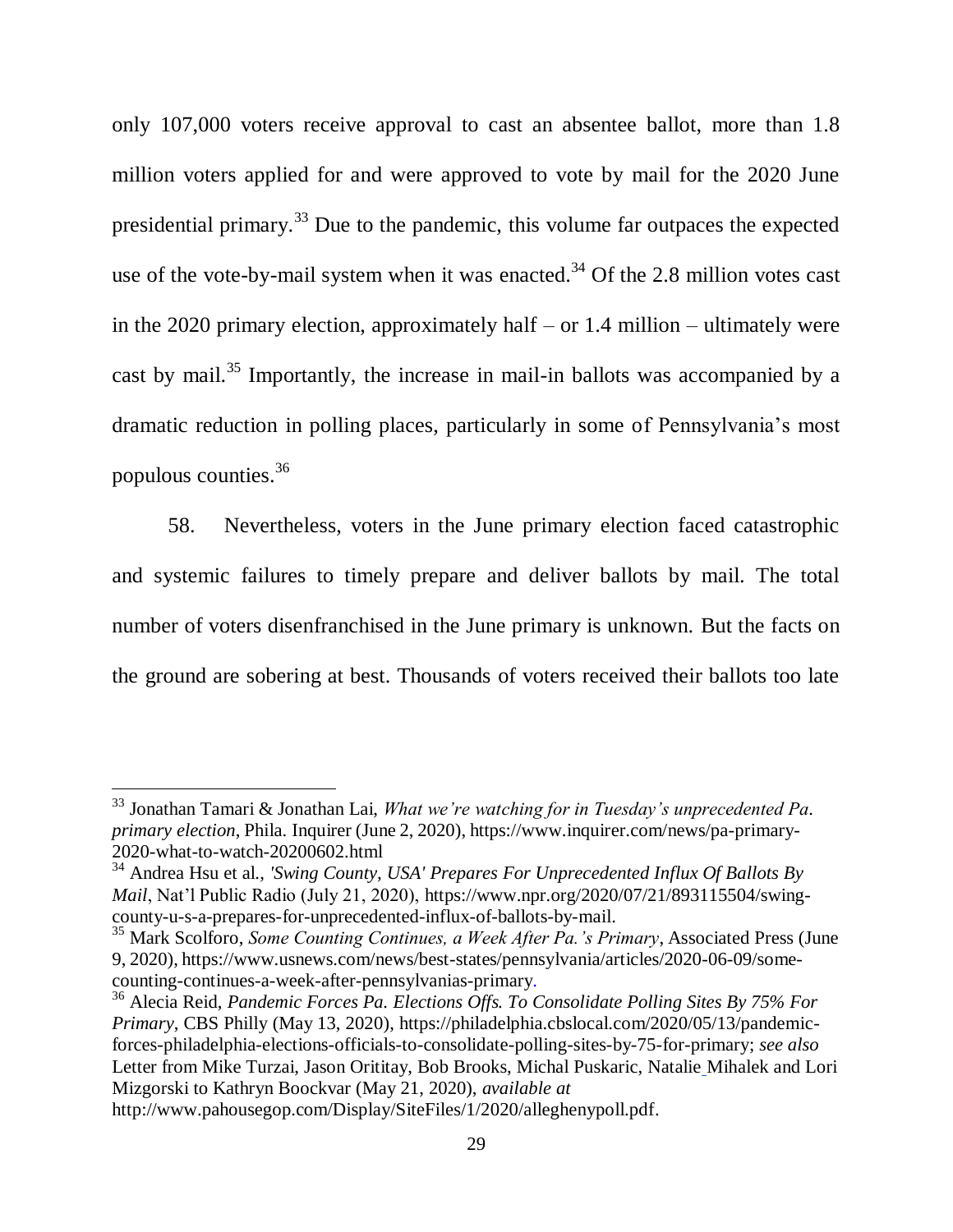only 107,000 voters receive approval to cast an absentee ballot, more than 1.8 million voters applied for and were approved to vote by mail for the 2020 June presidential primary.<sup>33</sup> Due to the pandemic, this volume far outpaces the expected use of the vote-by-mail system when it was enacted.<sup>34</sup> Of the 2.8 million votes cast in the 2020 primary election, approximately half – or  $1.4$  million – ultimately were cast by mail.<sup>35</sup> Importantly, the increase in mail-in ballots was accompanied by a dramatic reduction in polling places, particularly in some of Pennsylvania's most populous counties.<sup>36</sup>

58. Nevertheless, voters in the June primary election faced catastrophic and systemic failures to timely prepare and deliver ballots by mail. The total number of voters disenfranchised in the June primary is unknown. But the facts on the ground are sobering at best. Thousands of voters received their ballots too late

<sup>33</sup> Jonathan Tamari & Jonathan Lai, *What we're watching for in Tuesday's unprecedented Pa. primary election*, Phila. Inquirer (June 2, 2020), https://www.inquirer.com/news/pa-primary-2020-what-to-watch-20200602.html

<sup>34</sup> Andrea Hsu et al., *'Swing County, USA' Prepares For Unprecedented Influx Of Ballots By Mail*, Nat'l Public Radio (July 21, 2020), https://www.npr.org/2020/07/21/893115504/swingcounty-u-s-a-prepares-for-unprecedented-influx-of-ballots-by-mail.

<sup>35</sup> Mark Scolforo, *Some Counting Continues, a Week After Pa.'s Primary*, Associated Press (June 9, 2020), https://www.usnews.com/news/best-states/pennsylvania/articles/2020-06-09/somecounting-continues-a-week-after-pennsylvanias-primary.

<sup>36</sup> Alecia Reid, *Pandemic Forces Pa. Elections Offs. To Consolidate Polling Sites By 75% For Primary*, CBS Philly (May 13, 2020), https://philadelphia.cbslocal.com/2020/05/13/pandemicforces-philadelphia-elections-officials-to-consolidate-polling-sites-by-75-for-primary; *see also* Letter from Mike Turzai, Jason Orititay, Bob Brooks, Michal Puskaric, Natalie Mihalek and Lori Mizgorski to Kathryn Boockvar (May 21, 2020), *available at*

http://www.pahousegop.com/Display/SiteFiles/1/2020/alleghenypoll.pdf.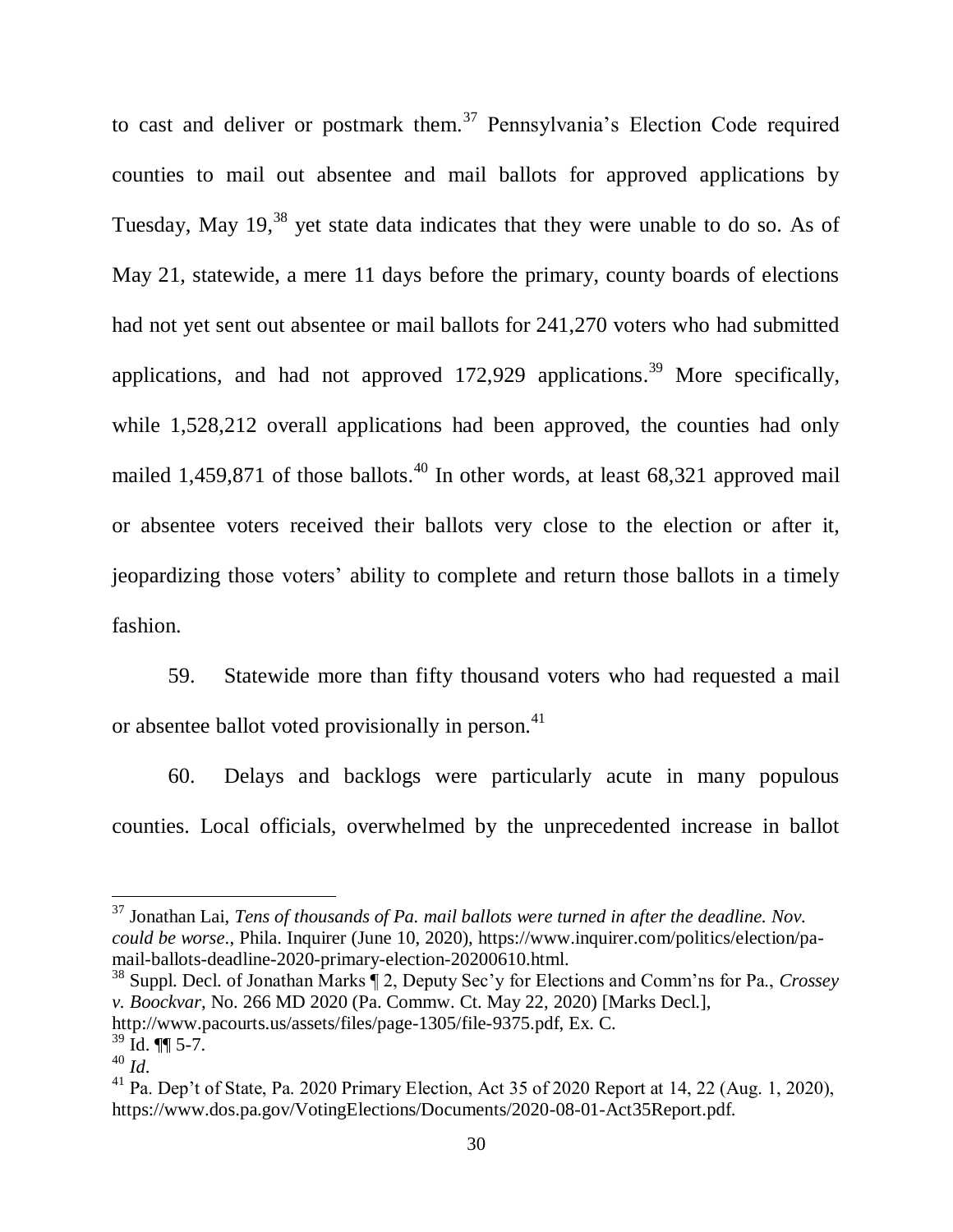to cast and deliver or postmark them.<sup>37</sup> Pennsylvania's Election Code required counties to mail out absentee and mail ballots for approved applications by Tuesday, May  $19<sup>38</sup>$  yet state data indicates that they were unable to do so. As of May 21, statewide, a mere 11 days before the primary, county boards of elections had not yet sent out absentee or mail ballots for 241,270 voters who had submitted applications, and had not approved  $172,929$  applications.<sup>39</sup> More specifically, while 1,528,212 overall applications had been approved, the counties had only mailed 1,459,871 of those ballots.<sup>40</sup> In other words, at least 68,321 approved mail or absentee voters received their ballots very close to the election or after it, jeopardizing those voters' ability to complete and return those ballots in a timely fashion.

59. Statewide more than fifty thousand voters who had requested a mail or absentee ballot voted provisionally in person.<sup>41</sup>

60. Delays and backlogs were particularly acute in many populous counties. Local officials, overwhelmed by the unprecedented increase in ballot

<sup>38</sup> Suppl. Decl. of Jonathan Marks ¶ 2, Deputy Sec'y for Elections and Comm'ns for Pa., *Crossey v. Boockvar*, No. 266 MD 2020 (Pa. Commw. Ct. May 22, 2020) [Marks Decl.], [http://www.pacourts.us/assets/files/page-1305/file-9375.pdf,](http://www.pacourts.us/assets/files/page-1305/file-9375.pdf) Ex. C.

<sup>&</sup>lt;sup>37</sup> Jonathan Lai, *Tens of thousands of Pa. mail ballots were turned in after the deadline. Nov. could be worse*., Phila. Inquirer (June 10, 2020), [https://www.inquirer.com/politics/election/pa](https://www.inquirer.com/politics/election/pa-mail-ballots-deadline-2020-primary-election-20200610.html)[mail-ballots-deadline-2020-primary-election-20200610.html.](https://www.inquirer.com/politics/election/pa-mail-ballots-deadline-2020-primary-election-20200610.html)

 $39$  Id. ¶¶ 5-7.

<sup>40</sup> *Id*.

 $^{41}$  Pa. Dep't of State, Pa. 2020 Primary Election, Act 35 of 2020 Report at 14, 22 (Aug. 1, 2020), https://www.dos.pa.gov/VotingElections/Documents/2020-08-01-Act35Report.pdf.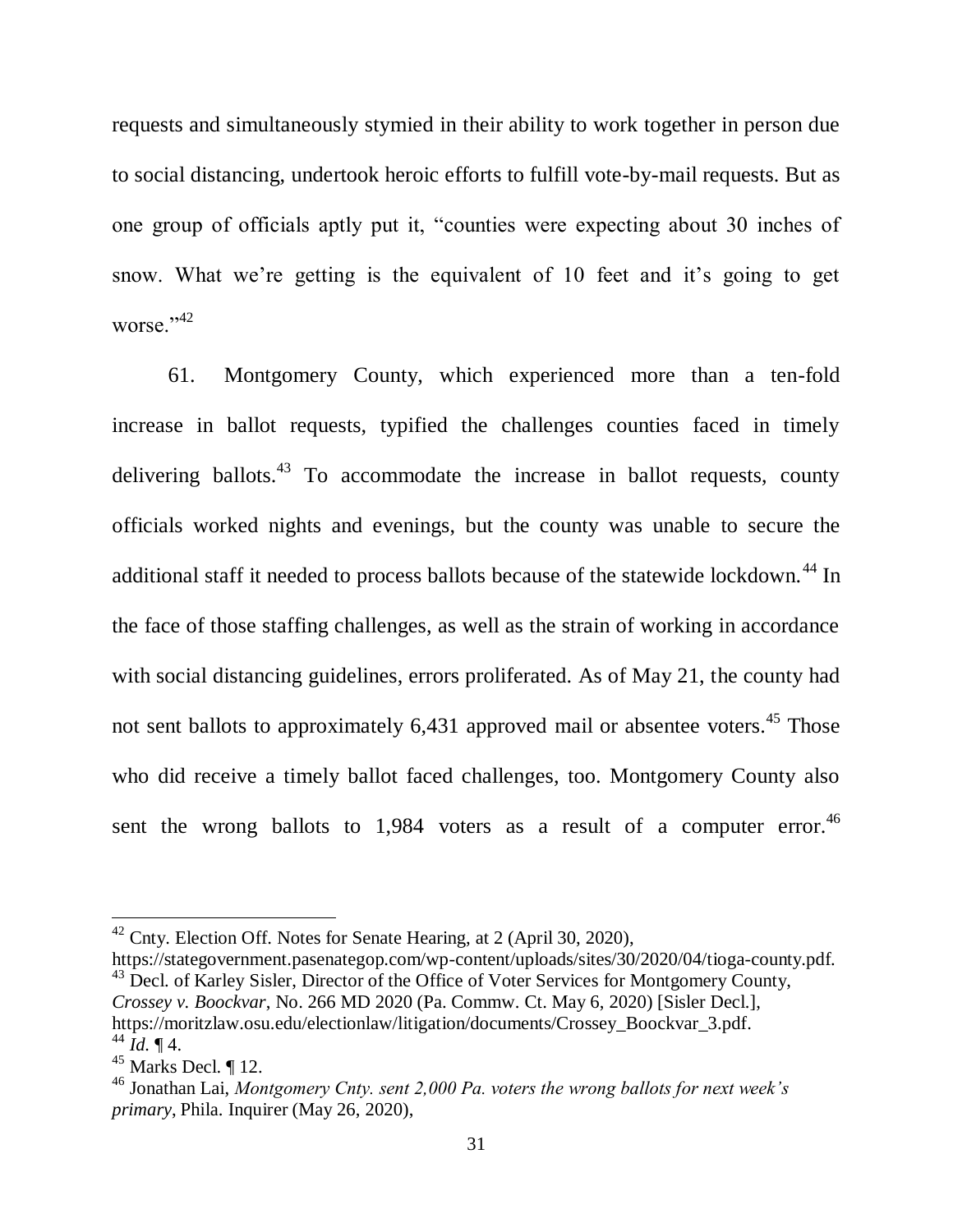requests and simultaneously stymied in their ability to work together in person due to social distancing, undertook heroic efforts to fulfill vote-by-mail requests. But as one group of officials aptly put it, "counties were expecting about 30 inches of snow. What we're getting is the equivalent of 10 feet and it's going to get worse." $^{42}$ 

61. Montgomery County, which experienced more than a ten-fold increase in ballot requests, typified the challenges counties faced in timely delivering ballots. $43$  To accommodate the increase in ballot requests, county officials worked nights and evenings, but the county was unable to secure the additional staff it needed to process ballots because of the statewide lockdown.<sup>44</sup> In the face of those staffing challenges, as well as the strain of working in accordance with social distancing guidelines, errors proliferated. As of May 21, the county had not sent ballots to approximately  $6,431$  approved mail or absentee voters.<sup>45</sup> Those who did receive a timely ballot faced challenges, too. Montgomery County also sent the wrong ballots to  $1,984$  voters as a result of a computer error.<sup>46</sup>

https://stategovernment.pasenategop.com/wp-content/uploads/sites/30/2020/04/tioga-county.pdf.  $^{43}$  Decl. of Karley Sisler, Director of the Office of Voter Services for Montgomery County, *Crossey v. Boockvar*, No. 266 MD 2020 (Pa. Commw. Ct. May 6, 2020) [Sisler Decl.], [https://moritzlaw.osu.edu/electionlaw/litigation/documents/Crossey\\_Boockvar\\_3.pdf.](https://moritzlaw.osu.edu/electionlaw/litigation/documents/Crossey_Boockvar_3.pdf)  $^{44}$   $\dot{I}$ *d.*  $\llap{[}4.$ 

 $42$  Cnty. Election Off. Notes for Senate Hearing, at 2 (April 30, 2020),

 $45$  Marks Decl. ¶ 12.

<sup>46</sup> Jonathan Lai, *Montgomery Cnty. sent 2,000 Pa. voters the wrong ballots for next week's primary*, Phila. Inquirer (May 26, 2020),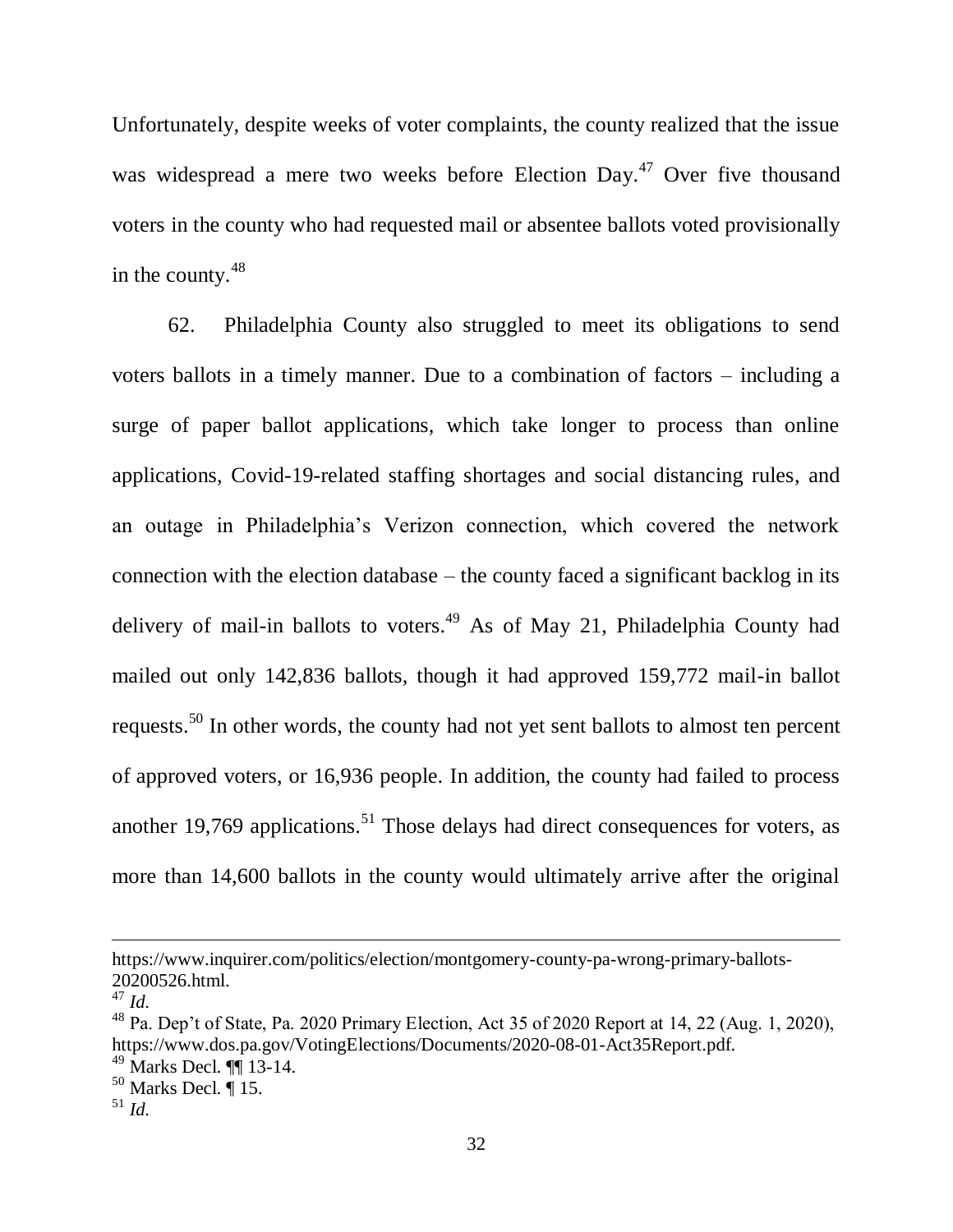Unfortunately, despite weeks of voter complaints, the county realized that the issue was widespread a mere two weeks before Election Day.<sup>47</sup> Over five thousand voters in the county who had requested mail or absentee ballots voted provisionally in the county. $48$ 

62. Philadelphia County also struggled to meet its obligations to send voters ballots in a timely manner. Due to a combination of factors – including a surge of paper ballot applications, which take longer to process than online applications, Covid-19-related staffing shortages and social distancing rules, and an outage in Philadelphia's Verizon connection, which covered the network connection with the election database – the county faced a significant backlog in its delivery of mail-in ballots to voters.<sup>49</sup> As of May 21, Philadelphia County had mailed out only 142,836 ballots, though it had approved 159,772 mail-in ballot requests.<sup>50</sup> In other words, the county had not yet sent ballots to almost ten percent of approved voters, or 16,936 people. In addition, the county had failed to process another 19,769 applications.<sup>51</sup> Those delays had direct consequences for voters, as more than 14,600 ballots in the county would ultimately arrive after the original

[https://www.inquirer.com/politics/election/montgomery-county-pa-wrong-primary-ballots-](https://www.inquirer.com/politics/election/montgomery-county-pa-wrong-primary-ballots-20200526.html)[20200526.html.](https://www.inquirer.com/politics/election/montgomery-county-pa-wrong-primary-ballots-20200526.html)

<sup>47</sup> *Id.*

 $^{48}$  Pa. Dep't of State, Pa. 2020 Primary Election, Act 35 of 2020 Report at 14, 22 (Aug. 1, 2020), https://www.dos.pa.gov/VotingElections/Documents/2020-08-01-Act35Report.pdf.  $49$  Marks Decl.  $\P\P$  13-14.

 $50$  Marks Decl.  $\P$  15.

 $^{51}$  *Id.*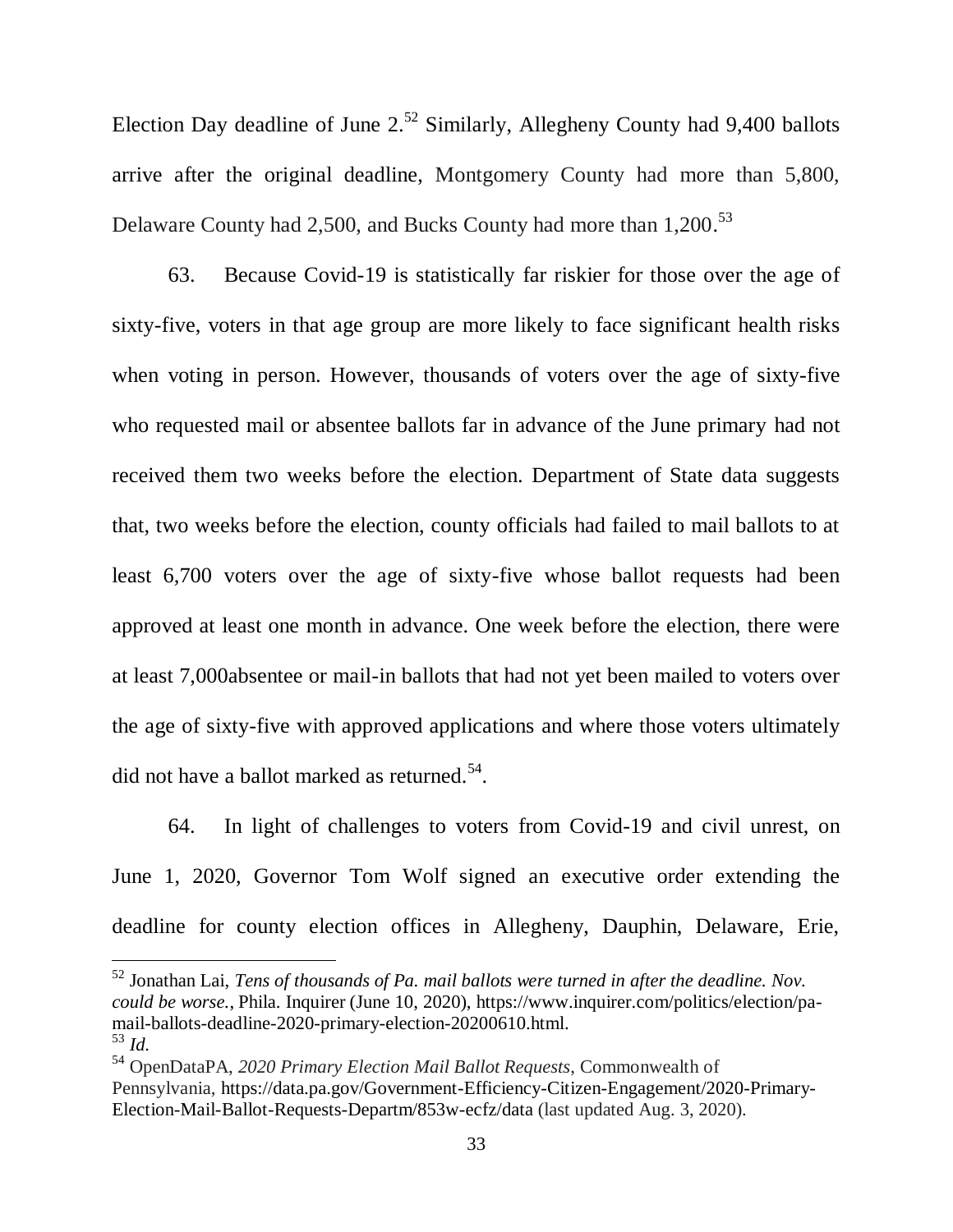Election Day deadline of June  $2^{52}$  Similarly, Allegheny County had 9,400 ballots arrive after the original deadline, Montgomery County had more than 5,800, Delaware County had 2,500, and Bucks County had more than 1,200.<sup>53</sup>

63. Because Covid-19 is statistically far riskier for those over the age of sixty-five, voters in that age group are more likely to face significant health risks when voting in person. However, thousands of voters over the age of sixty-five who requested mail or absentee ballots far in advance of the June primary had not received them two weeks before the election. Department of State data suggests that, two weeks before the election, county officials had failed to mail ballots to at least 6,700 voters over the age of sixty-five whose ballot requests had been approved at least one month in advance. One week before the election, there were at least 7,000absentee or mail-in ballots that had not yet been mailed to voters over the age of sixty-five with approved applications and where those voters ultimately did not have a ballot marked as returned.<sup>54</sup>.

64. In light of challenges to voters from Covid-19 and civil unrest, on June 1, 2020, Governor Tom Wolf signed an executive order extending the deadline for county election offices in Allegheny, Dauphin, Delaware, Erie,

<sup>52</sup> Jonathan Lai, *Tens of thousands of Pa. mail ballots were turned in after the deadline. Nov. could be worse.*, Phila. Inquirer (June 10, 2020), [https://www.inquirer.com/politics/election/pa](https://www.inquirer.com/politics/election/pa-mail-ballots-deadline-2020-primary-election-20200610.html)[mail-ballots-deadline-2020-primary-election-20200610.html.](https://www.inquirer.com/politics/election/pa-mail-ballots-deadline-2020-primary-election-20200610.html) <sup>53</sup> *Id.*

<sup>54</sup> OpenDataPA, *2020 Primary Election Mail Ballot Requests*, Commonwealth of Pennsylvania, https://data.pa.gov/Government-Efficiency-Citizen-Engagement/2020-Primary-Election-Mail-Ballot-Requests-Departm/853w-ecfz/data (last updated Aug. 3, 2020).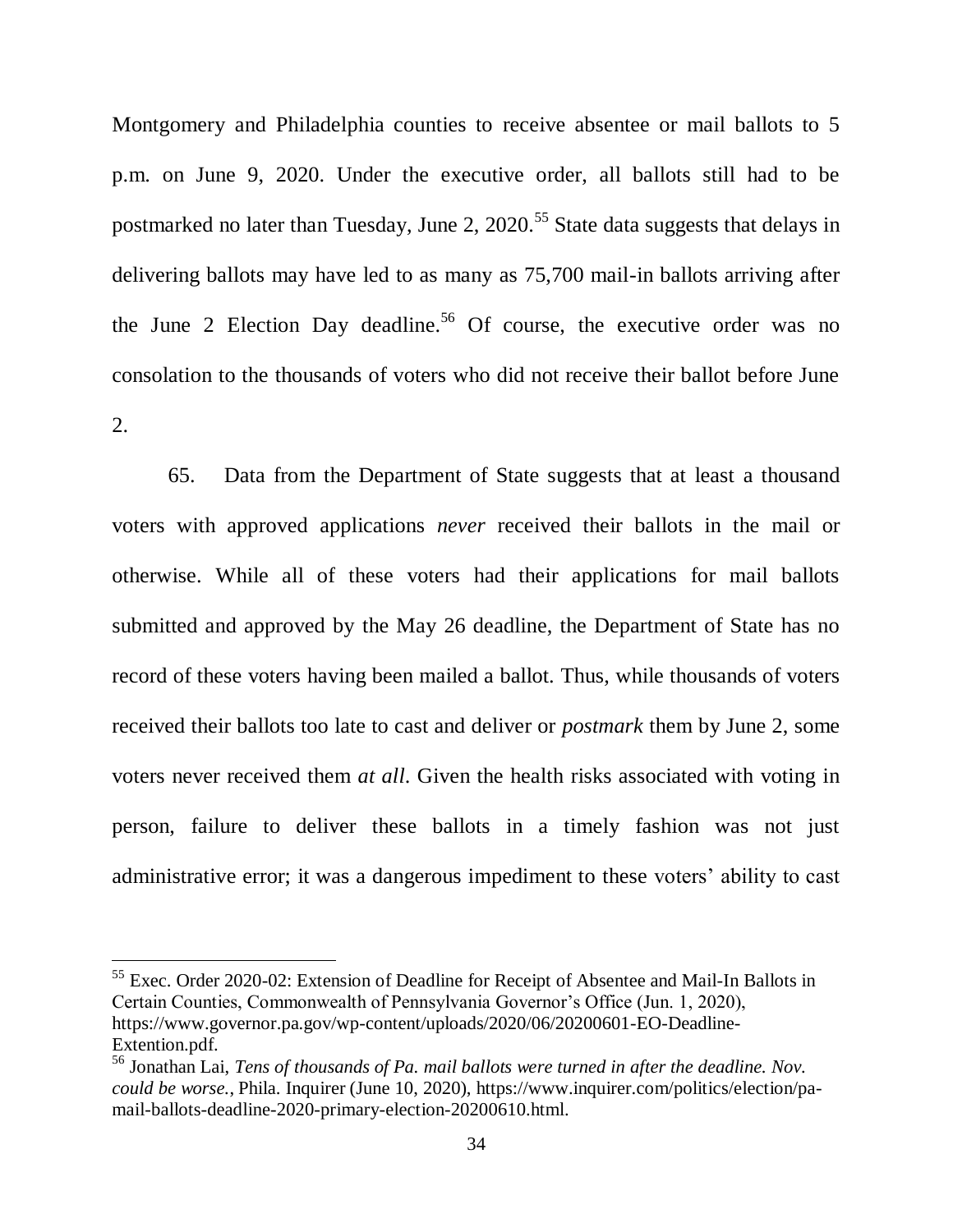Montgomery and Philadelphia counties to receive absentee or mail ballots to 5 p.m. on June 9, 2020. Under the executive order, all ballots still had to be postmarked no later than Tuesday, June 2,  $2020$ <sup>55</sup> State data suggests that delays in delivering ballots may have led to as many as 75,700 mail-in ballots arriving after the June 2 Election Day deadline.<sup>56</sup> Of course, the executive order was no consolation to the thousands of voters who did not receive their ballot before June 2.

65. Data from the Department of State suggests that at least a thousand voters with approved applications *never* received their ballots in the mail or otherwise. While all of these voters had their applications for mail ballots submitted and approved by the May 26 deadline, the Department of State has no record of these voters having been mailed a ballot. Thus, while thousands of voters received their ballots too late to cast and deliver or *postmark* them by June 2, some voters never received them *at all*. Given the health risks associated with voting in person, failure to deliver these ballots in a timely fashion was not just administrative error; it was a dangerous impediment to these voters' ability to cast

<sup>&</sup>lt;sup>55</sup> Exec. Order 2020-02: Extension of Deadline for Receipt of Absentee and Mail-In Ballots in Certain Counties, Commonwealth of Pennsylvania Governor's Office (Jun. 1, 2020), [https://www.governor.pa.gov/wp-content/uploads/2020/06/20200601-EO-Deadline-](https://www.governor.pa.gov/wp-content/uploads/2020/06/20200601-EO-Deadline-Extention.pdf)[Extention.pdf.](https://www.governor.pa.gov/wp-content/uploads/2020/06/20200601-EO-Deadline-Extention.pdf)

<sup>56</sup> Jonathan Lai, *Tens of thousands of Pa. mail ballots were turned in after the deadline. Nov. could be worse.*, Phila. Inquirer (June 10, 2020), [https://www.inquirer.com/politics/election/pa](https://www.inquirer.com/politics/election/pa-mail-ballots-deadline-2020-primary-election-20200610.html)[mail-ballots-deadline-2020-primary-election-20200610.html.](https://www.inquirer.com/politics/election/pa-mail-ballots-deadline-2020-primary-election-20200610.html)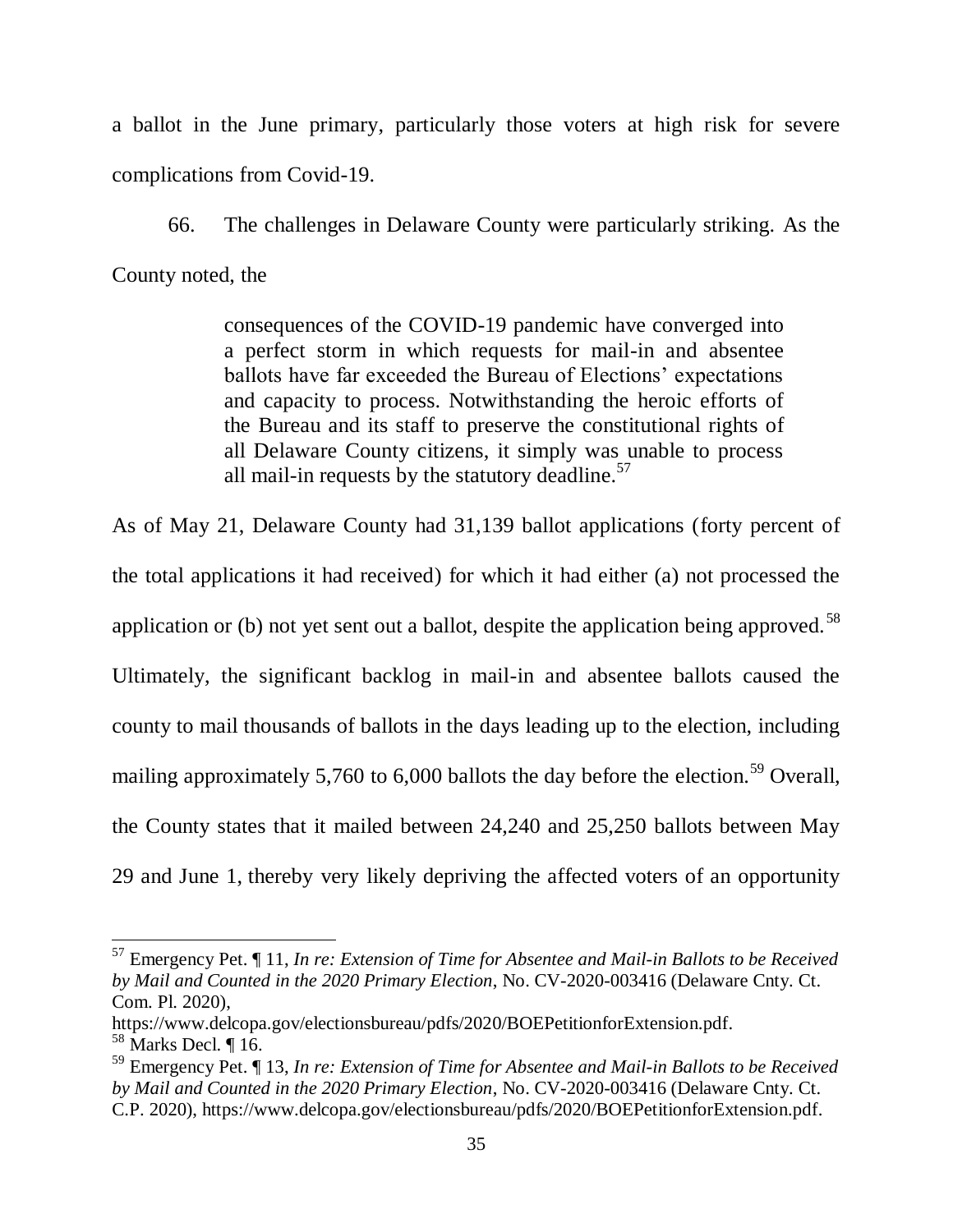a ballot in the June primary, particularly those voters at high risk for severe complications from Covid-19.

66. The challenges in Delaware County were particularly striking. As the County noted, the

> consequences of the COVID-19 pandemic have converged into a perfect storm in which requests for mail-in and absentee ballots have far exceeded the Bureau of Elections' expectations and capacity to process. Notwithstanding the heroic efforts of the Bureau and its staff to preserve the constitutional rights of all Delaware County citizens, it simply was unable to process all mail-in requests by the statutory deadline.<sup>57</sup>

As of May 21, Delaware County had 31,139 ballot applications (forty percent of the total applications it had received) for which it had either (a) not processed the application or (b) not yet sent out a ballot, despite the application being approved.<sup>58</sup> Ultimately, the significant backlog in mail-in and absentee ballots caused the county to mail thousands of ballots in the days leading up to the election, including mailing approximately 5,760 to 6,000 ballots the day before the election.<sup>59</sup> Overall, the County states that it mailed between 24,240 and 25,250 ballots between May 29 and June 1, thereby very likely depriving the affected voters of an opportunity

<sup>57</sup> Emergency Pet. ¶ 11, *In re: Extension of Time for Absentee and Mail-in Ballots to be Received by Mail and Counted in the 2020 Primary Election*, No. CV-2020-003416 (Delaware Cnty. Ct. Com. Pl. 2020),

[https://www.delcopa.gov/electionsbureau/pdfs/2020/BOEPetitionforExtension.pdf.](https://www.delcopa.gov/electionsbureau/pdfs/2020/BOEPetitionforExtension.pdf)  $58$  Marks Decl.  $\P$  16.

<sup>59</sup> Emergency Pet. ¶ 13, *In re: Extension of Time for Absentee and Mail-in Ballots to be Received by Mail and Counted in the 2020 Primary Election*, No. CV-2020-003416 (Delaware Cnty. Ct. C.P. 2020), [https://www.delcopa.gov/electionsbureau/pdfs/2020/BOEPetitionforExtension.pdf.](https://www.delcopa.gov/electionsbureau/pdfs/2020/BOEPetitionforExtension.pdf)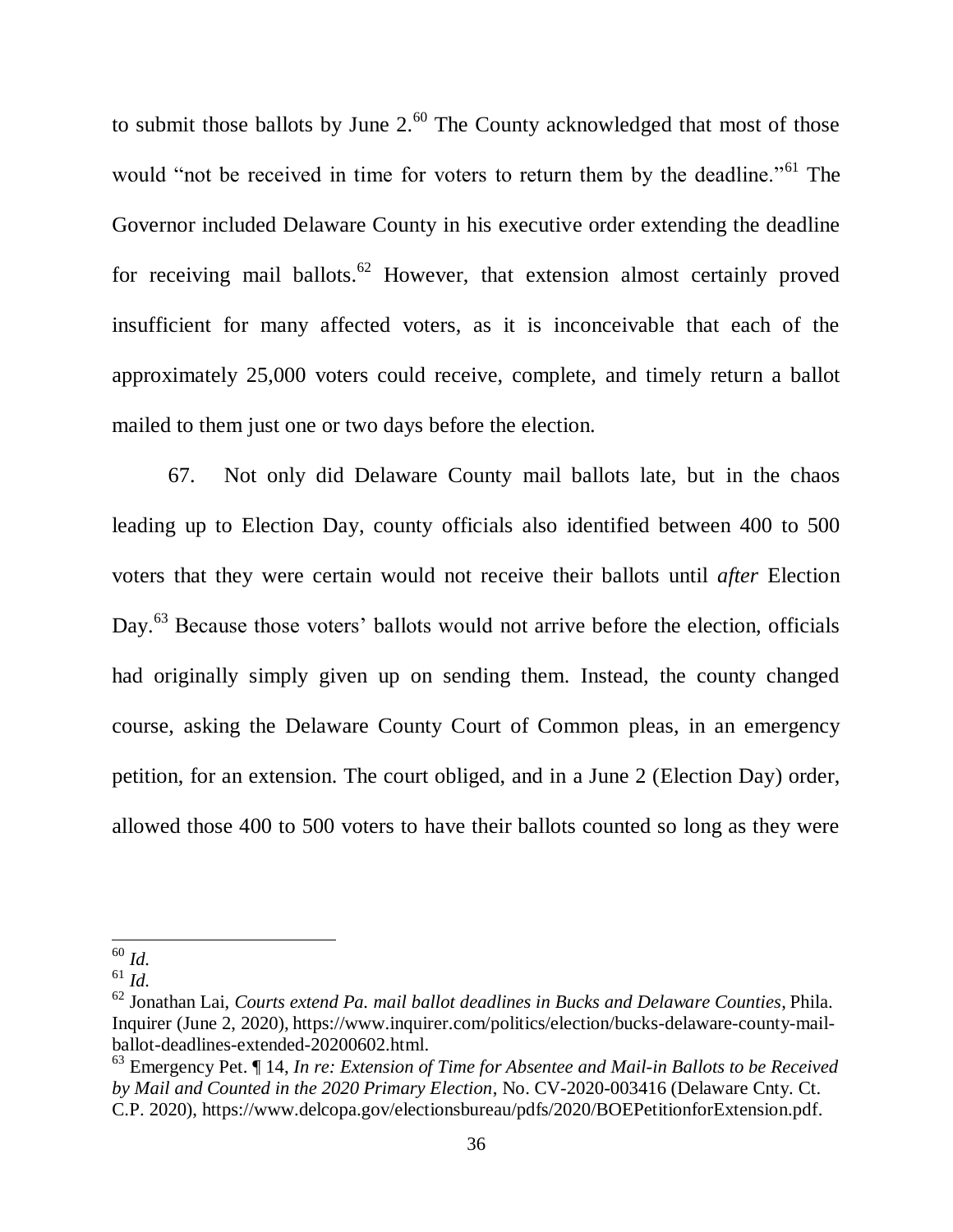to submit those ballots by June  $2.60$  The County acknowledged that most of those would "not be received in time for voters to return them by the deadline."<sup>61</sup> The Governor included Delaware County in his executive order extending the deadline for receiving mail ballots.<sup>62</sup> However, that extension almost certainly proved insufficient for many affected voters, as it is inconceivable that each of the approximately 25,000 voters could receive, complete, and timely return a ballot mailed to them just one or two days before the election.

67. Not only did Delaware County mail ballots late, but in the chaos leading up to Election Day, county officials also identified between 400 to 500 voters that they were certain would not receive their ballots until *after* Election Day.<sup>63</sup> Because those voters' ballots would not arrive before the election, officials had originally simply given up on sending them. Instead, the county changed course, asking the Delaware County Court of Common pleas, in an emergency petition, for an extension. The court obliged, and in a June 2 (Election Day) order, allowed those 400 to 500 voters to have their ballots counted so long as they were

<sup>60</sup> *[Id.](https://www.delcopa.gov/electionsbureau/pdfs/2020/BOEPetitionforExtension.pdf)*

 $^{61}$  *Id.* 

<sup>62</sup> Jonathan Lai, *Courts extend Pa. mail ballot deadlines in Bucks and Delaware Counties*, Phila. Inquirer (June 2, 2020), [https://www.inquirer.com/politics/election/bucks-delaware-county-mail](https://www.inquirer.com/politics/election/bucks-delaware-county-mail-ballot-deadlines-extended-20200602.html)[ballot-deadlines-extended-20200602.html.](https://www.inquirer.com/politics/election/bucks-delaware-county-mail-ballot-deadlines-extended-20200602.html)

<sup>63</sup> Emergency Pet. ¶ 14, *In re: Extension of Time for Absentee and Mail-in Ballots to be Received by Mail and Counted in the 2020 Primary Election*, No. CV-2020-003416 (Delaware Cnty. Ct. C.P. 2020), [https://www.delcopa.gov/electionsbureau/pdfs/2020/BOEPetitionforExtension.pdf.](https://www.delcopa.gov/electionsbureau/pdfs/2020/BOEPetitionforExtension.pdf)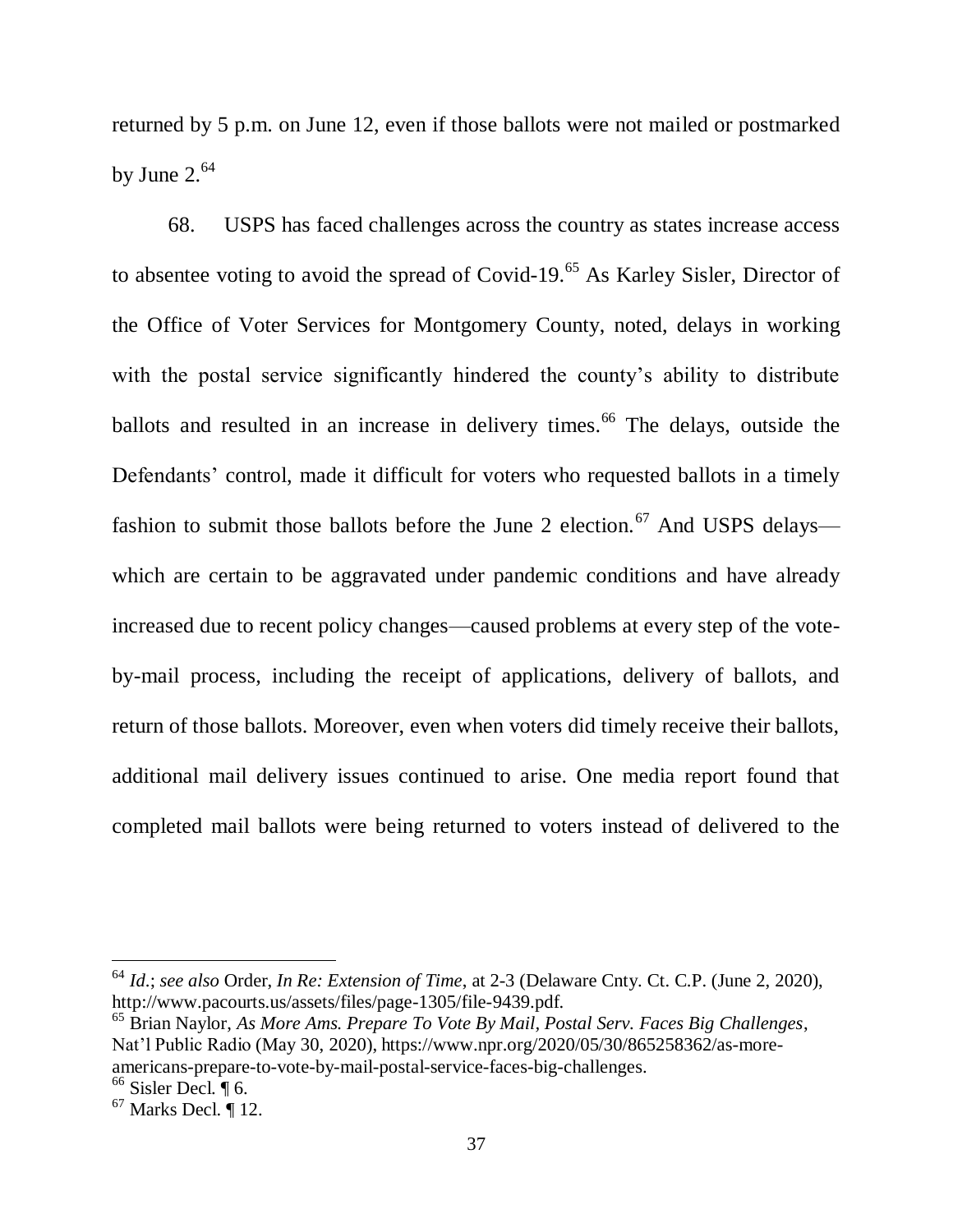returned by 5 p.m. on June 12, even if those ballots were not mailed or postmarked by June  $2.^{64}$ 

68. USPS has faced challenges across the country as states increase access to absentee voting to avoid the spread of Covid-19.<sup>65</sup> As Karley Sisler, Director of the Office of Voter Services for Montgomery County, noted, delays in working with the postal service significantly hindered the county's ability to distribute ballots and resulted in an increase in delivery times.<sup>66</sup> The delays, outside the Defendants' control, made it difficult for voters who requested ballots in a timely fashion to submit those ballots before the June 2 election.<sup>67</sup> And USPS delays which are certain to be aggravated under pandemic conditions and have already increased due to recent policy changes—caused problems at every step of the voteby-mail process, including the receipt of applications, delivery of ballots, and return of those ballots. Moreover, even when voters did timely receive their ballots, additional mail delivery issues continued to arise. One media report found that completed mail ballots were being returned to voters instead of delivered to the

<sup>64</sup> *Id*.; *see also* Order, *In Re: Extension of Time*, at 2-3 (Delaware Cnty. Ct. C.P. (June 2, 2020), [http://www.pacourts.us/assets/files/page-1305/file-9439.pdf.](http://www.pacourts.us/assets/files/page-1305/file-9439.pdf)

<sup>65</sup> Brian Naylor, *As More Ams. Prepare To Vote By Mail, Postal Serv. Faces Big Challenges*, Nat'l Public Radio (May 30, 2020), [https://www.npr.org/2020/05/30/865258362/as-more](https://www.npr.org/2020/05/30/865258362/as-more-americans-prepare-to-vote-by-mail-postal-service-faces-big-challenges)[americans-prepare-to-vote-by-mail-postal-service-faces-big-challenges.](https://www.npr.org/2020/05/30/865258362/as-more-americans-prepare-to-vote-by-mail-postal-service-faces-big-challenges)

 $66$  Sisler Decl. 16.

 $67$  Marks Decl.  $\P$  12.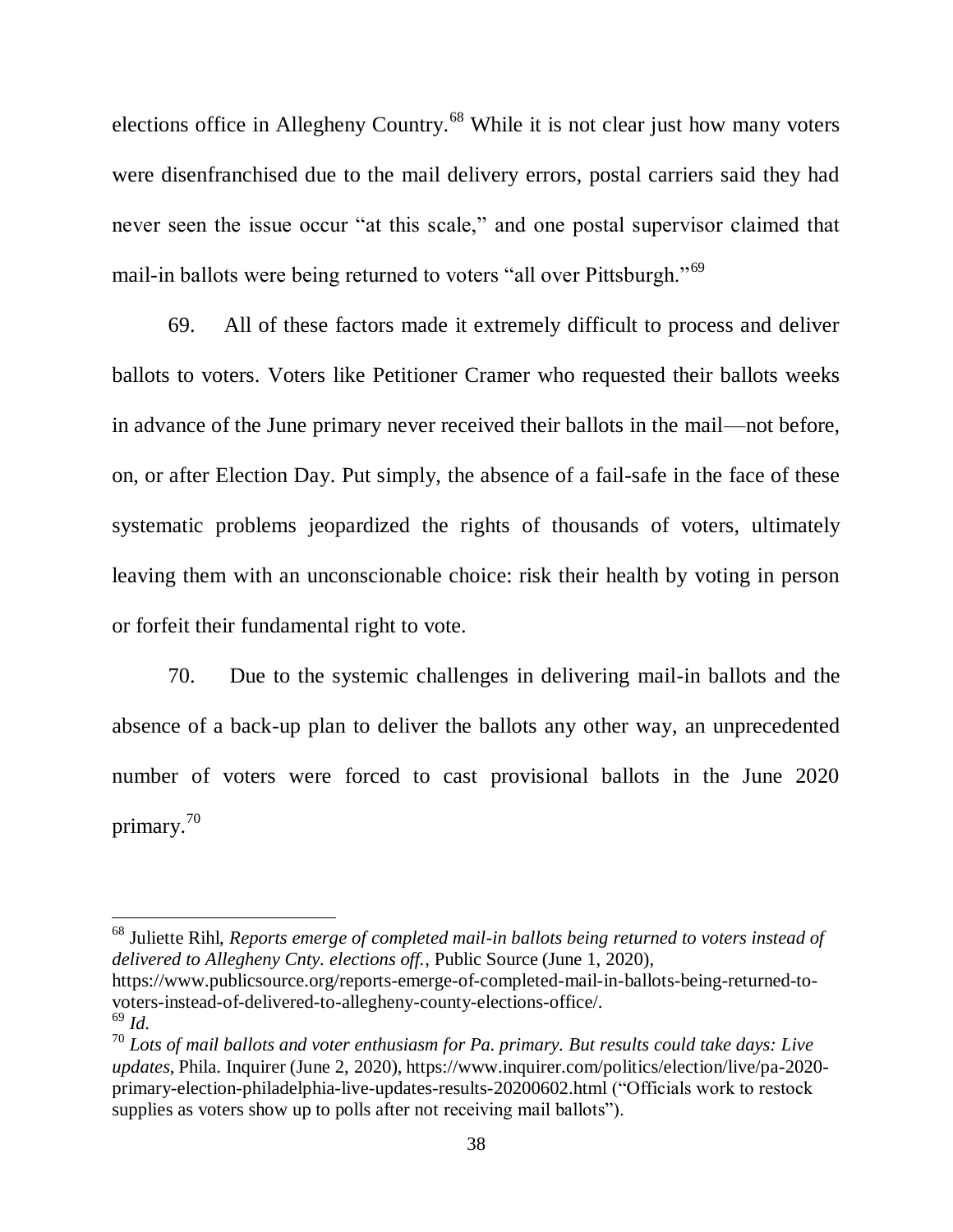elections office in Allegheny Country.<sup>68</sup> While it is not clear just how many voters were disenfranchised due to the mail delivery errors, postal carriers said they had never seen the issue occur "at this scale," and one postal supervisor claimed that mail-in ballots were being returned to voters "all over Pittsburgh."<sup>69</sup>

69. All of these factors made it extremely difficult to process and deliver ballots to voters. Voters like Petitioner Cramer who requested their ballots weeks in advance of the June primary never received their ballots in the mail—not before, on, or after Election Day. Put simply, the absence of a fail-safe in the face of these systematic problems jeopardized the rights of thousands of voters, ultimately leaving them with an unconscionable choice: risk their health by voting in person or forfeit their fundamental right to vote.

70. Due to the systemic challenges in delivering mail-in ballots and the absence of a back-up plan to deliver the ballots any other way, an unprecedented number of voters were forced to cast provisional ballots in the June 2020 primary.<sup>70</sup>

<sup>68</sup> Juliette Rihl, *Reports emerge of completed mail-in ballots being returned to voters instead of delivered to Allegheny Cnty. elections off.*, Public Source (June 1, 2020),

[https://www.publicsource.org/reports-emerge-of-completed-mail-in-ballots-being-returned-to](https://www.publicsource.org/reports-emerge-of-completed-mail-in-ballots-being-returned-to-voters-instead-of-delivered-to-allegheny-county-elections-office/)[voters-instead-of-delivered-to-allegheny-county-elections-office/.](https://www.publicsource.org/reports-emerge-of-completed-mail-in-ballots-being-returned-to-voters-instead-of-delivered-to-allegheny-county-elections-office/)

<sup>69</sup> *Id.*

<sup>70</sup> *Lots of mail ballots and voter enthusiasm for Pa. primary. But results could take days: Live updates*, Phila. Inquirer (June 2, 2020), [https://www.inquirer.com/politics/election/live/pa-2020](https://www.inquirer.com/politics/election/live/pa-2020-primary-election-philadelphia-live-updates-results-20200602.html) [primary-election-philadelphia-live-updates-results-20200602.html](https://www.inquirer.com/politics/election/live/pa-2020-primary-election-philadelphia-live-updates-results-20200602.html) ("Officials work to restock supplies as voters show up to polls after not receiving mail ballots").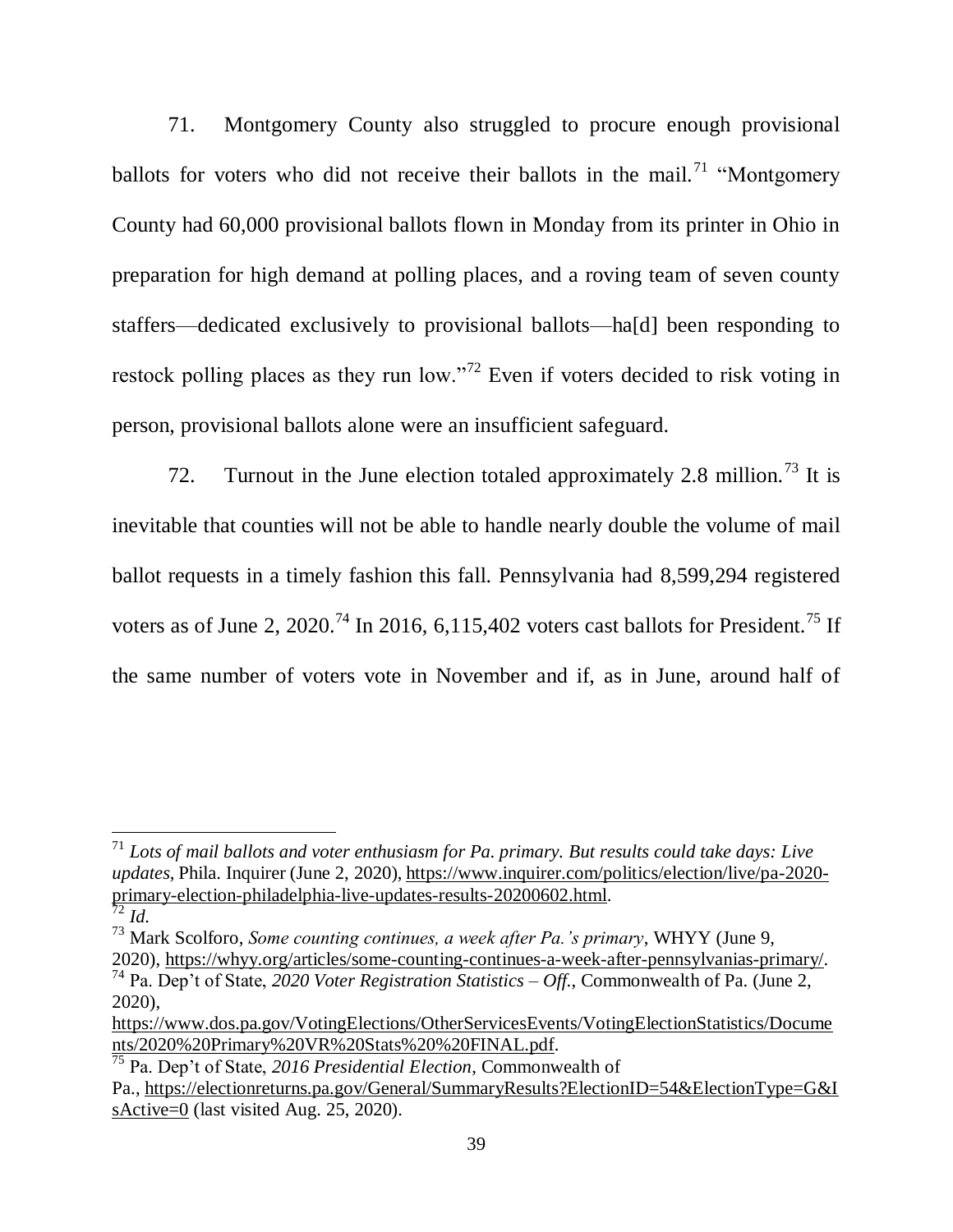71. Montgomery County also struggled to procure enough provisional ballots for voters who did not receive their ballots in the mail.<sup>71</sup> "Montgomery" County had 60,000 provisional ballots flown in Monday from its printer in Ohio in preparation for high demand at polling places, and a roving team of seven county staffers—dedicated exclusively to provisional ballots—ha[d] been responding to restock polling places as they run low."<sup>72</sup> Even if voters decided to risk voting in person, provisional ballots alone were an insufficient safeguard.

72. Turnout in the June election totaled approximately 2.8 million.<sup>73</sup> It is inevitable that counties will not be able to handle nearly double the volume of mail ballot requests in a timely fashion this fall. Pennsylvania had 8,599,294 registered voters as of June 2, 2020.<sup>74</sup> In 2016, 6,115,402 voters cast ballots for President.<sup>75</sup> If the same number of voters vote in November and if, as in June, around half of

<sup>71</sup> *Lots of mail ballots and voter enthusiasm for Pa. primary. But results could take days: Live updates*, Phila. Inquirer (June 2, 2020), [https://www.inquirer.com/politics/election/live/pa-2020](https://www.inquirer.com/politics/election/live/pa-2020-primary-election-philadelphia-live-updates-results-20200602.html) [primary-election-philadelphia-live-updates-results-20200602.html.](https://www.inquirer.com/politics/election/live/pa-2020-primary-election-philadelphia-live-updates-results-20200602.html)

<sup>72</sup> *Id.*

<sup>73</sup> Mark Scolforo, *Some counting continues, a week after Pa.'s primary*, WHYY (June 9, 2020), [https://whyy.org/articles/some-counting-continues-a-week-after-pennsylvanias-primary/.](https://whyy.org/articles/some-counting-continues-a-week-after-pennsylvanias-primary/) <sup>74</sup> Pa. Dep't of State, *2020 Voter Registration Statistics – Off.*, Commonwealth of Pa. (June 2,

<sup>2020),</sup>  [https://www.dos.pa.gov/VotingElections/OtherServicesEvents/VotingElectionStatistics/Docume](https://www.dos.pa.gov/VotingElections/OtherServicesEvents/VotingElectionStatistics/Documents/2020%20Primary%20VR%20Stats%20%20FINAL.pdf)

[nts/2020%20Primary%20VR%20Stats%20%20FINAL.pdf.](https://www.dos.pa.gov/VotingElections/OtherServicesEvents/VotingElectionStatistics/Documents/2020%20Primary%20VR%20Stats%20%20FINAL.pdf)

<sup>75</sup> Pa. Dep't of State, *2016 Presidential Election*, Commonwealth of Pa., [https://electionreturns.pa.gov/General/SummaryResults?ElectionID=54&ElectionType=G&I](https://electionreturns.pa.gov/General/SummaryResults?ElectionID=54&ElectionType=G&IsActive=0) [sActive=0](https://electionreturns.pa.gov/General/SummaryResults?ElectionID=54&ElectionType=G&IsActive=0) (last visited Aug. 25, 2020).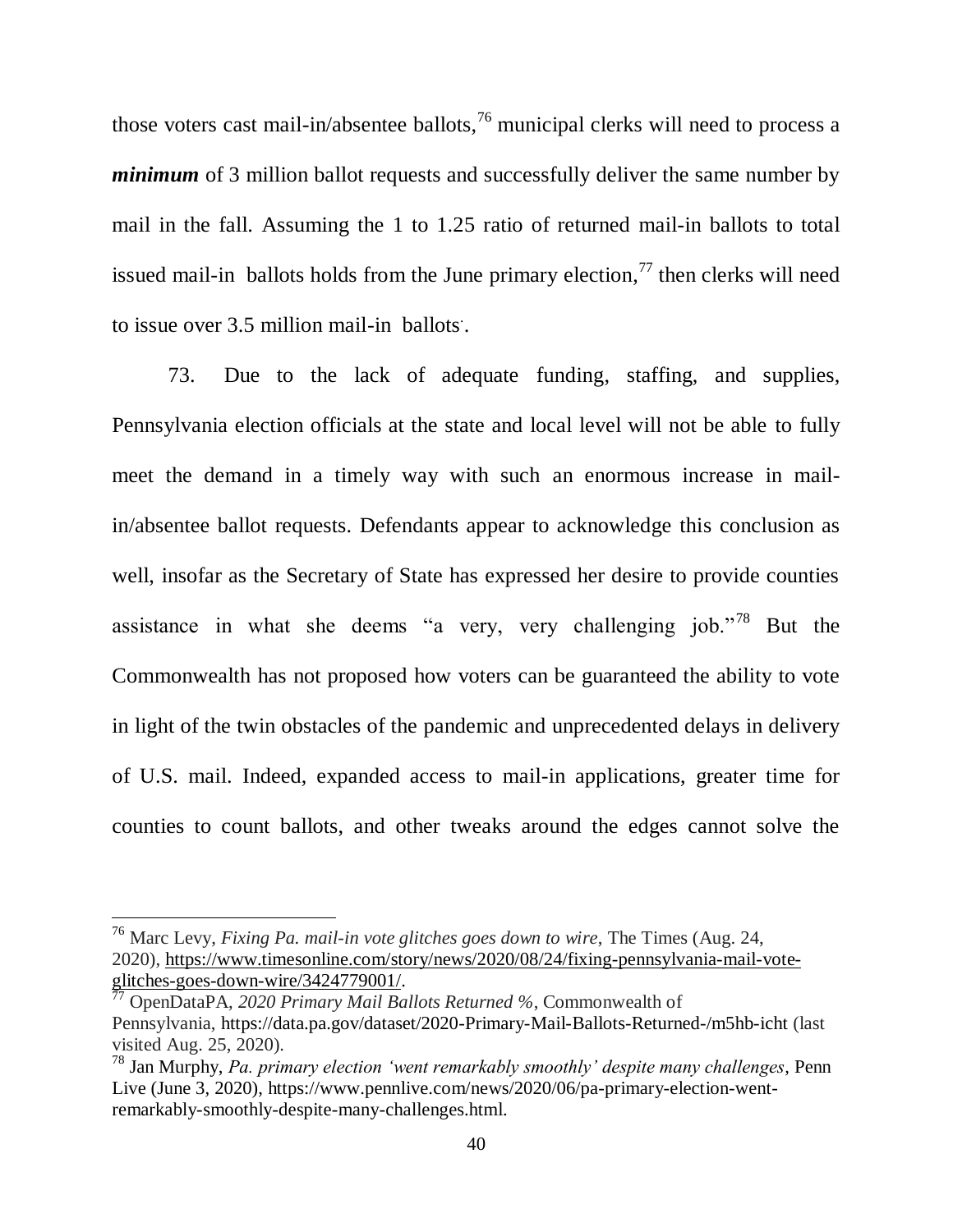those voters cast mail-in/absentee ballots,  $^{76}$  municipal clerks will need to process a *minimum* of 3 million ballot requests and successfully deliver the same number by mail in the fall. Assuming the 1 to 1.25 ratio of returned mail-in ballots to total issued mail-in ballots holds from the June primary election,<sup>77</sup> then clerks will need to issue over 3.5 million mail-in ballots. .

73. Due to the lack of adequate funding, staffing, and supplies, Pennsylvania election officials at the state and local level will not be able to fully meet the demand in a timely way with such an enormous increase in mailin/absentee ballot requests. Defendants appear to acknowledge this conclusion as well, insofar as the Secretary of State has expressed her desire to provide counties assistance in what she deems "a very, very challenging job."<sup>78</sup> But the Commonwealth has not proposed how voters can be guaranteed the ability to vote in light of the twin obstacles of the pandemic and unprecedented delays in delivery of U.S. mail. Indeed, expanded access to mail-in applications, greater time for counties to count ballots, and other tweaks around the edges cannot solve the

<sup>76</sup> Marc Levy, *Fixing Pa. mail-in vote glitches goes down to wire*, The Times (Aug. 24, 2020), [https://www.timesonline.com/story/news/2020/08/24/fixing-pennsylvania-mail-vote](https://www.timesonline.com/story/news/2020/08/24/fixing-pennsylvania-mail-vote-glitches-goes-down-wire/3424779001/)[glitches-goes-down-wire/3424779001/.](https://www.timesonline.com/story/news/2020/08/24/fixing-pennsylvania-mail-vote-glitches-goes-down-wire/3424779001/)

<sup>77</sup> OpenDataPA, *2020 Primary Mail Ballots Returned %*, Commonwealth of Pennsylvania, <https://data.pa.gov/dataset/2020-Primary-Mail-Ballots-Returned-/m5hb-icht> (last visited Aug. 25, 2020).

<sup>78</sup> Jan Murphy, *Pa. primary election 'went remarkably smoothly' despite many challenges*, Penn Live (June 3, 2020), [https://www.pennlive.com/news/2020/06/pa-primary-election-went](https://www.pennlive.com/news/2020/06/pa-primary-election-went-remarkably-smoothly-despite-many-challenges.html)[remarkably-smoothly-despite-many-challenges.html.](https://www.pennlive.com/news/2020/06/pa-primary-election-went-remarkably-smoothly-despite-many-challenges.html)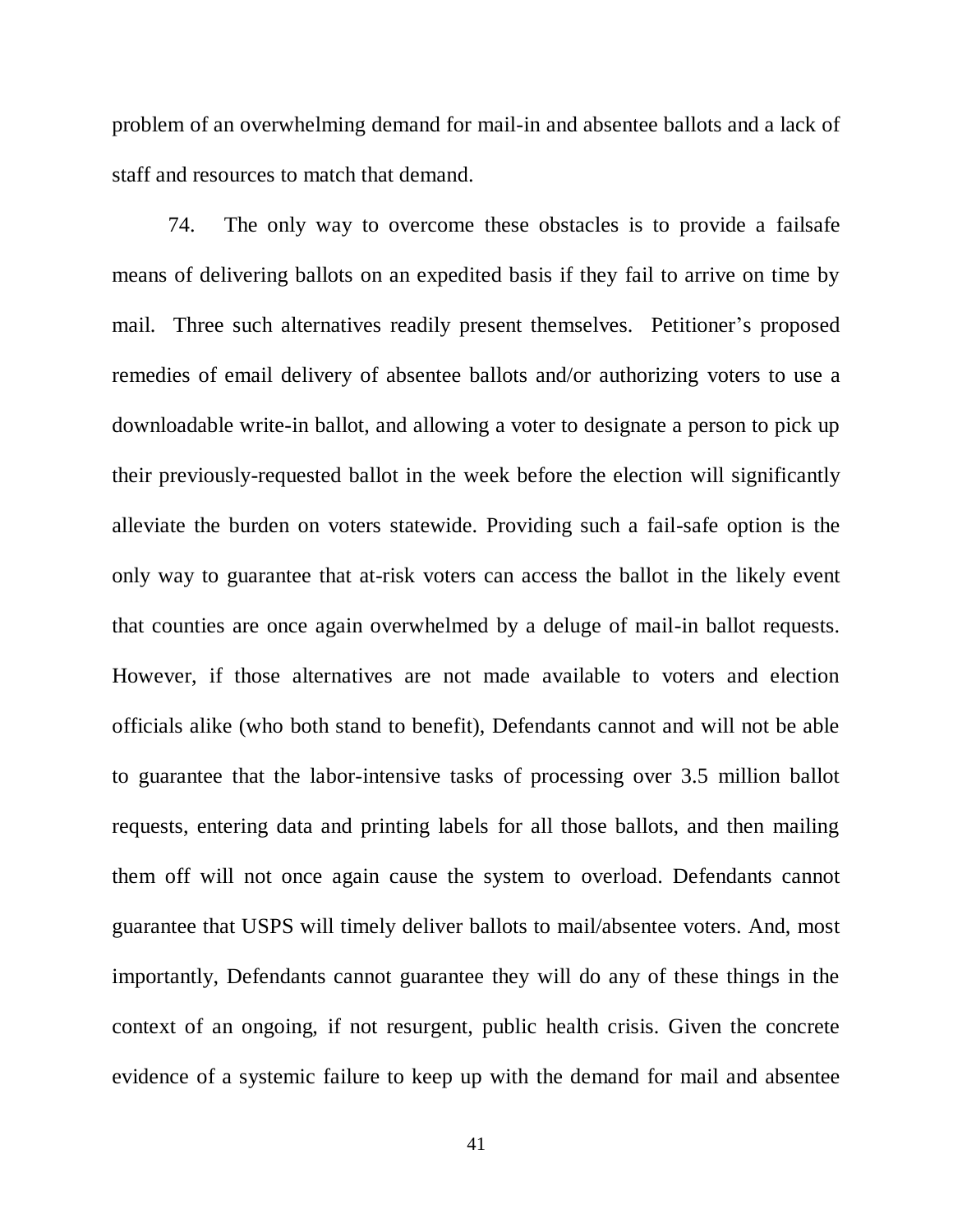problem of an overwhelming demand for mail-in and absentee ballots and a lack of staff and resources to match that demand.

74. The only way to overcome these obstacles is to provide a failsafe means of delivering ballots on an expedited basis if they fail to arrive on time by mail. Three such alternatives readily present themselves. Petitioner's proposed remedies of email delivery of absentee ballots and/or authorizing voters to use a downloadable write-in ballot, and allowing a voter to designate a person to pick up their previously-requested ballot in the week before the election will significantly alleviate the burden on voters statewide. Providing such a fail-safe option is the only way to guarantee that at-risk voters can access the ballot in the likely event that counties are once again overwhelmed by a deluge of mail-in ballot requests. However, if those alternatives are not made available to voters and election officials alike (who both stand to benefit), Defendants cannot and will not be able to guarantee that the labor-intensive tasks of processing over 3.5 million ballot requests, entering data and printing labels for all those ballots, and then mailing them off will not once again cause the system to overload. Defendants cannot guarantee that USPS will timely deliver ballots to mail/absentee voters. And, most importantly, Defendants cannot guarantee they will do any of these things in the context of an ongoing, if not resurgent, public health crisis. Given the concrete evidence of a systemic failure to keep up with the demand for mail and absentee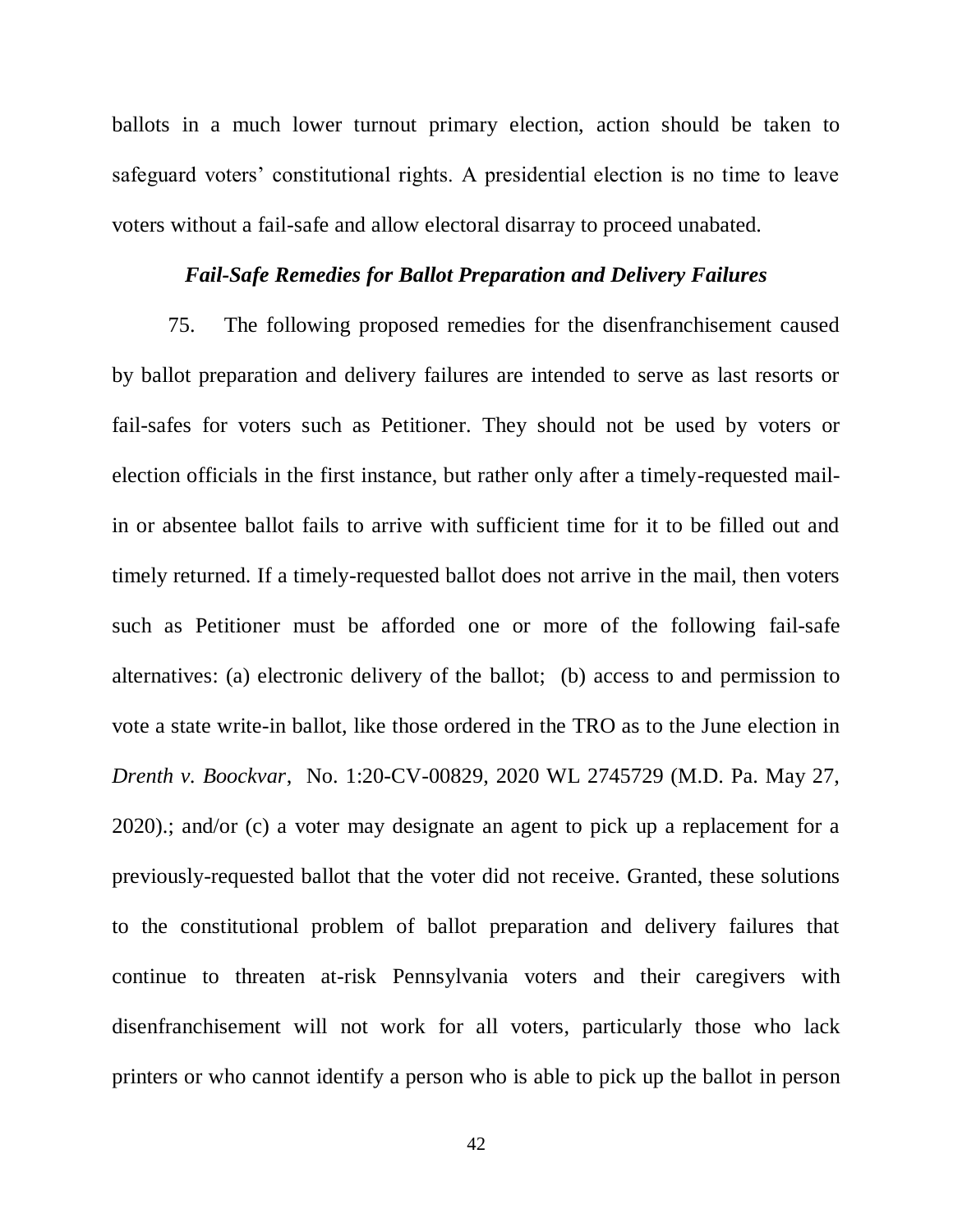ballots in a much lower turnout primary election, action should be taken to safeguard voters' constitutional rights. A presidential election is no time to leave voters without a fail-safe and allow electoral disarray to proceed unabated.

### *Fail-Safe Remedies for Ballot Preparation and Delivery Failures*

75. The following proposed remedies for the disenfranchisement caused by ballot preparation and delivery failures are intended to serve as last resorts or fail-safes for voters such as Petitioner. They should not be used by voters or election officials in the first instance, but rather only after a timely-requested mailin or absentee ballot fails to arrive with sufficient time for it to be filled out and timely returned. If a timely-requested ballot does not arrive in the mail, then voters such as Petitioner must be afforded one or more of the following fail-safe alternatives: (a) electronic delivery of the ballot; (b) access to and permission to vote a state write-in ballot, like those ordered in the TRO as to the June election in *Drenth v. Boockvar*, No. 1:20-CV-00829, 2020 WL 2745729 (M.D. Pa. May 27, 2020).; and/or (c) a voter may designate an agent to pick up a replacement for a previously-requested ballot that the voter did not receive. Granted, these solutions to the constitutional problem of ballot preparation and delivery failures that continue to threaten at-risk Pennsylvania voters and their caregivers with disenfranchisement will not work for all voters, particularly those who lack printers or who cannot identify a person who is able to pick up the ballot in person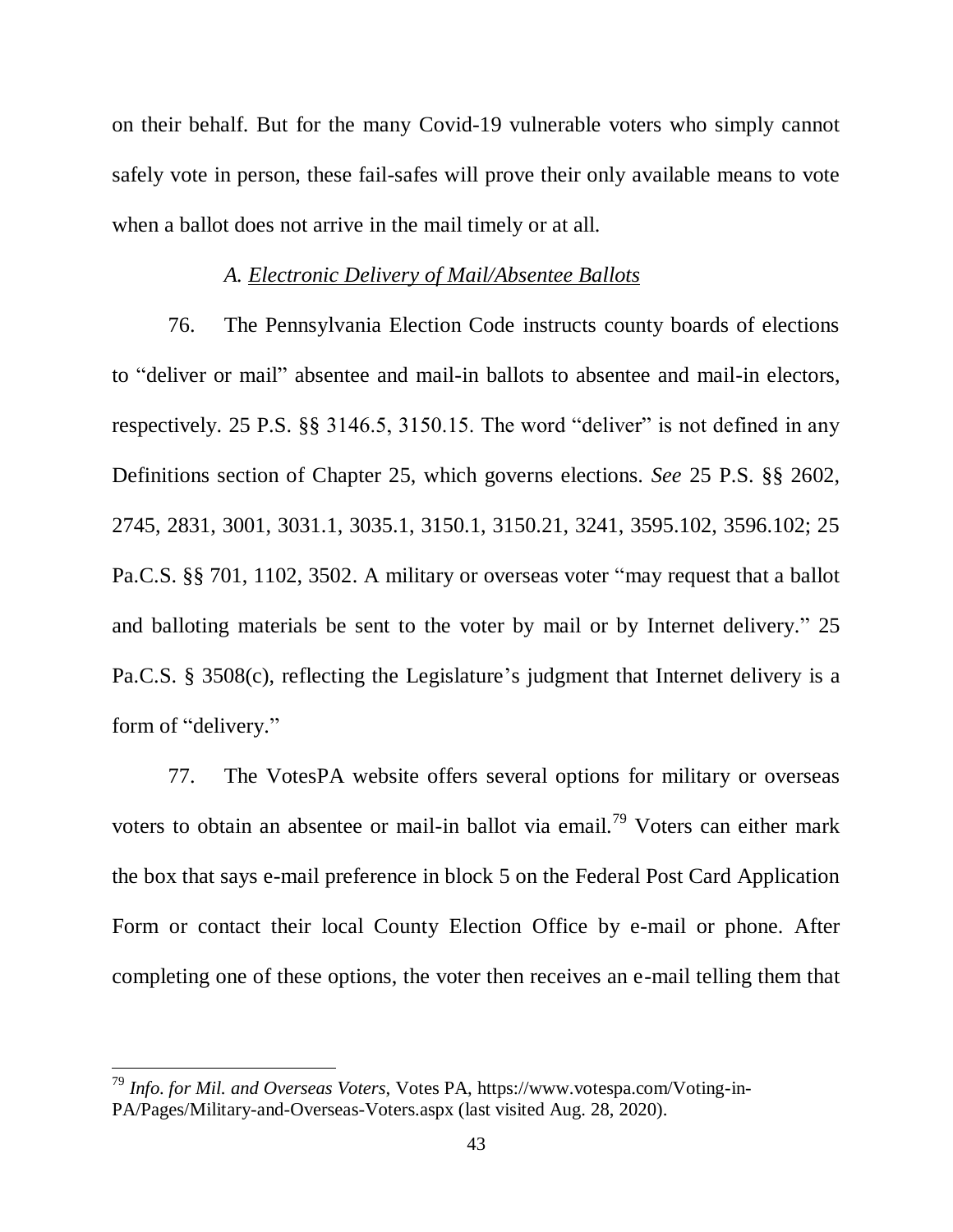on their behalf. But for the many Covid-19 vulnerable voters who simply cannot safely vote in person, these fail-safes will prove their only available means to vote when a ballot does not arrive in the mail timely or at all.

#### *A. Electronic Delivery of Mail/Absentee Ballots*

76. The Pennsylvania Election Code instructs county boards of elections to "deliver or mail" absentee and mail-in ballots to absentee and mail-in electors, respectively. 25 P.S. §§ 3146.5, 3150.15. The word "deliver" is not defined in any Definitions section of Chapter 25, which governs elections. *See* 25 P.S. §§ 2602, 2745, 2831, 3001, 3031.1, 3035.1, 3150.1, 3150.21, 3241, 3595.102, 3596.102; 25 Pa.C.S. §§ 701, 1102, 3502. A military or overseas voter "may request that a ballot and balloting materials be sent to the voter by mail or by Internet delivery." 25 Pa.C.S. § 3508(c), reflecting the Legislature's judgment that Internet delivery is a form of "delivery."

77. The VotesPA website offers several options for military or overseas voters to obtain an absentee or mail-in ballot via email.<sup>79</sup> Voters can either mark the box that says e-mail preference in block 5 on the Federal Post Card Application Form or contact their local County Election Office by e-mail or phone. After completing one of these options, the voter then receives an e-mail telling them that

<sup>79</sup> *Info. for Mil. and Overseas Voters*, Votes PA, [https://www.votespa.com/Voting-in-](https://www.votespa.com/Voting-in-PA/Pages/Military-and-Overseas-Voters.aspx)[PA/Pages/Military-and-Overseas-Voters.aspx](https://www.votespa.com/Voting-in-PA/Pages/Military-and-Overseas-Voters.aspx) (last visited Aug. 28, 2020).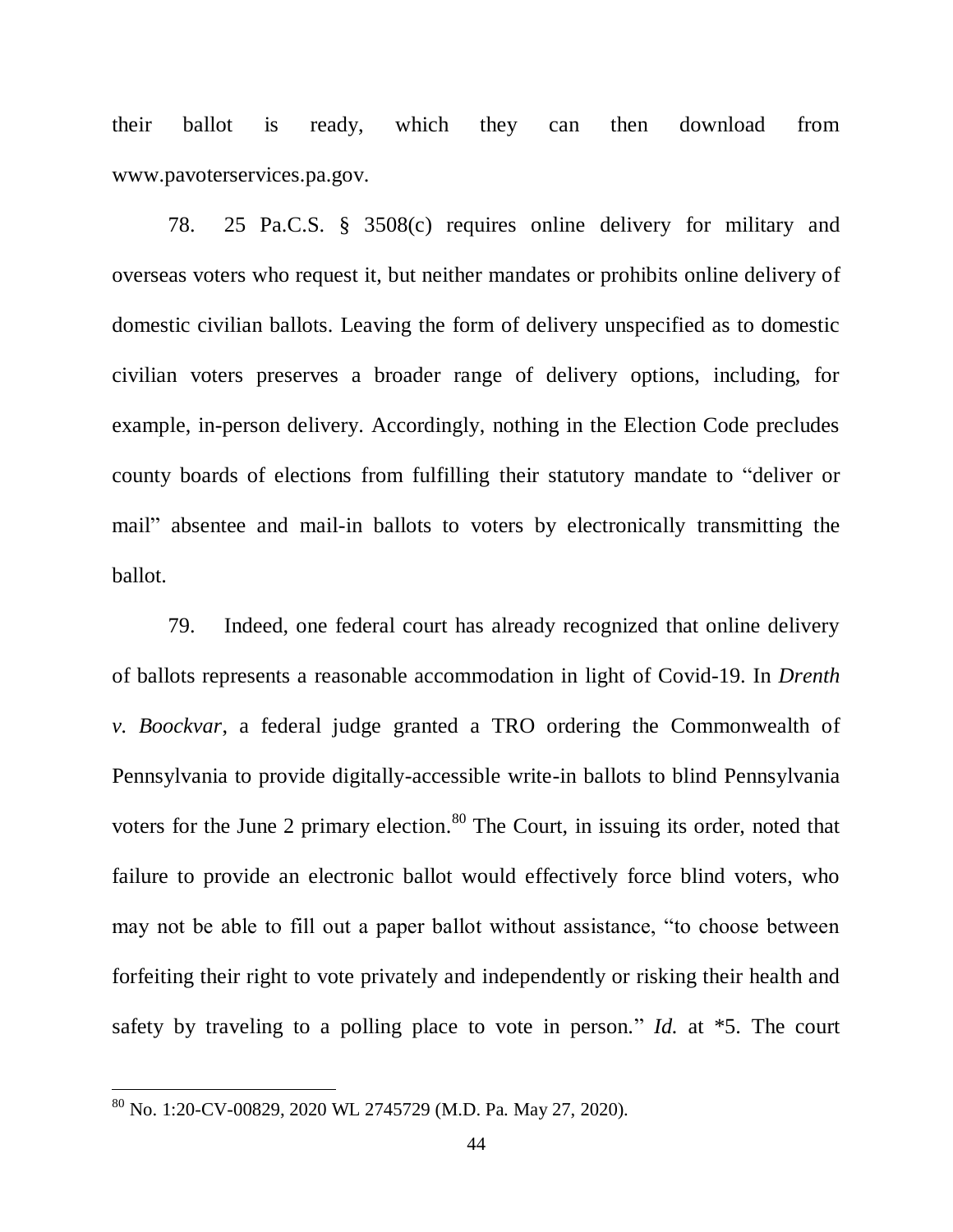their ballot is ready, which they can then download from [www.pavoterservices.pa.gov.](http://www.pavoterservices.pa.gov/)

78. 25 Pa.C.S. § 3508(c) requires online delivery for military and overseas voters who request it, but neither mandates or prohibits online delivery of domestic civilian ballots. Leaving the form of delivery unspecified as to domestic civilian voters preserves a broader range of delivery options, including, for example, in-person delivery. Accordingly, nothing in the Election Code precludes county boards of elections from fulfilling their statutory mandate to "deliver or mail" absentee and mail-in ballots to voters by electronically transmitting the ballot.

79. Indeed, one federal court has already recognized that online delivery of ballots represents a reasonable accommodation in light of Covid-19. In *Drenth v. Boockvar*, a federal judge granted a TRO ordering the Commonwealth of Pennsylvania to provide digitally-accessible write-in ballots to blind Pennsylvania voters for the June 2 primary election.<sup>80</sup> The Court, in issuing its order, noted that failure to provide an electronic ballot would effectively force blind voters, who may not be able to fill out a paper ballot without assistance, "to choose between forfeiting their right to vote privately and independently or risking their health and safety by traveling to a polling place to vote in person." *Id.* at \*5. The court

<sup>80</sup> No. 1:20-CV-00829, 2020 WL 2745729 (M.D. Pa. May 27, 2020).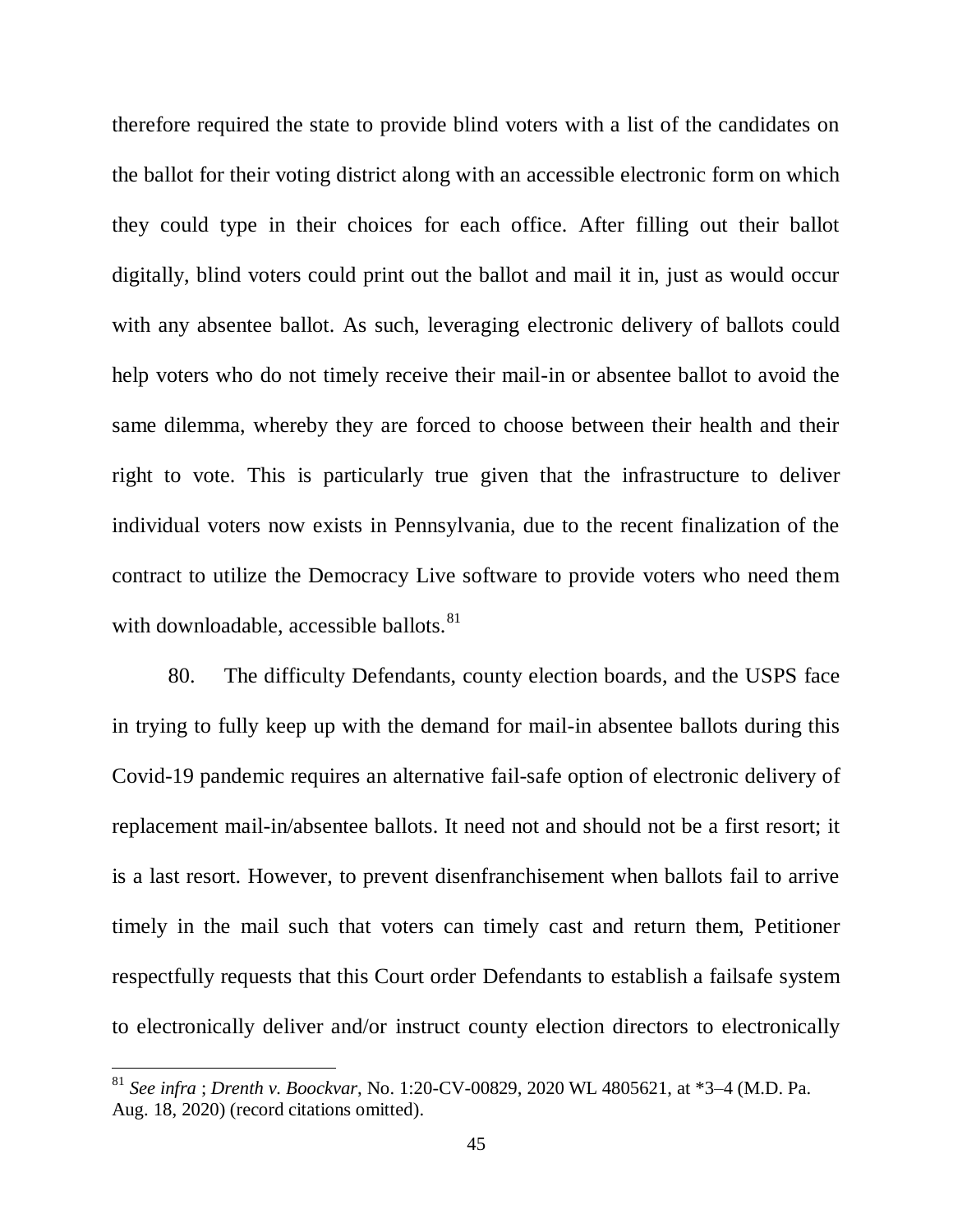therefore required the state to provide blind voters with a list of the candidates on the ballot for their voting district along with an accessible electronic form on which they could type in their choices for each office. After filling out their ballot digitally, blind voters could print out the ballot and mail it in, just as would occur with any absentee ballot. As such, leveraging electronic delivery of ballots could help voters who do not timely receive their mail-in or absentee ballot to avoid the same dilemma, whereby they are forced to choose between their health and their right to vote. This is particularly true given that the infrastructure to deliver individual voters now exists in Pennsylvania, due to the recent finalization of the contract to utilize the Democracy Live software to provide voters who need them with downloadable, accessible ballots.<sup>81</sup>

80. The difficulty Defendants, county election boards, and the USPS face in trying to fully keep up with the demand for mail-in absentee ballots during this Covid-19 pandemic requires an alternative fail-safe option of electronic delivery of replacement mail-in/absentee ballots. It need not and should not be a first resort; it is a last resort. However, to prevent disenfranchisement when ballots fail to arrive timely in the mail such that voters can timely cast and return them, Petitioner respectfully requests that this Court order Defendants to establish a failsafe system to electronically deliver and/or instruct county election directors to electronically

<sup>81</sup> *See infra* ; *Drenth v. Boockvar*, No. 1:20-CV-00829, 2020 WL 4805621, at \*3–4 (M.D. Pa. Aug. 18, 2020) (record citations omitted).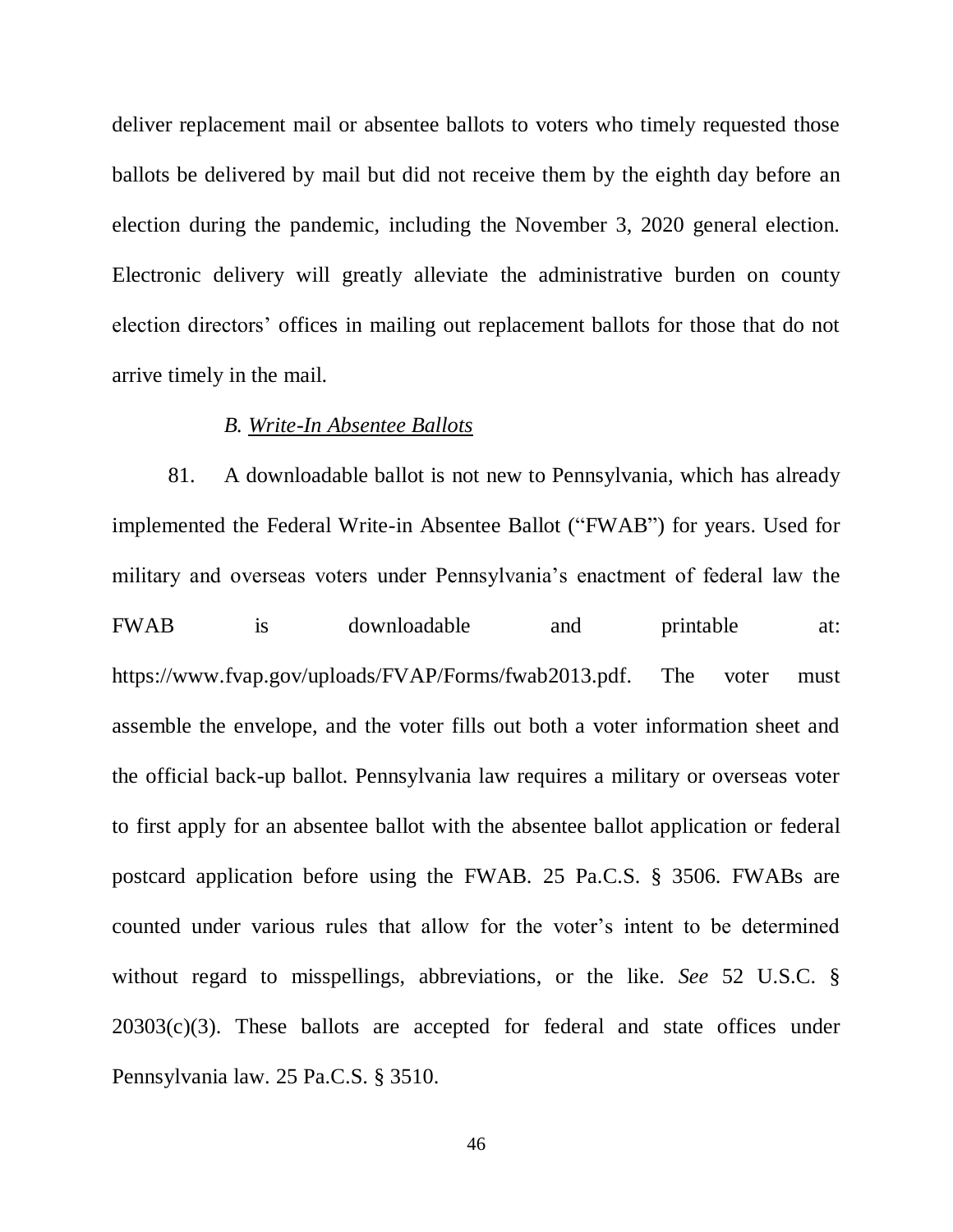deliver replacement mail or absentee ballots to voters who timely requested those ballots be delivered by mail but did not receive them by the eighth day before an election during the pandemic, including the November 3, 2020 general election. Electronic delivery will greatly alleviate the administrative burden on county election directors' offices in mailing out replacement ballots for those that do not arrive timely in the mail.

#### *B. Write-In Absentee Ballots*

81. A downloadable ballot is not new to Pennsylvania, which has already implemented the Federal Write-in Absentee Ballot ("FWAB") for years. Used for military and overseas voters under Pennsylvania's enactment of federal law the FWAB is downloadable and printable at: https://www.fvap.gov/uploads/FVAP/Forms/fwab2013.pdf. The voter must assemble the envelope, and the voter fills out both a voter information sheet and the official back-up ballot. Pennsylvania law requires a military or overseas voter to first apply for an absentee ballot with the absentee ballot application or federal postcard application before using the FWAB. 25 Pa.C.S. § 3506. FWABs are counted under various rules that allow for the voter's intent to be determined without regard to misspellings, abbreviations, or the like. *See* 52 U.S.C. §  $20303(c)(3)$ . These ballots are accepted for federal and state offices under Pennsylvania law. 25 Pa.C.S. § 3510.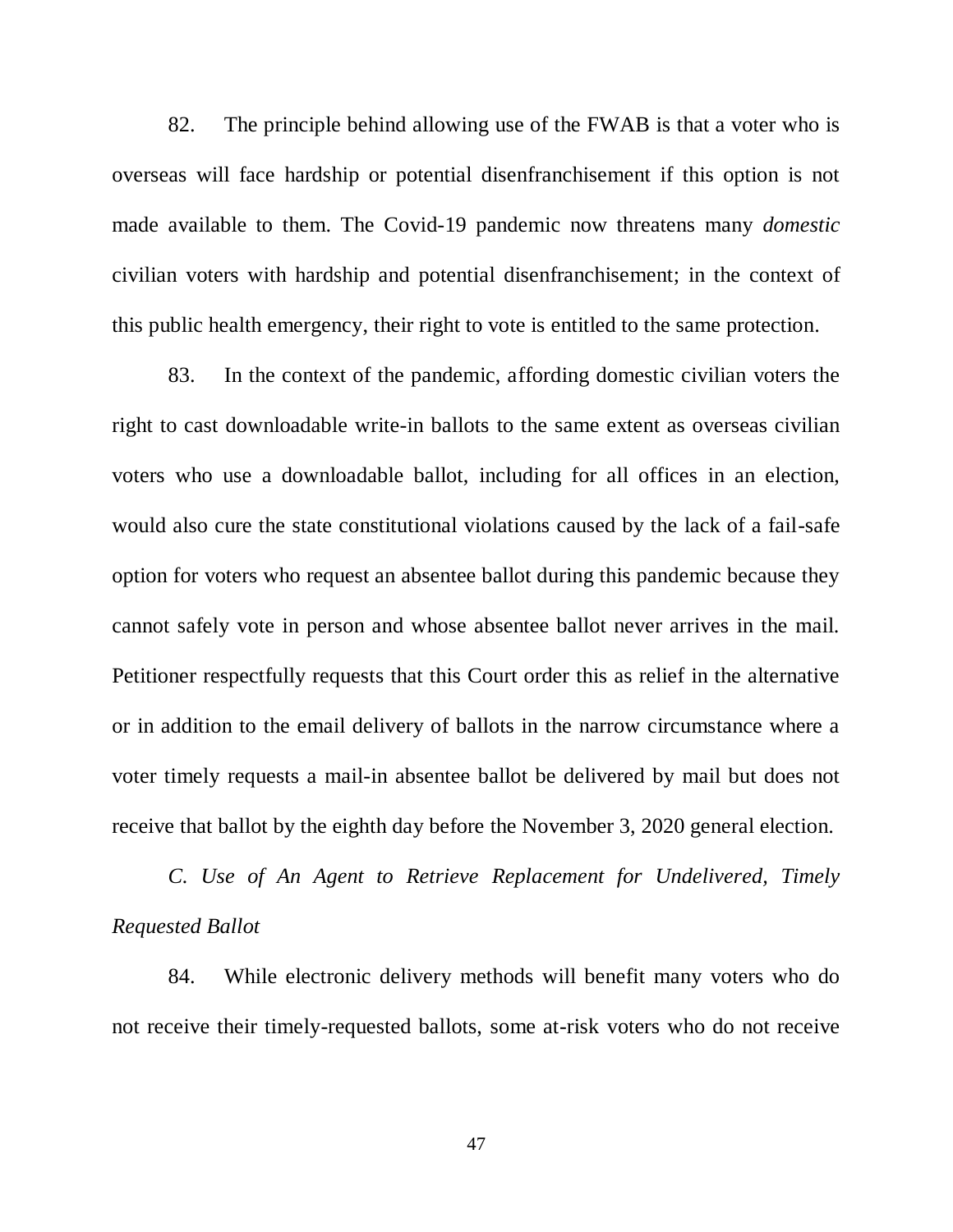82. The principle behind allowing use of the FWAB is that a voter who is overseas will face hardship or potential disenfranchisement if this option is not made available to them. The Covid-19 pandemic now threatens many *domestic* civilian voters with hardship and potential disenfranchisement; in the context of this public health emergency, their right to vote is entitled to the same protection.

83. In the context of the pandemic, affording domestic civilian voters the right to cast downloadable write-in ballots to the same extent as overseas civilian voters who use a downloadable ballot, including for all offices in an election, would also cure the state constitutional violations caused by the lack of a fail-safe option for voters who request an absentee ballot during this pandemic because they cannot safely vote in person and whose absentee ballot never arrives in the mail. Petitioner respectfully requests that this Court order this as relief in the alternative or in addition to the email delivery of ballots in the narrow circumstance where a voter timely requests a mail-in absentee ballot be delivered by mail but does not receive that ballot by the eighth day before the November 3, 2020 general election.

*C. Use of An Agent to Retrieve Replacement for Undelivered, Timely Requested Ballot*

84. While electronic delivery methods will benefit many voters who do not receive their timely-requested ballots, some at-risk voters who do not receive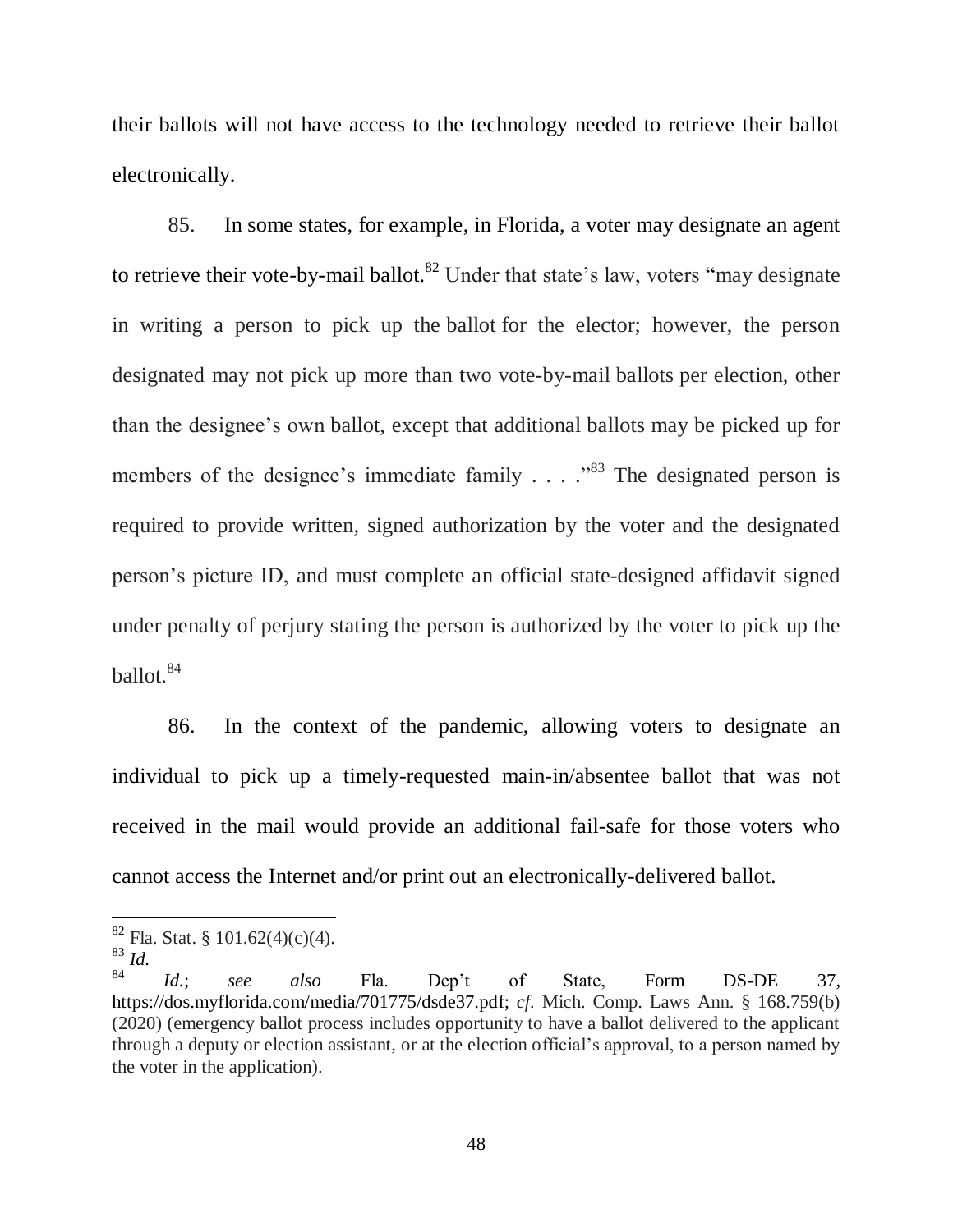their ballots will not have access to the technology needed to retrieve their ballot electronically.

85. In some states, for example, in Florida, a voter may designate an agent to retrieve their vote-by-mail ballot.<sup>82</sup> Under that state's law, voters "may designate" in writing a person to pick up the ballot for the elector; however, the person designated may not pick up more than two vote-by-mail ballots per election, other than the designee's own ballot, except that additional ballots may be picked up for members of the designee's immediate family  $\ldots$  ...  $\cdot$ <sup>83</sup> The designated person is required to provide written, signed authorization by the voter and the designated person's picture ID, and must complete an official state-designed affidavit signed under penalty of perjury stating the person is authorized by the voter to pick up the ballot.<sup>84</sup>

86. In the context of the pandemic, allowing voters to designate an individual to pick up a timely-requested main-in/absentee ballot that was not received in the mail would provide an additional fail-safe for those voters who cannot access the Internet and/or print out an electronically-delivered ballot.

<sup>&</sup>lt;sup>82</sup> Fla. Stat. § 101.62(4)(c)(4).

<sup>83</sup> *Id.*

<sup>84</sup> *Id.*; *see also* Fla. Dep't of State, Form DS-DE 37, https://dos.myflorida.com/media/701775/dsde37.pdf; *cf.* Mich. Comp. Laws Ann. § 168.759(b) (2020) (emergency ballot process includes opportunity to have a ballot delivered to the applicant through a deputy or election assistant, or at the election official's approval, to a person named by the voter in the application).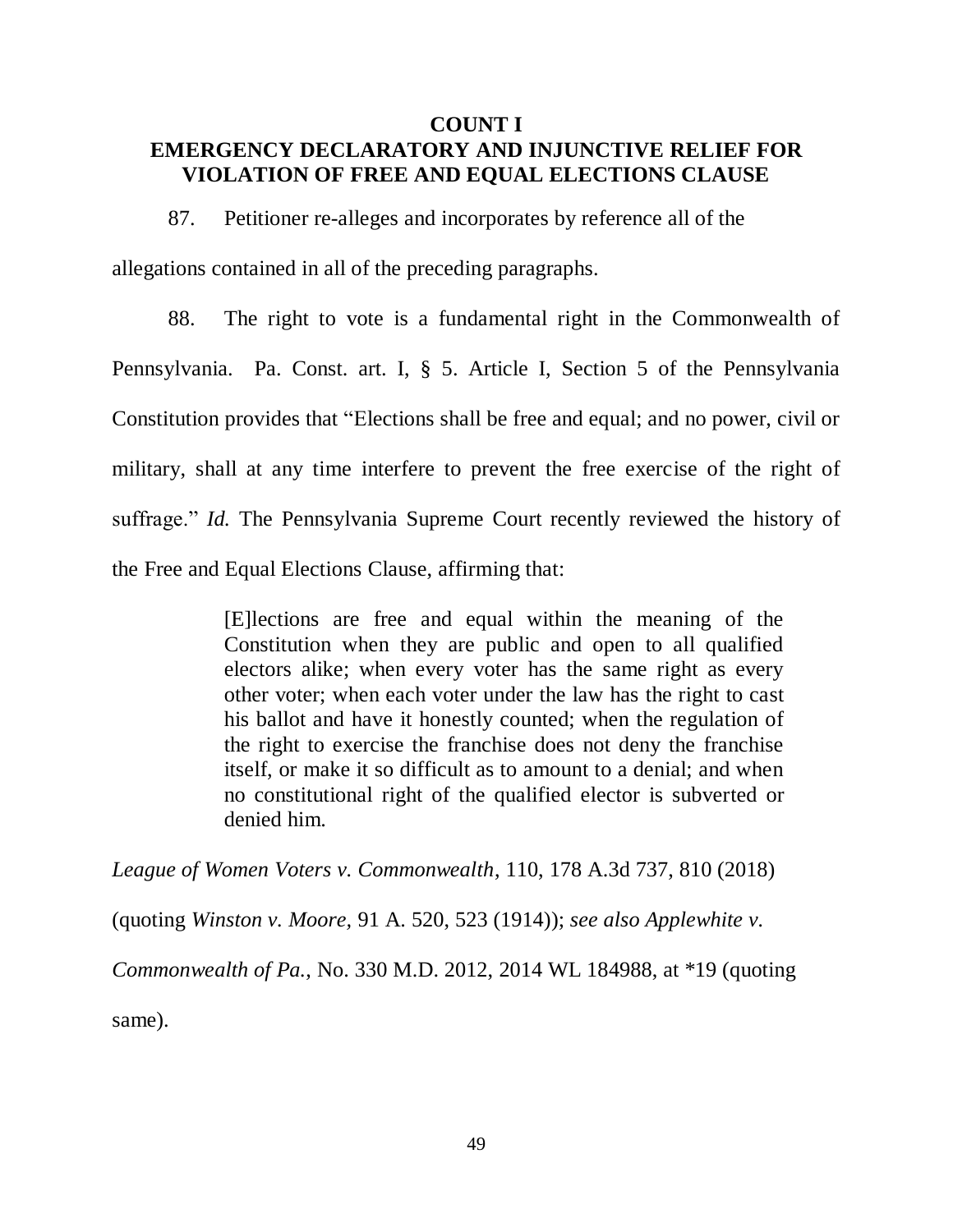## **COUNT I EMERGENCY DECLARATORY AND INJUNCTIVE RELIEF FOR VIOLATION OF FREE AND EQUAL ELECTIONS CLAUSE**

87. Petitioner re-alleges and incorporates by reference all of the allegations contained in all of the preceding paragraphs.

88. The right to vote is a fundamental right in the Commonwealth of Pennsylvania. Pa. Const. art. I, § 5. Article I, Section 5 of the Pennsylvania Constitution provides that "Elections shall be free and equal; and no power, civil or military, shall at any time interfere to prevent the free exercise of the right of suffrage." *Id.* The Pennsylvania Supreme Court recently reviewed the history of the Free and Equal Elections Clause, affirming that:

> [E]lections are free and equal within the meaning of the Constitution when they are public and open to all qualified electors alike; when every voter has the same right as every other voter; when each voter under the law has the right to cast his ballot and have it honestly counted; when the regulation of the right to exercise the franchise does not deny the franchise itself, or make it so difficult as to amount to a denial; and when no constitutional right of the qualified elector is subverted or denied him.

*League of Women Voters v. Commonwealth*, 110, 178 A.3d 737, 810 (2018) (quoting *Winston v. Moore,* 91 A. 520, 523 (1914)); *see also Applewhite v. Commonwealth of Pa.*, No. 330 M.D. 2012, 2014 WL 184988, at \*19 (quoting same).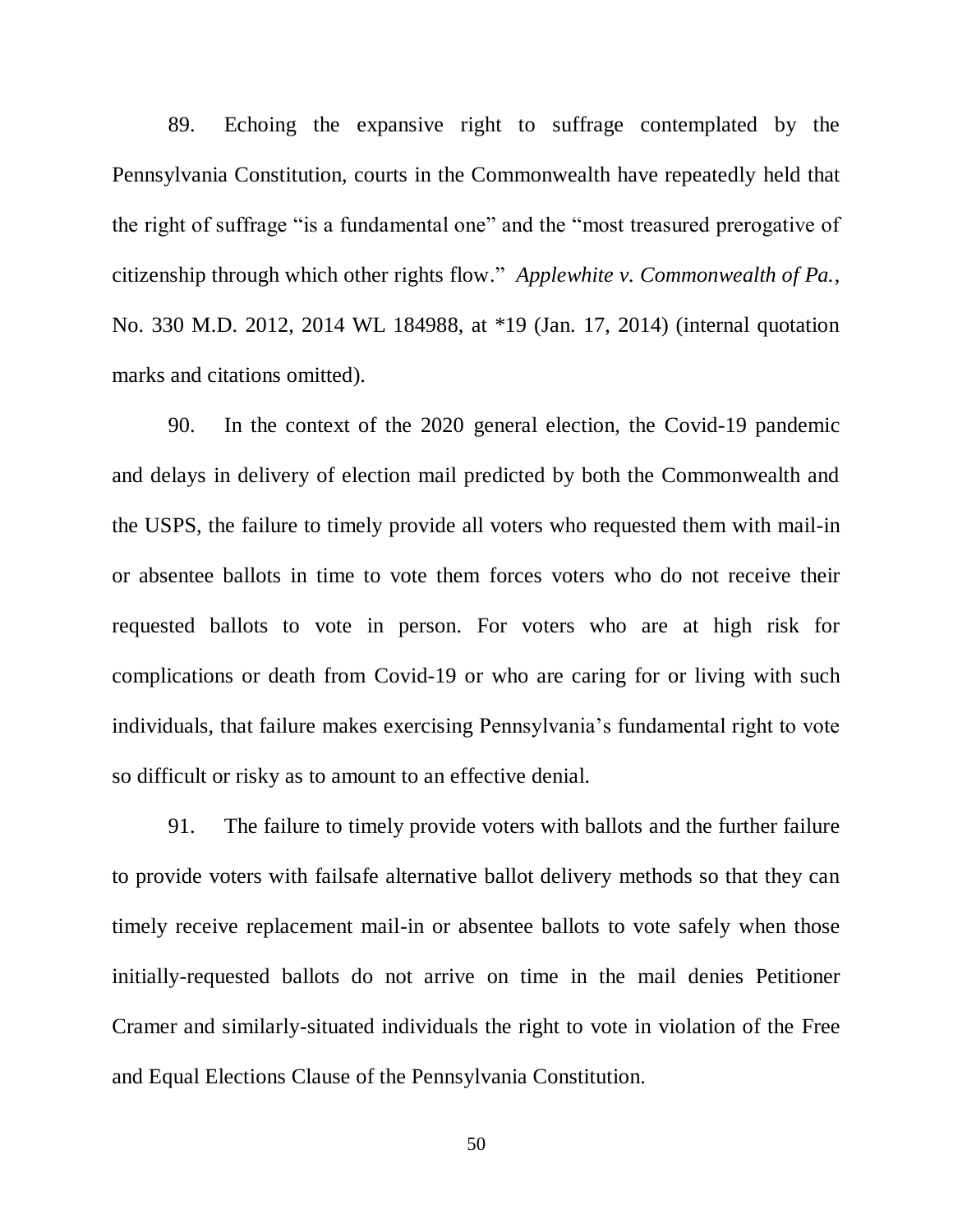89. Echoing the expansive right to suffrage contemplated by the Pennsylvania Constitution, courts in the Commonwealth have repeatedly held that the right of suffrage "is a fundamental one" and the "most treasured prerogative of citizenship through which other rights flow." *Applewhite v. Commonwealth of Pa.*, No. 330 M.D. 2012, 2014 WL 184988, at \*19 (Jan. 17, 2014) (internal quotation marks and citations omitted).

90. In the context of the 2020 general election, the Covid-19 pandemic and delays in delivery of election mail predicted by both the Commonwealth and the USPS, the failure to timely provide all voters who requested them with mail-in or absentee ballots in time to vote them forces voters who do not receive their requested ballots to vote in person. For voters who are at high risk for complications or death from Covid-19 or who are caring for or living with such individuals, that failure makes exercising Pennsylvania's fundamental right to vote so difficult or risky as to amount to an effective denial.

91. The failure to timely provide voters with ballots and the further failure to provide voters with failsafe alternative ballot delivery methods so that they can timely receive replacement mail-in or absentee ballots to vote safely when those initially-requested ballots do not arrive on time in the mail denies Petitioner Cramer and similarly-situated individuals the right to vote in violation of the Free and Equal Elections Clause of the Pennsylvania Constitution.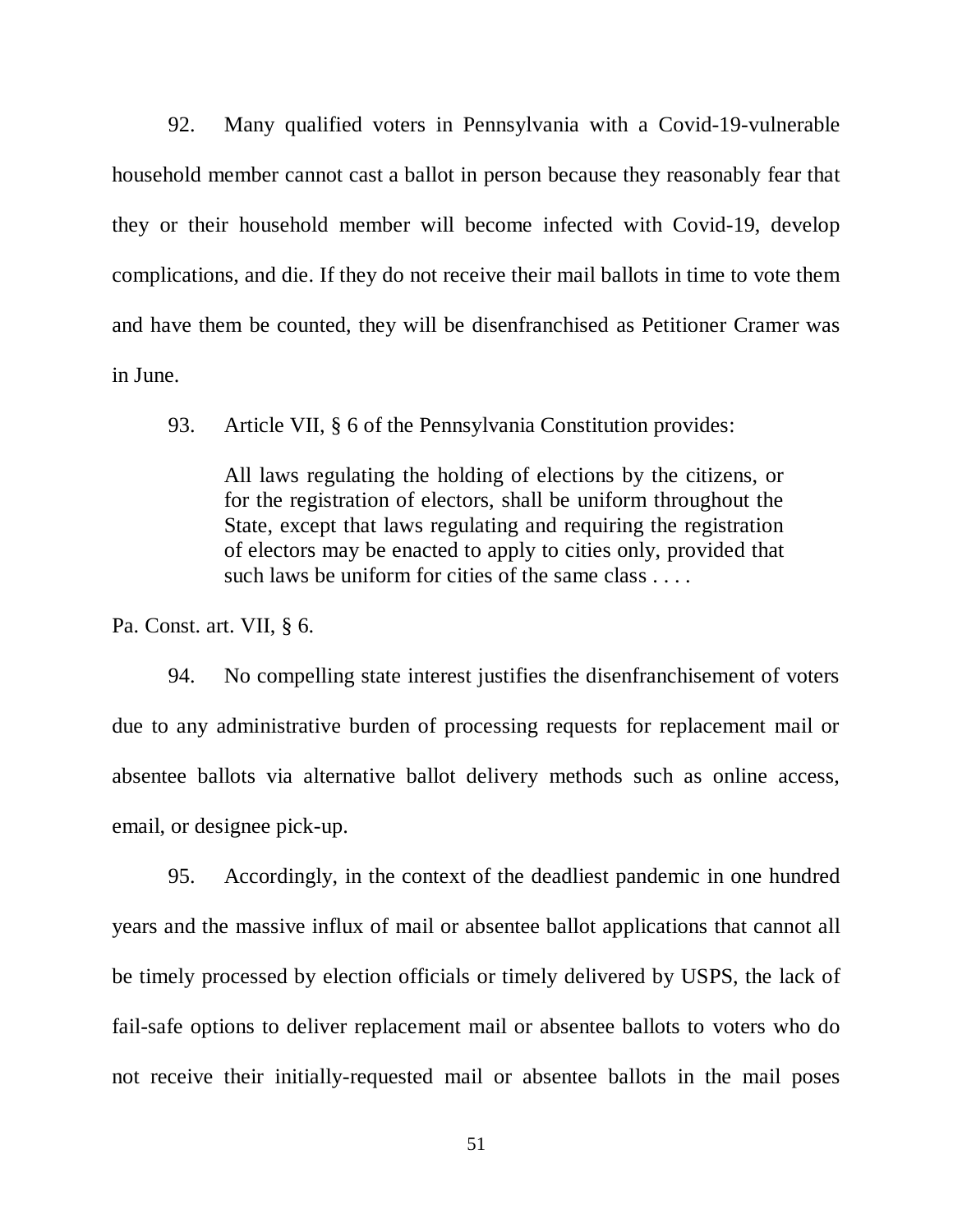92. Many qualified voters in Pennsylvania with a Covid-19-vulnerable household member cannot cast a ballot in person because they reasonably fear that they or their household member will become infected with Covid-19, develop complications, and die. If they do not receive their mail ballots in time to vote them and have them be counted, they will be disenfranchised as Petitioner Cramer was in June.

93. Article VII, § 6 of the Pennsylvania Constitution provides:

All laws regulating the holding of elections by the citizens, or for the registration of electors, shall be uniform throughout the State, except that laws regulating and requiring the registration of electors may be enacted to apply to cities only, provided that such laws be uniform for cities of the same class . . . .

Pa. Const. art. VII, § 6.

94. No compelling state interest justifies the disenfranchisement of voters due to any administrative burden of processing requests for replacement mail or absentee ballots via alternative ballot delivery methods such as online access, email, or designee pick-up.

95. Accordingly, in the context of the deadliest pandemic in one hundred years and the massive influx of mail or absentee ballot applications that cannot all be timely processed by election officials or timely delivered by USPS, the lack of fail-safe options to deliver replacement mail or absentee ballots to voters who do not receive their initially-requested mail or absentee ballots in the mail poses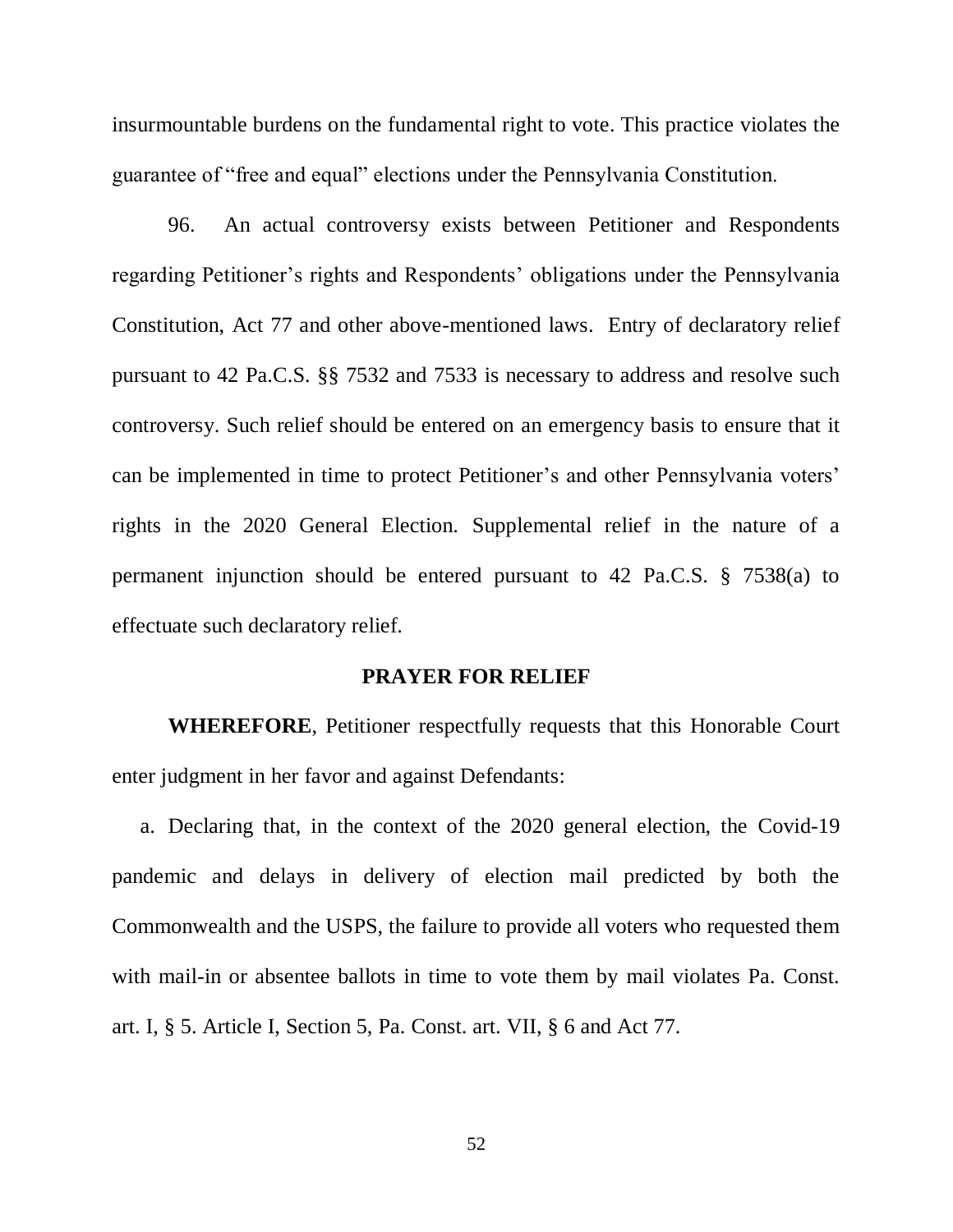insurmountable burdens on the fundamental right to vote. This practice violates the guarantee of "free and equal" elections under the Pennsylvania Constitution.

96. An actual controversy exists between Petitioner and Respondents regarding Petitioner's rights and Respondents' obligations under the Pennsylvania Constitution, Act 77 and other above-mentioned laws. Entry of declaratory relief pursuant to 42 Pa.C.S. §§ 7532 and 7533 is necessary to address and resolve such controversy. Such relief should be entered on an emergency basis to ensure that it can be implemented in time to protect Petitioner's and other Pennsylvania voters' rights in the 2020 General Election. Supplemental relief in the nature of a permanent injunction should be entered pursuant to 42 Pa.C.S. § 7538(a) to effectuate such declaratory relief.

#### **PRAYER FOR RELIEF**

**WHEREFORE**, Petitioner respectfully requests that this Honorable Court enter judgment in her favor and against Defendants:

a. Declaring that, in the context of the 2020 general election, the Covid-19 pandemic and delays in delivery of election mail predicted by both the Commonwealth and the USPS, the failure to provide all voters who requested them with mail-in or absentee ballots in time to vote them by mail violates Pa. Const. art. I, § 5. Article I, Section 5, Pa. Const. art. VII, § 6 and Act 77.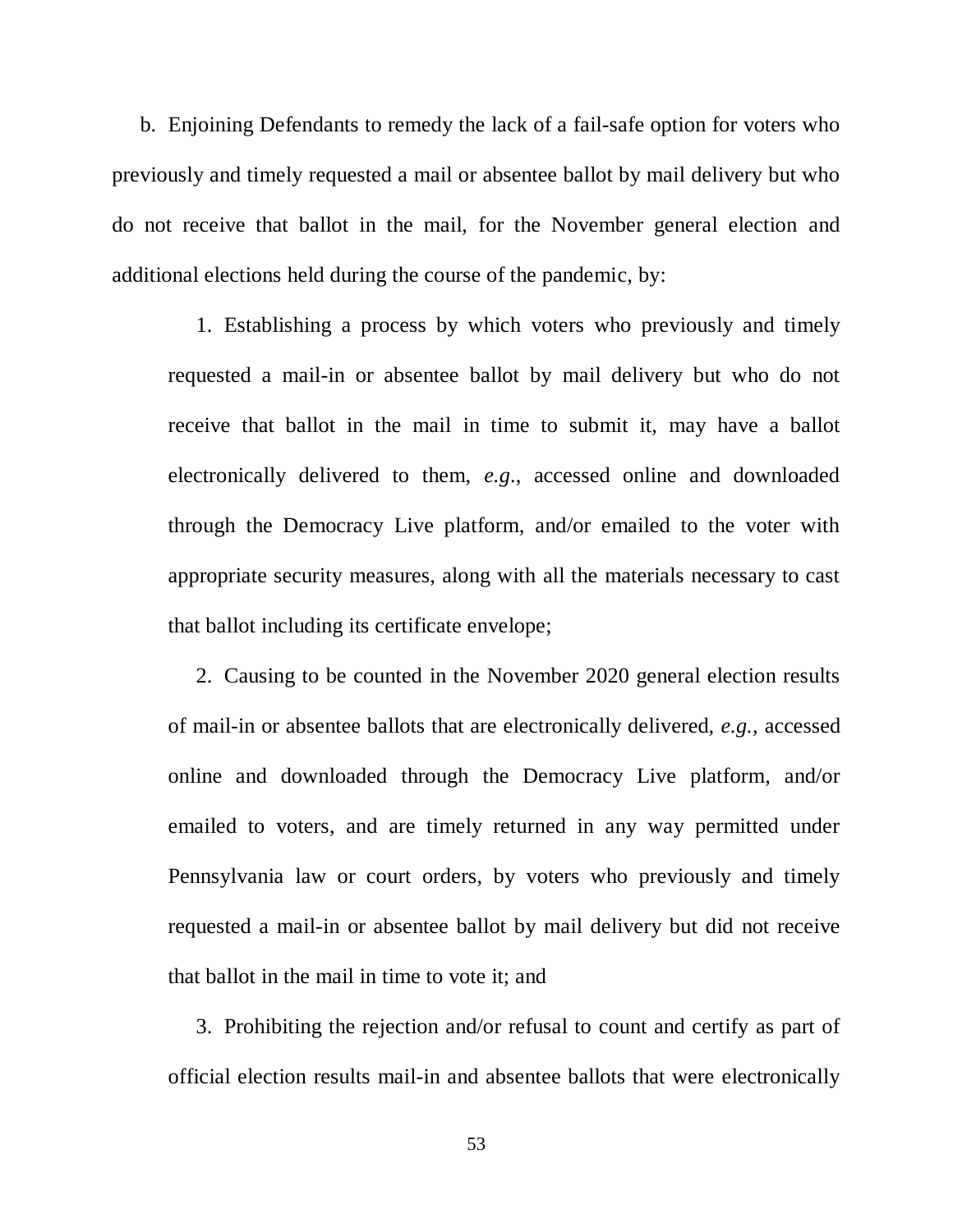b. Enjoining Defendants to remedy the lack of a fail-safe option for voters who previously and timely requested a mail or absentee ballot by mail delivery but who do not receive that ballot in the mail, for the November general election and additional elections held during the course of the pandemic, by:

1. Establishing a process by which voters who previously and timely requested a mail-in or absentee ballot by mail delivery but who do not receive that ballot in the mail in time to submit it, may have a ballot electronically delivered to them, *e.g*., accessed online and downloaded through the Democracy Live platform, and/or emailed to the voter with appropriate security measures, along with all the materials necessary to cast that ballot including its certificate envelope;

2. Causing to be counted in the November 2020 general election results of mail-in or absentee ballots that are electronically delivered, *e.g.,* accessed online and downloaded through the Democracy Live platform, and/or emailed to voters, and are timely returned in any way permitted under Pennsylvania law or court orders, by voters who previously and timely requested a mail-in or absentee ballot by mail delivery but did not receive that ballot in the mail in time to vote it; and

3. Prohibiting the rejection and/or refusal to count and certify as part of official election results mail-in and absentee ballots that were electronically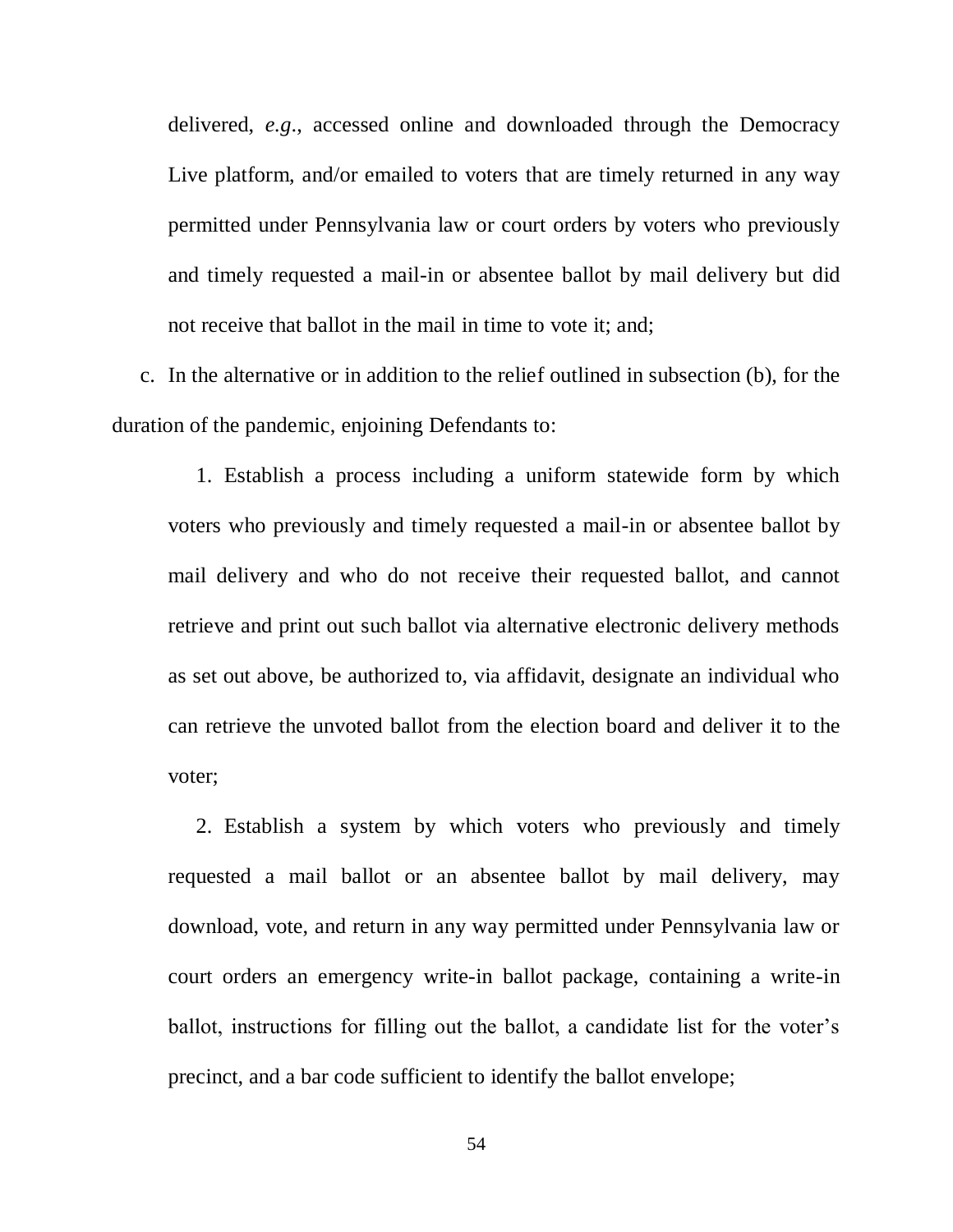delivered, *e.g*., accessed online and downloaded through the Democracy Live platform, and/or emailed to voters that are timely returned in any way permitted under Pennsylvania law or court orders by voters who previously and timely requested a mail-in or absentee ballot by mail delivery but did not receive that ballot in the mail in time to vote it; and;

c. In the alternative or in addition to the relief outlined in subsection (b), for the duration of the pandemic, enjoining Defendants to:

1. Establish a process including a uniform statewide form by which voters who previously and timely requested a mail-in or absentee ballot by mail delivery and who do not receive their requested ballot, and cannot retrieve and print out such ballot via alternative electronic delivery methods as set out above, be authorized to, via affidavit, designate an individual who can retrieve the unvoted ballot from the election board and deliver it to the voter;

2. Establish a system by which voters who previously and timely requested a mail ballot or an absentee ballot by mail delivery, may download, vote, and return in any way permitted under Pennsylvania law or court orders an emergency write-in ballot package, containing a write-in ballot, instructions for filling out the ballot, a candidate list for the voter's precinct, and a bar code sufficient to identify the ballot envelope;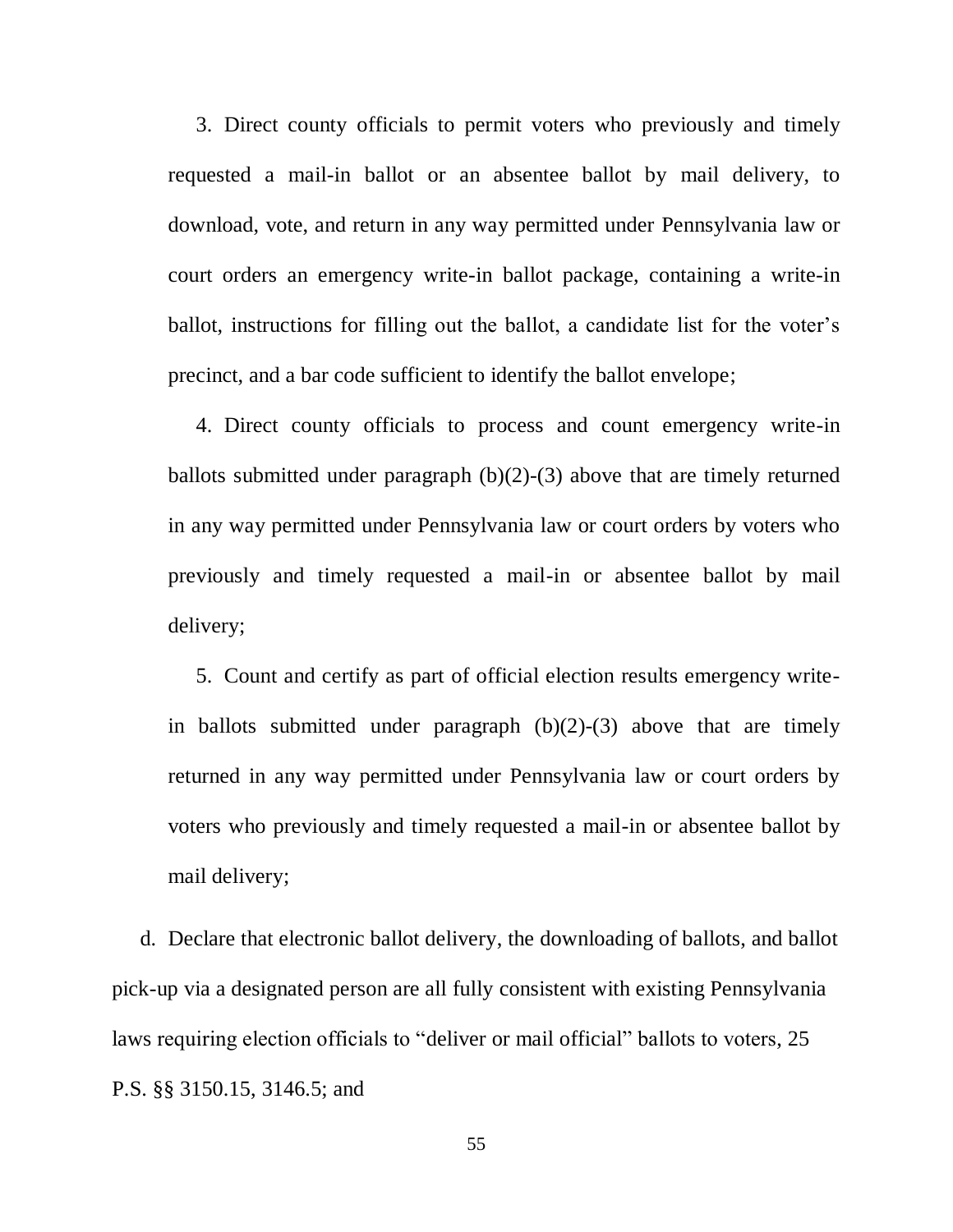3. Direct county officials to permit voters who previously and timely requested a mail-in ballot or an absentee ballot by mail delivery, to download, vote, and return in any way permitted under Pennsylvania law or court orders an emergency write-in ballot package, containing a write-in ballot, instructions for filling out the ballot, a candidate list for the voter's precinct, and a bar code sufficient to identify the ballot envelope;

4. Direct county officials to process and count emergency write-in ballots submitted under paragraph  $(b)(2)-(3)$  above that are timely returned in any way permitted under Pennsylvania law or court orders by voters who previously and timely requested a mail-in or absentee ballot by mail delivery;

5. Count and certify as part of official election results emergency writein ballots submitted under paragraph  $(b)(2)-(3)$  above that are timely returned in any way permitted under Pennsylvania law or court orders by voters who previously and timely requested a mail-in or absentee ballot by mail delivery;

d. Declare that electronic ballot delivery, the downloading of ballots, and ballot pick-up via a designated person are all fully consistent with existing Pennsylvania laws requiring election officials to "deliver or mail official" ballots to voters, 25 P.S. §§ 3150.15, 3146.5; and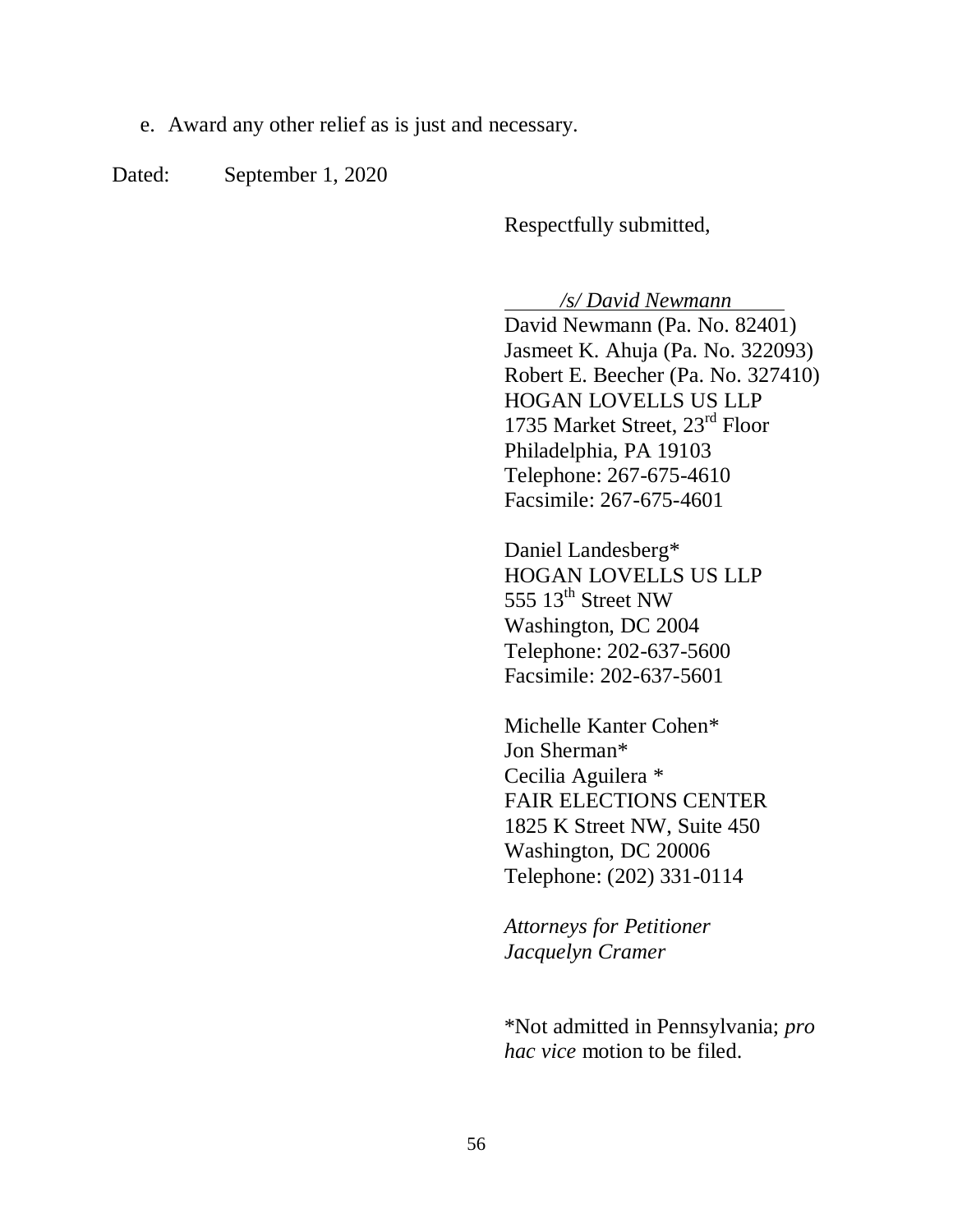e. Award any other relief as is just and necessary.

Dated: September 1, 2020

Respectfully submitted,

*/s/ David Newmann*

David Newmann (Pa. No. 82401) Jasmeet K. Ahuja (Pa. No. 322093) Robert E. Beecher (Pa. No. 327410) HOGAN LOVELLS US LLP 1735 Market Street, 23rd Floor Philadelphia, PA 19103 Telephone: 267-675-4610 Facsimile: 267-675-4601

Daniel Landesberg\* HOGAN LOVELLS US LLP 555  $13<sup>th</sup>$  Street NW Washington, DC 2004 Telephone: 202-637-5600 Facsimile: 202-637-5601

Michelle Kanter Cohen\* Jon Sherman\* Cecilia Aguilera \* FAIR ELECTIONS CENTER 1825 K Street NW, Suite 450 Washington, DC 20006 Telephone: (202) 331-0114

*Attorneys for Petitioner Jacquelyn Cramer*

\*Not admitted in Pennsylvania; *pro hac vice* motion to be filed.